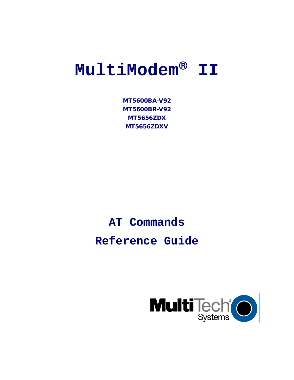# $M$ ultiModem<sup>®</sup> II

MT5600BA-V92 MT5600BR-V92 MT5656ZDX MT5656ZDXV

# **AT Commands**

**Reference Guide**

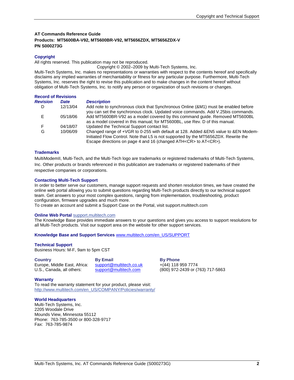#### **AT Commands Reference Guide Products: MT5600BA-V92, MT5600BR-V92, MT5656ZDX, MT5656ZDX-V PN S000273G**

#### **Copyright**

All rights reserved. This publication may not be reproduced.

Copyright © 2002–2009 by Multi-Tech Systems, Inc.

Multi-Tech Systems, Inc. makes no representations or warranties with respect to the contents hereof and specifically disclaims any implied warranties of merchantability or fitness for any particular purpose. Furthermore, Multi-Tech Systems, Inc. reserves the right to revise this publication and to make changes in the content hereof without obligation of Multi-Tech Systems, Inc. to notify any person or organization of such revisions or changes.

| <b>Record of Revisions</b> |          |                                                                                                                                                                                                                                                           |
|----------------------------|----------|-----------------------------------------------------------------------------------------------------------------------------------------------------------------------------------------------------------------------------------------------------------|
| <b>Revision</b>            | Date     | <b>Description</b>                                                                                                                                                                                                                                        |
| D                          | 12/13/04 | Add note to synchronous clock that Synchronous Online (&M1) must be enabled before<br>you can set the synchronous clock. Updated voice commands. Add V.25bis commands.                                                                                    |
| Е                          | 05/18/06 | Add MT5600BR-V92 as a model covered by this command quide. Removed MT5600BL<br>as a model covered in this manual; for MT5600BL, use Rev. D of this manual.                                                                                                |
| F                          | 04/18/07 | Updated the Technical Support contact list.                                                                                                                                                                                                               |
| G                          | 10/06/09 | Changed range of +VGR to 0-255 with default at 128. Added & EN5 value to & EN Modem-<br>Initiated Flow Control. Note that L5 is not supported by the MT5656ZDX. Rewrite the<br>Escape directions on page 4 and 16 (changed ATH <cr> to AT<cr>).</cr></cr> |

#### **Trademarks**

MultiModemII, Multi-Tech, and the Multi-Tech logo are trademarks or registered trademarks of Multi-Tech Systems, Inc. Other products or brands referenced in this publication are trademarks or registered trademarks of their respective companies or corporations.

#### **Contacting Multi-Tech Support**

In order to better serve our customers, manage support requests and shorten resolution times, we have created the online web portal allowing you to submit questions regarding Multi-Tech products directly to our technical support team. Get answers to your most complex questions, ranging from implementation, troubleshooting, product configuration, firmware upgrades and much more.

To create an account and submit a Support Case on the Portal, visit support.multitech.com

#### **Online Web Portal** support.multitech.com

The Knowledge Base provides immediate answers to your questions and gives you access to support resolutions for all Multi-Tech products. Visit our support area on the website for other support services.

#### **Knowledge Base and Support Services** [www.multitech.com/en\\_US/SUPPORT](http://www.multitech.com/en_US/SUPPORT)

#### **Technical Support**

Business Hours: M-F, 9am to 5pm CST

**Country** By Email By Enter By Phone **By Phone**<br>
Europe, Middle East, Africa: support@multitech.co.uk +(44) 118 959 7774 Europe, Middle East, Africa: [support@multitech.co.uk](mailto:support@multitech.co.uk)<br>U.S., Canada, all others: support@multitech.com

(800) 972-2439 or (763) 717-5863

#### **Warranty**

To read the warranty statement for your product, please visit: http://www.multitech.com/en\_US/COMPANY/Policies/warranty/

#### **World Headquarters**

Multi-Tech Systems, Inc. 2205 Woodale Drive Mounds View, Minnesota 55112 Phone: 763-785-3500 or 800-328-9717 Fax: 763-785-9874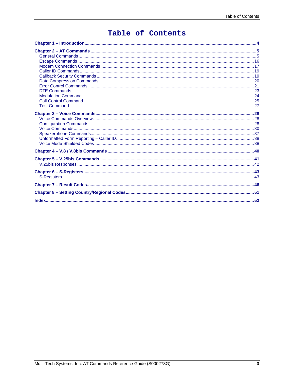# Table of Contents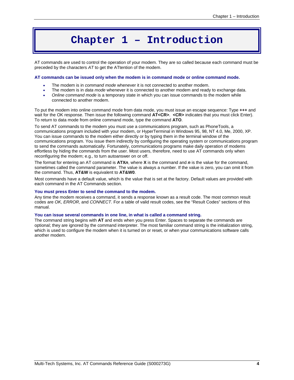# **Chapter 1 – Introduction**

AT commands are used to control the operation of your modem. They are so called because each command must be preceded by the characters *AT* to get the ATtention of the modem.

#### **AT commands can be issued only when the modem is in command mode or online command mode.**

- The modem is in *command mode* whenever it is not connected to another modem.
- The modem is in *data mode* whenever it is connected to another modem and ready to exchange data.
- *Online command mode* is a temporary state in which you can issue commands to the modem while connected to another modem.

To put the modem into online command mode from data mode, you must issue an escape sequence: Type **+++** and wait for the OK response. Then issue the following command **AT<CR>**. <CR> indicates that you must click Enter). To return to data mode from online command mode, type the command **ATO**.

To send AT commands to the modem you must use a communications program, such as PhoneTools, a communications program included with your modem, or HyperTerminal in Windows 95, 98, NT 4.0, Me, 2000, XP. You can issue commands to the modem either directly or by typing them in the terminal window of the communications program. You issue them indirectly by configuring the operating system or communications program to send the commands automatically. Fortunately, communications programs make daily operation of modems effortless by hiding the commands from the user. Most users, therefore, need to use AT commands only when reconfiguring the modem; e.g., to turn autoanswer on or off.

The format for entering an AT command is **ATX***n*, where **X** is the command and *n* is the value for the command, sometimes called the command parameter. The value is always a number. If the value is zero, you can omit it from the command. Thus, **AT&W** is equivalent to **AT&W0**.

Most commands have a default value, which is the value that is set at the factory. Default values are provided with each command in the AT Commands section.

#### **You must press Enter to send the command to the modem.**

Any time the modem receives a command, it sends a response known as a result code. The most common result codes are *OK*, *ERROR*, and *CONNECT.* For a table of valid result codes, see the "Result Codes" sections of this manual.

#### **You can issue several commands in one line, in what is called a command string.**

The command string begins with **AT** and ends when you press Enter. Spaces to separate the commands are optional; they are ignored by the command interpreter. The most familiar command string is the initialization string, which is used to configure the modem when it is turned on or reset, or when your communications software calls another modem.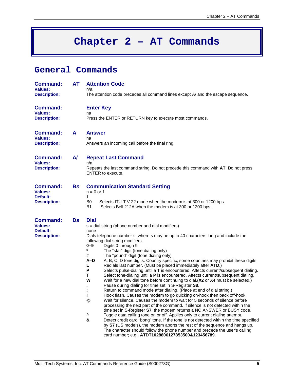# **Chapter 2 – AT Commands**

# **General Commands**

| <b>Command:</b><br><b>Values:</b><br><b>Description:</b>             | <b>AT</b>    | <b>Attention Code</b><br>n/a<br>The attention code precedes all command lines except A/ and the escape sequence.                                                                                                                                                                                                                                                                                                                                                                                                                                                                                                                                                                                                                                                                                                                                                                                                                                                                                                                                                                                                                                                                                                                                                                                                                                                                                                                                                                                                                                                                                     |  |  |  |  |
|----------------------------------------------------------------------|--------------|------------------------------------------------------------------------------------------------------------------------------------------------------------------------------------------------------------------------------------------------------------------------------------------------------------------------------------------------------------------------------------------------------------------------------------------------------------------------------------------------------------------------------------------------------------------------------------------------------------------------------------------------------------------------------------------------------------------------------------------------------------------------------------------------------------------------------------------------------------------------------------------------------------------------------------------------------------------------------------------------------------------------------------------------------------------------------------------------------------------------------------------------------------------------------------------------------------------------------------------------------------------------------------------------------------------------------------------------------------------------------------------------------------------------------------------------------------------------------------------------------------------------------------------------------------------------------------------------------|--|--|--|--|
| <b>Command:</b><br><b>Values:</b><br><b>Description:</b>             |              | <b>Enter Key</b><br>na<br>Press the ENTER or RETURN key to execute most commands.                                                                                                                                                                                                                                                                                                                                                                                                                                                                                                                                                                                                                                                                                                                                                                                                                                                                                                                                                                                                                                                                                                                                                                                                                                                                                                                                                                                                                                                                                                                    |  |  |  |  |
| <b>Command:</b><br><b>Values:</b><br><b>Description:</b>             | A            | <b>Answer</b><br>na<br>Answers an incoming call before the final ring.                                                                                                                                                                                                                                                                                                                                                                                                                                                                                                                                                                                                                                                                                                                                                                                                                                                                                                                                                                                                                                                                                                                                                                                                                                                                                                                                                                                                                                                                                                                               |  |  |  |  |
| <b>Command:</b><br><b>Values:</b><br><b>Description:</b>             | $\mathsf{A}$ | <b>Repeat Last Command</b><br>n/a<br>Repeats the last command string. Do not precede this command with AT. Do not press<br><b>ENTER</b> to execute.                                                                                                                                                                                                                                                                                                                                                                                                                                                                                                                                                                                                                                                                                                                                                                                                                                                                                                                                                                                                                                                                                                                                                                                                                                                                                                                                                                                                                                                  |  |  |  |  |
| <b>Command:</b><br>Values:<br>Default:<br><b>Description:</b>        | Bn           | <b>Communication Standard Setting</b><br>$n = 0$ or 1<br>1<br>Selects ITU-T V.22 mode when the modem is at 300 or 1200 bps.<br>B0<br>Selects Bell 212A when the modem is at 300 or 1200 bps.<br>В1                                                                                                                                                                                                                                                                                                                                                                                                                                                                                                                                                                                                                                                                                                                                                                                                                                                                                                                                                                                                                                                                                                                                                                                                                                                                                                                                                                                                   |  |  |  |  |
| <b>Command:</b><br><b>Values:</b><br>Default:<br><b>Description:</b> | <b>Ds</b>    | <b>Dial</b><br>s = dial string (phone number and dial modifiers)<br>none<br>Dials telephone number s, where s may be up to 40 characters long and include the<br>following dial string modifiers.<br>0-9<br>Digits 0 through 9<br>$\pmb{\ast}$<br>The "star" digit (tone dialing only)<br>The "pound" digit (tone dialing only)<br>#<br>A-D<br>A, B, C, D tone digits. Country specific; some countries may prohibit these digits.<br>Redials last number. (Must be placed immediately after ATD.)<br>L<br>P<br>Selects pulse-dialing until a T is encountered. Affects current/subsequent dialing.<br>т<br>Select tone-dialing until a P is encountered. Affects current/subsequent dialing.<br>W<br>Wait for a new dial tone before continuing to dial. (X2 or X4 must be selected.)<br>Pause during dialing for time set in S-Register S8.<br>,<br>Return to command mode after dialing. (Place at end of dial string.)<br>Hook flash. Causes the modem to go quicking on-hook then back off-hook.<br>@<br>Wait for silence. Causes the modem to wait for 5 seconds of silence before<br>processing the next part of the command. If silence is not detected within the<br>time set in S-Register S7, the modem returns a NO ANSWER or BUSY code.<br>٨<br>Toggle data calling tone on or off. Applies only to current dialing attempt.<br>&<br>Detect credit card "bong" tone. If the tone is not detected within the time specified<br>by S7 (US models), the modem aborts the rest of the sequence and hangs up.<br>The character should follow the phone number and precede the user's calling |  |  |  |  |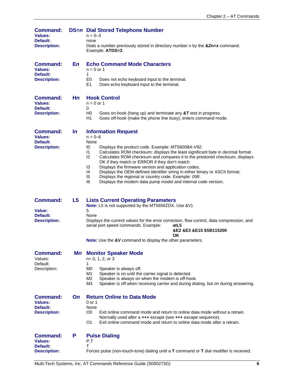| <b>Command:</b><br><b>Values:</b><br>Default:<br><b>Description:</b> |                | <b>DS=n Dial Stored Telephone Number</b><br>$n = 0 - 3$<br>none<br>Dials a number previously stored in directory number n by the &Zn=x command.<br>Example: ATDS=3.                                                                                                                                                                                                     |  |  |
|----------------------------------------------------------------------|----------------|-------------------------------------------------------------------------------------------------------------------------------------------------------------------------------------------------------------------------------------------------------------------------------------------------------------------------------------------------------------------------|--|--|
| <b>Command:</b><br><b>Values:</b><br>Default:                        | En             | <b>Echo Command Mode Characters</b><br>$n = 0$ or 1<br>1                                                                                                                                                                                                                                                                                                                |  |  |
| <b>Description:</b>                                                  |                | E <sub>0</sub><br>Does not echo keyboard input to the terminal.<br>E1<br>Does echo keyboard input to the terminal.                                                                                                                                                                                                                                                      |  |  |
| <b>Command:</b><br><b>Values:</b><br>Default:                        | Hn             | <b>Hook Control</b><br>$n = 0$ or 1<br>0                                                                                                                                                                                                                                                                                                                                |  |  |
| <b>Description:</b>                                                  |                | H0<br>Goes on-hook (hang up) and terminate any &T test in progress.<br>H1<br>Goes off-hook (make the phone line busy); enters command mode.                                                                                                                                                                                                                             |  |  |
| <b>Command:</b><br><b>Values:</b>                                    | $\mathsf{In}$  | <b>Information Request</b><br>$n = 0 - 6$                                                                                                                                                                                                                                                                                                                               |  |  |
| Default:<br><b>Description:</b>                                      |                | None<br>Displays the product code. Example: MT5600BA-V92.<br>10<br>Calculates ROM checksum; displays the least significant byte in decimal format.<br>$\mathsf{I}$<br>12<br>Calculates ROM checksum and compares it to the prestored checksum, displays<br>OK if they match or ERROR if they don't match.<br>13<br>Displays the firmware version and application codes. |  |  |
|                                                                      |                | Displays the OEM-defined identifier string in either binary or ASCII format.<br>14<br>15<br>Displays the regional or country code. Example: 098.<br>16<br>Displays the modem data pump model and internal code version.                                                                                                                                                 |  |  |
| <b>Command:</b>                                                      | L <sub>5</sub> | <b>Lists Current Operating Parameters</b><br>Note: L5 is not supported by the MT5656ZDX. Use &V).                                                                                                                                                                                                                                                                       |  |  |
| Value:<br>Default:<br><b>Description:</b>                            |                | 5<br>None<br>Displays the current values for the error correction, flow control, data compression, and<br>serial port speed commands. Example:<br>atL5<br>&E2 &E3 &E15 \$SB115200<br>OK                                                                                                                                                                                 |  |  |
|                                                                      |                | Note: Use the &V command to display the other parameters.                                                                                                                                                                                                                                                                                                               |  |  |
| <b>Command:</b><br>Values:<br>Default:                               |                | <b>Mn</b> Monitor Speaker Mode<br>$n=0, 1, 2, or 3$                                                                                                                                                                                                                                                                                                                     |  |  |
| Description:                                                         |                | 1<br>M0<br>Speaker is always off.<br>Speaker is on until the carrier signal is detected.<br>M1<br>Speaker is always on when the modem is off-hook.<br>M2<br>MЗ<br>Speaker is off when receiving carrier and during dialing, but on during answering.                                                                                                                    |  |  |
| <b>Command:</b><br><b>Values:</b><br>Default:                        | On.            | <b>Return Online to Data Mode</b><br>0 or 1<br>None                                                                                                                                                                                                                                                                                                                     |  |  |
| <b>Description:</b>                                                  |                | Exit online command mode and return to online data mode without a retrain.<br>O0<br>Normally used after a +++ escape (see +++ escape sequence).<br>O <sub>1</sub><br>Exit online command mode and return to online data mode after a retrain.                                                                                                                           |  |  |
| <b>Command:</b>                                                      | P              | <b>Pulse Dialing</b>                                                                                                                                                                                                                                                                                                                                                    |  |  |
| <b>Values:</b><br>Default:<br><b>Description:</b>                    |                | P, T<br>т<br>Forces pulse (non-touch-tone) dialing until a T command or T dial modifier is received.                                                                                                                                                                                                                                                                    |  |  |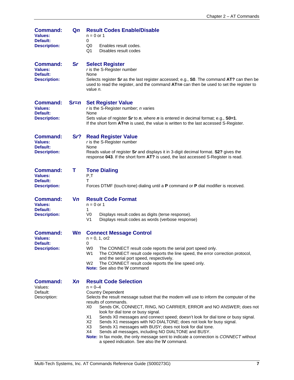| <b>Command:</b><br><b>Values:</b><br>Default:<br><b>Description:</b> | Qn        | <b>Result Codes Enable/Disable</b><br>$n = 0$ or 1<br>0<br>Enables result codes.<br>Q0<br>Q1<br>Disables result codes                                                                                                                                                                                                                                                                                                                                                                                                                                                                                                                                                                                                                                    |  |  |  |
|----------------------------------------------------------------------|-----------|----------------------------------------------------------------------------------------------------------------------------------------------------------------------------------------------------------------------------------------------------------------------------------------------------------------------------------------------------------------------------------------------------------------------------------------------------------------------------------------------------------------------------------------------------------------------------------------------------------------------------------------------------------------------------------------------------------------------------------------------------------|--|--|--|
| <b>Command:</b><br><b>Values:</b><br>Default:<br><b>Description:</b> | <b>Sr</b> | <b>Select Register</b><br>r is the S-Register number<br>None<br>Selects register Sr as the last register accessed; e.g., S0. The command AT? can then be<br>used to read the register, and the command $AT=n$ can then be used to set the register to<br>value <i>n</i> .                                                                                                                                                                                                                                                                                                                                                                                                                                                                                |  |  |  |
| <b>Command:</b><br><b>Values:</b><br>Default:<br><b>Description:</b> | $Sr=n$    | <b>Set Register Value</b><br>$r$ is the S-Register number; $n$ varies<br>None<br>Sets value of register $Sr$ to $n$ , where $n$ is entered in decimal format; e.g., $SO=1$ .<br>If the short form $AT=n$ is used, the value is written to the last accessed S-Register.                                                                                                                                                                                                                                                                                                                                                                                                                                                                                  |  |  |  |
| <b>Command:</b><br><b>Values:</b><br>Default:<br><b>Description:</b> | Sr?       | <b>Read Register Value</b><br>$r$ is the S-Register number<br>None<br>Reads value of register Sr and displays it in 3-digit decimal format. S2? gives the<br>response 043. If the short form AT? is used, the last accessed S-Register is read.                                                                                                                                                                                                                                                                                                                                                                                                                                                                                                          |  |  |  |
| <b>Command:</b><br><b>Values:</b><br>Default:<br><b>Description:</b> | т         | <b>Tone Dialing</b><br>P,T<br>т<br>Forces DTMF (touch-tone) dialing until a P command or P dial modifier is received.                                                                                                                                                                                                                                                                                                                                                                                                                                                                                                                                                                                                                                    |  |  |  |
| <b>Command:</b><br><b>Values:</b><br>Default:<br><b>Description:</b> | Vn        | <b>Result Code Format</b><br>$n = 0$ or 1<br>1<br>V <sub>0</sub><br>Displays result codes as digits (terse response).<br>V <sub>1</sub><br>Displays result codes as words (verbose response)                                                                                                                                                                                                                                                                                                                                                                                                                                                                                                                                                             |  |  |  |
| <b>Command:</b><br><b>Values:</b><br>Default:<br><b>Description:</b> | <b>Wn</b> | <b>Connect Message Control</b><br>$n = 0, 1, or 2$<br>0<br>W <sub>0</sub><br>The CONNECT result code reports the serial port speed only.<br>W <sub>1</sub><br>The CONNECT result code reports the line speed, the error correction protocol,<br>and the serial port speed, respectively.<br>The CONNECT result code reports the line speed only.<br>W <sub>2</sub><br>Note: See also the W command                                                                                                                                                                                                                                                                                                                                                       |  |  |  |
| <b>Command:</b><br>Values:<br>Default:<br>Description:               | <b>Xn</b> | <b>Result Code Selection</b><br>$n = 0 - 4$<br><b>Country Dependent</b><br>Selects the result message subset that the modem will use to inform the computer of the<br>results of commands.<br>X0<br>Sends OK, CONNECT, RING, NO CARRIER, ERROR and NO ANSWER; does not<br>look for dial tone or busy signal.<br>X1<br>Sends X0 messages and connect speed; doesn't look for dial tone or busy signal.<br>X2<br>Sends X1 messages with NO DIALTONE; does not look for busy signal.<br>X3<br>Sends X1 messages with BUSY; does not look for dial tone.<br>X4<br>Sends all messages, including NO DIALTONE and BUSY.<br>Note: In fax mode, the only message sent to indicate a connection is CONNECT without<br>a speed indication. See also the W command. |  |  |  |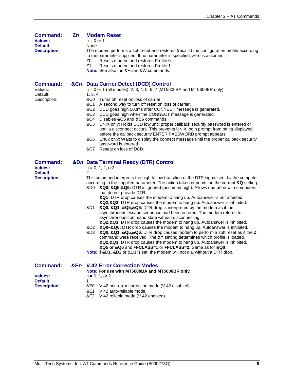| <b>Command:</b><br><b>Values:</b><br>Default:<br><b>Description:</b> | $\mathbf{Z}$ n | <b>Modem Reset</b><br>$n = 0$ or 1<br>None<br>The modem performs a soft reset and restores (recalls) the configuration profile according<br>to the parameter supplied. If no parameter is specified, zero is assumed.<br>Z0<br>Resets modem and restores Profile 0.<br>Z1<br>Resets modem and restores Profile 1.<br><b>Note:</b> See also the &F and &W commands.                                                                                                                                                                                                                                                                                                                                                                                                                                                                                                                                                                                                                                                                                                                                                                                                                                                                                                                                  |  |  |
|----------------------------------------------------------------------|----------------|-----------------------------------------------------------------------------------------------------------------------------------------------------------------------------------------------------------------------------------------------------------------------------------------------------------------------------------------------------------------------------------------------------------------------------------------------------------------------------------------------------------------------------------------------------------------------------------------------------------------------------------------------------------------------------------------------------------------------------------------------------------------------------------------------------------------------------------------------------------------------------------------------------------------------------------------------------------------------------------------------------------------------------------------------------------------------------------------------------------------------------------------------------------------------------------------------------------------------------------------------------------------------------------------------------|--|--|
| <b>Command:</b><br>Values:<br>Default:<br>Description:               |                | &Cn Data Carrier Detect (DCD) Control<br>$n = 0$ or 1 (all models) 2, 3, 4, 5, 6, 7 (MT5600BA and MT5600BR only)<br>1, 3, 4<br>&C0 Turns off reset on loss of carrier.<br>&C1<br>A second way to turn off reset on loss of carrier.<br>&C2<br>DCD goes high 500ms after CONNECT message is generated.<br>&C3<br>DCD goes high when the CONNECT message is generated.<br>&C4<br>Disables &C5 and &C6 commands.<br>&C5<br>UNIX only: Holds DCD low until proper callback security password is entered or<br>until a disconnect occurs. This prevents UNIX login prompt from being displayed<br>before the callback security ENTER PASSWORD prompt appears.<br>Linux only: Waits to display the connect message until the proper callback security<br>&C6<br>password is entered.<br>&C7<br>Resets on loss of DCD.                                                                                                                                                                                                                                                                                                                                                                                                                                                                                     |  |  |
| <b>Command:</b><br><b>Values:</b><br>Default:<br><b>Description:</b> |                | &Dn Data Terminal Ready (DTR) Control<br>$n = 0, 1, 2, or3$<br>2<br>This command interprets the high to low transition of the DTR signal sent by the computer<br>according to the supplied parameter. The action taken depends on the current &Q setting.<br>&Q0, &Q5,&Q6: DTR is ignored (assumed high). Allows operation with computers<br>&D0 -<br>that do not provide DTR.<br>&Q1: DTR drop causes the modem to hang up. Autoanswer is not affected.<br>&Q2,&Q3: DTR drop causes the modem to hang up. Autoanswer is inhibited.<br>&Q0, &Q1, &Q5,&Q6: DTR drop is interpreted by the modem as if the<br>&D1<br>asynchronous escape sequence had been entered. The modem returns to<br>asynchronous command state without disconnecting.<br>&Q2,&Q3: DTR drop causes the modem to hang up. Autoanswer is inhibited.<br>&Q0-&Q6: DTR drop causes the modem to hang up. Autoanswer is inhibited.<br>&D2<br>&Q0, &Q1, &Q5,&Q6: DTR drop causes modem to perform a soft reset as if the Z<br>&D3<br>command were received. The &Y setting determines which profile is loaded.<br>&Q2,&Q3: DTR drop causes the modem to hang up. Autoanswer is inhibited.<br>&Q5 or &Q6 and +FCLASS=1 or +FCLASS=2: Same as for &Q0.<br>Note: If &D1, &D2, or &D3 is set, the modem will not dial without a DTR drop. |  |  |
| <b>Command:</b><br><b>Values:</b><br>Default:<br><b>Description:</b> | &En            | <b>V.42 Error Correction Modes</b><br>Note: For use with MT5600BA and MT5600BR only.<br>$n = 0, 1,$ or 2<br>V.42 non-error correction mode (V.42 disabled).<br>&E0                                                                                                                                                                                                                                                                                                                                                                                                                                                                                                                                                                                                                                                                                                                                                                                                                                                                                                                                                                                                                                                                                                                                  |  |  |

- &E1 V.42 auto-reliable mode.
- &E2 V.42 reliable mode (V.42 enabled).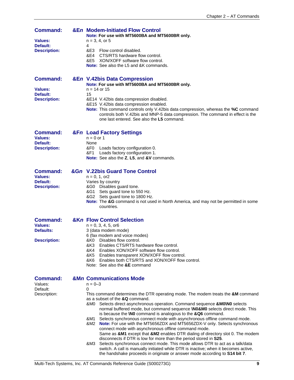| <b>Command:</b><br>Values:<br>Default:<br><b>Description:</b>         | <b>&amp;En Modem-Initiated Flow Control</b><br>Note: For use with MT5600BA and MT5600BR only.<br>$n = 3, 4, or 5$<br>4<br>&E3 -<br>Flow control disabled.<br>&E4 CTS/RTS hardware flow control.<br>&E5 XON/XOFF software flow control.<br><b>Note:</b> See also the L5 and &K commands.                                                                                                                                                                                                                                                                                                         |
|-----------------------------------------------------------------------|-------------------------------------------------------------------------------------------------------------------------------------------------------------------------------------------------------------------------------------------------------------------------------------------------------------------------------------------------------------------------------------------------------------------------------------------------------------------------------------------------------------------------------------------------------------------------------------------------|
| <b>Command:</b><br><b>Values:</b><br>Default:<br><b>Description:</b>  | &En V.42bis Data Compression<br>Note: For use with MT5600BA and MT5600BR only.<br>$n = 14$ or 15<br>15<br>&E14 V.42bis data compression disabled.<br>&E15 V.42bis data compression enabled.<br>Note: This command controls only V.42bis data compression, whereas the %C command<br>controls both V.42bis and MNP-5 data compression. The command in effect is the<br>one last entered. See also the <b>L5</b> command.                                                                                                                                                                         |
| <b>Command:</b><br><b>Values:</b><br>Default:<br><b>Description:</b>  | <b>&amp;Fn Load Factory Settings</b><br>$n = 0$ or 1<br>None<br>&F0 Loads factory configuration 0.<br>&F1 Loads factory configuration 1.<br>Note: See also the Z, L5, and &V commands.                                                                                                                                                                                                                                                                                                                                                                                                          |
| Command:<br><b>Values:</b><br>Default:<br><b>Description:</b>         | &Gn V.22bis Guard Tone Control<br>$n = 0, 1, or 2$<br>Varies by country<br>&G0 Disables guard tone.<br>&G1 Sets guard tone to 550 Hz.<br>&G2 Sets guard tone to 1800 Hz.<br><b>Note:</b> The &G command is not used in North America, and may not be permitted in some<br>countries.                                                                                                                                                                                                                                                                                                            |
| <b>Command:</b><br><b>Values:</b><br>Defaults:<br><b>Description:</b> | <b>&amp;Kn Flow Control Selection</b><br>$n = 0, 3, 4, 5, or6$<br>3 (data modem mode)<br>6 (fax modem and voice modes)<br>Disables flow control.<br>&K0<br>&K3<br>Enables CTS/RTS hardware flow control.<br>&K4<br>Enables XON/XOFF software flow control.<br>&K5<br>Enables transparent XON/XOFF flow control.<br>&K6 -<br>Enables both CTS/RTS and XON/XOFF flow control.<br>Note: See also the &E command                                                                                                                                                                                    |
| <b>Command:</b><br>Values:<br>Default:<br>Description:                | <b>&amp;Mn Communications Mode</b><br>$n = 0 - 3$<br>0<br>This command determines the DTR operating mode. The modem treats the &M command<br>as a subset of the &Q command.<br>Selects direct asynchronous operation. Command sequence &MO\NO selects<br>&M0<br>normal buffered mode, but command sequence <b>\N0&amp;M0</b> selects direct mode. This<br>is because the <b>NO</b> command is analogous to the &Q6 command.<br>Selects synchronous connect mode with asynchronous offline command mode.<br>&M1<br>8M2 Note: For use with the MT56567DX and MT56567DX-V only Selects synchronous |

- Note: For use with the MT5656ZDX and MT5656ZDX-V only. Selects synchronous connect mode with asynchronous offline command mode. Same as **&M1** except that **&M2** enables DTR dialing of directory slot 0. The modem disconnects if DTR is low for more than the period stored in **S25**.
- &M3 Selects synchronous connect mode. This mode allows DTR to act as a talk/data switch. A call is manually initiated while DTR is inactive; when it becomes active, the handshake proceeds in originate or answer mode according to **S14 bit 7**.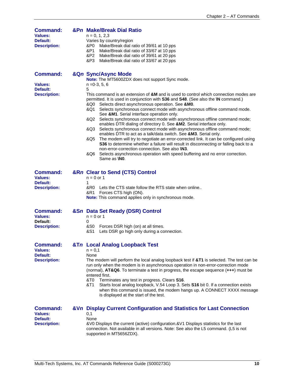| <b>Command:</b><br><b>Values:</b><br>Default:<br><b>Description:</b> | &Pn Make/Break Dial Ratio<br>$n = 0, 1, 2, 3$<br>Varies by country/region<br>Make/Break dial ratio of 39/61 at 10 pps<br>&P0<br>&P1_<br>Make/Break dial ratio of 33/67 at 10 pps<br>&P2<br>Make/Break dial ratio of 39/61 at 20 pps<br>&P3<br>Make/Break dial ratio of 33/67 at 20 pps                                                                                                                                                                                                                                                                                                                                                                                                                                                                                                                                                                                                                                                                                                                                                                                                                                                              |  |  |
|----------------------------------------------------------------------|-----------------------------------------------------------------------------------------------------------------------------------------------------------------------------------------------------------------------------------------------------------------------------------------------------------------------------------------------------------------------------------------------------------------------------------------------------------------------------------------------------------------------------------------------------------------------------------------------------------------------------------------------------------------------------------------------------------------------------------------------------------------------------------------------------------------------------------------------------------------------------------------------------------------------------------------------------------------------------------------------------------------------------------------------------------------------------------------------------------------------------------------------------|--|--|
| <b>Command:</b><br>Values:<br>Default:<br><b>Description:</b>        | &Qn Sync/Async Mode<br>Note: The MT5600ZDX does not support Sync mode.<br>$n = 0-3, 5, 6$<br>5<br>This command is an extension of &M and is used to control which connection modes are<br>permitted. It is used in conjunction with S36 and S48. (See also the <b>\N</b> command.)<br>Selects direct asynchronous operation. See &M0.<br>&Q0<br>Selects synchronous connect mode with asynchronous offline command mode.<br>&Q1<br>See &M1. Serial interface operation only.<br>Selects synchronous connect mode with asynchronous offline command mode;<br>&Q2<br>enables DTR dialing of directory 0. See &M2. Serial interface only.<br>Selects synchronous connect mode with asynchronous offline command mode;<br>&Q3<br>enables DTR to act as a talk/data switch. See &M3. Serial only.<br>The modem will try to negotiate an error-corrected link. It can be configured using<br>&Q5<br>S36 to determine whether a failure will result in disconnecting or falling back to a<br>non-error-correction connection. See also \N3.<br>Selects asynchronous operation with speed buffering and no error correction.<br>&Q6<br>Same as <b>INO</b> . |  |  |
| <b>Command:</b><br>Values:<br>Default:<br><b>Description:</b>        | &Rn Clear to Send (CTS) Control<br>$n = 0$ or 1<br>1<br>&R0 Lets the CTS state follow the RTS state when online<br>&R1 Forces CTS high (ON).<br>Note: This command applies only in synchronous mode.                                                                                                                                                                                                                                                                                                                                                                                                                                                                                                                                                                                                                                                                                                                                                                                                                                                                                                                                                |  |  |
| <b>Command:</b><br>Values:<br>Default:<br><b>Description:</b>        | &Sn Data Set Ready (DSR) Control<br>$n = 0$ or 1<br>0<br>&S0<br>Forces DSR high (on) at all times.<br>Lets DSR go high only during a connection.<br>&S1                                                                                                                                                                                                                                                                                                                                                                                                                                                                                                                                                                                                                                                                                                                                                                                                                                                                                                                                                                                             |  |  |
| <b>Command:</b><br><b>Values:</b><br>Default:<br><b>Description:</b> | &Tn Local Analog Loopback Test<br>$n = 0,1$<br>None<br>The modem will perform the local analog loopback test if &T1 is selected. The test can be<br>run only when the modem is in asynchronous operation in non-error-correction mode<br>(normal), AT&Q6. To terminate a test in progress, the escape sequence (+++) must be<br>entered first.<br>&T0<br>Terminates any test in progress. Clears S16.<br>&T1<br>Starts local analog loopback, V.54 Loop 3. Sets S16 bit 0. If a connection exists<br>when this command is issued, the modem hangs up. A CONNECT XXXX message<br>is displayed at the start of the test.                                                                                                                                                                                                                                                                                                                                                                                                                                                                                                                              |  |  |
| <b>Command:</b><br><b>Values:</b><br>Default:<br><b>Description:</b> | &Vn Display Current Configuration and Statistics for Last Connection<br>0,1<br>None<br>&V0 Displays the current (active) configuration.&V1 Displays statistics for the last<br>connection. Not available in all versions. Note: See also the L5 command. (L5 is not<br>supported in MT5656ZDX).                                                                                                                                                                                                                                                                                                                                                                                                                                                                                                                                                                                                                                                                                                                                                                                                                                                     |  |  |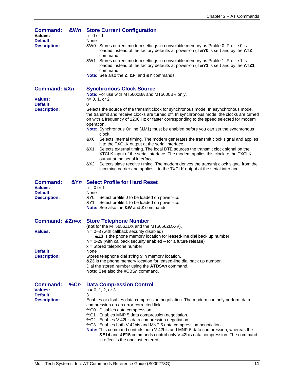| <b>Command:</b><br>Values:<br>Default:<br><b>Description:</b>               | <b>&amp;Wn</b> Store Current Configuration<br>$n=0$ or 1<br>None<br>&W0 Stores current modem settings in nonvolatile memory as Profile 0. Profile 0 is<br>loaded instead of the factory defaults at power-on (if &Y0 is set) and by the ATZ<br>command.<br>Stores current modem settings in nonvolatile memory as Profile 1. Profile 1 is<br>&W1<br>loaded instead of the factory defaults at power-on (if &Y1 is set) and by the ATZ1<br>command.<br>Note: See also the Z, &F, and &Y commands.                                                                                                                                                                                                                                                                                                                                                                                                                                        |  |  |  |
|-----------------------------------------------------------------------------|-----------------------------------------------------------------------------------------------------------------------------------------------------------------------------------------------------------------------------------------------------------------------------------------------------------------------------------------------------------------------------------------------------------------------------------------------------------------------------------------------------------------------------------------------------------------------------------------------------------------------------------------------------------------------------------------------------------------------------------------------------------------------------------------------------------------------------------------------------------------------------------------------------------------------------------------|--|--|--|
| <b>Command: &amp;Xn</b>                                                     | <b>Synchronous Clock Source</b><br>Note: For use with MT5600BA and MT5600BR only.                                                                                                                                                                                                                                                                                                                                                                                                                                                                                                                                                                                                                                                                                                                                                                                                                                                       |  |  |  |
| Values:<br>Default:                                                         | $n=0, 1, or 2$<br>0                                                                                                                                                                                                                                                                                                                                                                                                                                                                                                                                                                                                                                                                                                                                                                                                                                                                                                                     |  |  |  |
| <b>Description:</b>                                                         | Selects the source of the transmit clock for synchronous mode. In asynchronous mode,<br>the transmit and receive clocks are turned off. In synchronous mode, the clocks are turned<br>on with a frequency of 1200 Hz or faster corresponding to the speed selected for modem<br>operation.<br>Note: Synchronous Online (&M1) must be enabled before you can set the synchronous<br>clock.<br>Selects internal timing. The modem generates the transmit clock signal and applies<br>8.XO<br>it to the TXCLK output at the serial interface.<br>Selects external timing. The local DTE sources the transmit clock signal on the<br>&X1<br>XTCLK input of the serial interface. The modem applies this clock to the TXCLK<br>output at the serial interface.<br>Selects slave receive timing. The modem derives the transmit clock signal from the<br>&X2.<br>incoming carrier and applies it to the TXCLK output at the serial interface. |  |  |  |
| <b>Command:</b><br><b>Values:</b>                                           | &Yn Select Profile for Hard Reset<br>$n = 0$ or 1                                                                                                                                                                                                                                                                                                                                                                                                                                                                                                                                                                                                                                                                                                                                                                                                                                                                                       |  |  |  |
| Default:<br><b>Description:</b>                                             | None<br>&Y0 -<br>Select profile 0 to be loaded on power-up.<br>Select profile 1 to be loaded on power-up.<br>&Y1.<br><b>Note:</b> See also the &W and Z commands.                                                                                                                                                                                                                                                                                                                                                                                                                                                                                                                                                                                                                                                                                                                                                                       |  |  |  |
| Command: &Zn=x                                                              | <b>Store Telephone Number</b>                                                                                                                                                                                                                                                                                                                                                                                                                                                                                                                                                                                                                                                                                                                                                                                                                                                                                                           |  |  |  |
| <b>Values:</b>                                                              | (not for the MT5656ZDX and the MT5656ZDX-V).<br>$n = 0-3$ (with callback security disabled)<br>&Z3 is the phone memory location for leased-line dial back up number<br>$n = 0-29$ (with callback security enabled $-$ for a future release)<br>$x =$ Stored telephone number                                                                                                                                                                                                                                                                                                                                                                                                                                                                                                                                                                                                                                                            |  |  |  |
| Default:<br><b>Description:</b>                                             | None<br>Stores telephone dial string x in memory location.<br>&Z3 is the phone memory location for leased-line dial back up number.<br>Dial the stored number using the ATDS=n command.<br><b>Note:</b> See also the #CBSn command.                                                                                                                                                                                                                                                                                                                                                                                                                                                                                                                                                                                                                                                                                                     |  |  |  |
| <b>Command:</b><br>%Cn<br><b>Values:</b><br>Default:<br><b>Description:</b> | <b>Data Compression Control</b><br>$n = 0, 1, 2,$ or 3<br>3<br>Enables or disables data compression negotiation. The modem can only perform data<br>compression on an error-corrected link.<br>%C0 Disables data compression.<br>%C1 Enables MNP 5 data compression negotiation.<br>%C2 Enables V.42bis data compression negotiation.<br>%C3 Enables both V.42bis and MNP 5 data compression negotiation.<br>Note: This command controls both V.42bis and MNP-5 data compression, whereas the<br>&E14 and &E15 commands control only V.42bis data compression. The command<br>in effect is the one last entered.                                                                                                                                                                                                                                                                                                                        |  |  |  |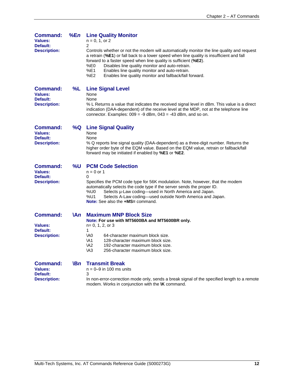| Command:<br>Values:<br>Default:<br><b>Description:</b>               | %En         | <b>Line Quality Monitor</b><br>$n = 0, 1,$ or 2<br>2<br>Controls whether or not the modem will automatically monitor the line quality and request<br>a retrain (%E1) or fall back to a lower speed when line quality is insufficient and fall<br>forward to a faster speed when line quality is sufficient (%E2).<br>%E0<br>Disables line quality monitor and auto-retrain.<br>%E1<br>Enables line quality monitor and auto-retrain.<br>%E2<br>Enables line quality monitor and fallback/fall forward. |
|----------------------------------------------------------------------|-------------|--------------------------------------------------------------------------------------------------------------------------------------------------------------------------------------------------------------------------------------------------------------------------------------------------------------------------------------------------------------------------------------------------------------------------------------------------------------------------------------------------------|
| <b>Command:</b><br>Values:<br>Default:<br><b>Description:</b>        | %L          | <b>Line Signal Level</b><br>None<br>None<br>% L Returns a value that indicates the received signal level in dBm. This value is a direct<br>indication (DAA-dependent) of the receive level at the MDP, not at the telephone line<br>connector. Examples: $009 = -9$ dBm, $043 = -43$ dBm, and so on.                                                                                                                                                                                                   |
| <b>Command:</b><br><b>Values:</b><br>Default:<br><b>Description:</b> | %Q          | <b>Line Signal Quality</b><br>None<br>None<br>% Q reports line signal quality (DAA-dependent) as a three-digit number. Returns the<br>higher order byte of the EQM value. Based on the EQM value, retrain or fallback/fall<br>forward may be initiated if enabled by %E1 or %E2.                                                                                                                                                                                                                       |
| <b>Command:</b><br><b>Values:</b><br>Default:<br><b>Description:</b> | %U          | <b>PCM Code Selection</b><br>$n = 0$ or 1<br>0<br>Specifies the PCM code type for 56K modulation. Note, however, that the modem<br>automatically selects the code type if the server sends the proper ID.<br>%U0<br>Selects µ-Law coding—used in North America and Japan.<br>%U1<br>Selects A-Law coding—used outside North America and Japan.<br>Note: See also the +MS= command.                                                                                                                     |
| <b>Command:</b><br><b>Values:</b><br>Default:<br><b>Description:</b> | \A <i>n</i> | <b>Maximum MNP Block Size</b><br>Note: For use with MT5600BA and MT5600BR only.<br>$n=0, 1, 2, or 3$<br>1<br>\A0<br>64-character maximum block size.<br><b>\A1</b><br>128-character maximum block size.<br>\A <sub>2</sub><br>192-character maximum block size.<br>$\mathsf{A}3$<br>256-character maximum block size.                                                                                                                                                                                  |
| <b>Command:</b><br><b>Values:</b><br>Default:<br><b>Description:</b> | <b>\Bn</b>  | <b>Transmit Break</b><br>$n = 0-9$ in 100 ms units<br>3<br>In non-error-correction mode only, sends a break signal of the specified length to a remote                                                                                                                                                                                                                                                                                                                                                 |

modem. Works in conjunction with the **\K** command.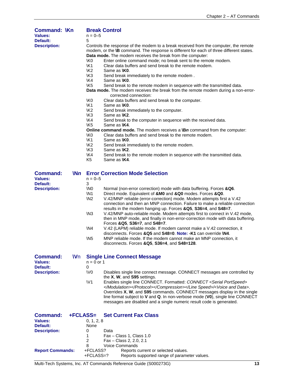| <b>Command: \Kn</b>               |           |                 | <b>Break Control</b>                                                                                                                                                                                                                                                      |
|-----------------------------------|-----------|-----------------|---------------------------------------------------------------------------------------------------------------------------------------------------------------------------------------------------------------------------------------------------------------------------|
| <b>Values:</b>                    |           | $n = 0 - 5$     |                                                                                                                                                                                                                                                                           |
| Default:                          |           | 5               |                                                                                                                                                                                                                                                                           |
| <b>Description:</b>               |           |                 | Controls the response of the modem to a break received from the computer, the remote<br>modem, or the <b>\B</b> command. The response is different for each of three different states.                                                                                    |
|                                   |           |                 | Data mode. The modem receives the break from the computer:                                                                                                                                                                                                                |
|                                   |           | \K0             | Enter online command mode; no break sent to the remote modem.                                                                                                                                                                                                             |
|                                   |           | <b>\K1</b>      | Clear data buffers and send break to the remote modem.                                                                                                                                                                                                                    |
|                                   |           | <b>K2</b>       | Same as <b>IK0</b> .                                                                                                                                                                                                                                                      |
|                                   |           | K3              | Send break immediately to the remote modem.                                                                                                                                                                                                                               |
|                                   |           | \K4             | Same as <b>IKO</b> .                                                                                                                                                                                                                                                      |
|                                   |           | \K <sub>5</sub> | Send break to the remote modem in sequence with the transmitted data.<br>Data mode. The modem receives the break from the remote modem during a non-error-                                                                                                                |
|                                   |           |                 | corrected connection:                                                                                                                                                                                                                                                     |
|                                   |           | <b>\K0</b>      | Clear data buffers and send break to the computer.                                                                                                                                                                                                                        |
|                                   |           | <b>\K1</b>      | Same as <b>IK0</b> .                                                                                                                                                                                                                                                      |
|                                   |           | <b>\K2</b>      | Send break immediately to the computer.                                                                                                                                                                                                                                   |
|                                   |           | K3              | Same as <b>\K2</b> .                                                                                                                                                                                                                                                      |
|                                   |           | <b>K4</b>       | Send break to the computer in sequence with the received data.                                                                                                                                                                                                            |
|                                   |           | \K <sub>5</sub> | Same as <b>\K4</b> .                                                                                                                                                                                                                                                      |
|                                   |           |                 | <b>Online command mode.</b> The modem receives a $\mathbf{B}n$ command from the computer:                                                                                                                                                                                 |
|                                   |           | \K0             | Clear data buffers and send break to the remote modem.                                                                                                                                                                                                                    |
|                                   |           | <b>\K1</b>      | Same as <b>IK0</b> .                                                                                                                                                                                                                                                      |
|                                   |           | <b>K2</b>       | Send break immediately to the remote modem.                                                                                                                                                                                                                               |
|                                   |           | <b>\K3</b>      | Same as <b>\K2</b> .                                                                                                                                                                                                                                                      |
|                                   |           | <b>K4</b>       | Send break to the remote modem in sequence with the transmitted data.                                                                                                                                                                                                     |
|                                   |           | K <sub>5</sub>  | Same as <b>\K4</b> .                                                                                                                                                                                                                                                      |
| <b>Command:</b><br><b>Values:</b> | Nn        | $n = 0 - 5$     | <b>Error Correction Mode Selection</b>                                                                                                                                                                                                                                    |
| Default:                          |           | 3               |                                                                                                                                                                                                                                                                           |
| <b>Description:</b>               |           | \N <sub>0</sub> | Normal (non-error correction) mode with data buffering. Forces &Q6.                                                                                                                                                                                                       |
|                                   |           | \N <sub>1</sub> | Direct mode. Equivalent of &M0 and &Q0 modes. Forces &Q0.                                                                                                                                                                                                                 |
|                                   |           | <b>\N2</b>      | V.42/MNP reliable (error-correction) mode. Modem attempts first a V.42<br>connection and then an MNP connection. Failure to make a reliable connection<br>results in the modem hanging up. Forces &Q5, S36=4, and S48=7.                                                  |
|                                   |           | $\sqrt{N3}$     | V.42/MNP auto-reliable mode. Modem attempts first to connect in V.42 mode,<br>then in MNP mode, and finally in non-error-correction mode with data buffering.                                                                                                             |
|                                   |           | NA              | Forces & Q5, S36=7, and S48=7.<br>V.42 (LAPM) reliable mode. If modem cannot make a V.42 connection, it                                                                                                                                                                   |
|                                   |           |                 | disconnects. Forces & Q5 and S48=0. Note: -K1 can override \N4.                                                                                                                                                                                                           |
|                                   |           | \N <sub>5</sub> | MNP reliable mode. If the modem cannot make an MNP connection, it<br>disconnects. Forces & Q5, S36=4, and S48=128.                                                                                                                                                        |
| <b>Command:</b>                   | <b>Wn</b> |                 | <b>Single Line Connect Message</b>                                                                                                                                                                                                                                        |
| Values:                           |           | $n = 0$ or 1    |                                                                                                                                                                                                                                                                           |
| Default:                          |           | 0               |                                                                                                                                                                                                                                                                           |
| <b>Description:</b>               |           | \V <sub>0</sub> | Disables single line connect message. CONNECT messages are controlled by                                                                                                                                                                                                  |
|                                   |           | $\forall$ 1     | the X, W, and S95 settings.<br>Enables single line CONNECT. Formatted: CONNECT <serial portspeed=""></serial>                                                                                                                                                             |
|                                   |           |                 | / <voice and="" data="">.<br/>Overrides X, W, and S95 commands. CONNECT messages display in the single<br/>line format subject to V and Q. In non-verbose mode (V0), single line CONNECT<br/>messages are disabled and a single numeric result code is generated.</voice> |
| <b>Command:</b>                   | +FCLASS=  |                 | <b>Set Current Fax Class</b>                                                                                                                                                                                                                                              |
| <b>Values:</b>                    |           | 0, 1, 2, 8      |                                                                                                                                                                                                                                                                           |
| Default:                          |           | None            |                                                                                                                                                                                                                                                                           |
| <b>Description:</b>               |           | 0               | Data                                                                                                                                                                                                                                                                      |
|                                   |           | 1               | Fax - Class 1, Class 1.0                                                                                                                                                                                                                                                  |

|                         |             | Fax – Class 2, 2,0, 2,1                      |
|-------------------------|-------------|----------------------------------------------|
|                         |             | Voice Commands                               |
| <b>Report Commands:</b> | +FCLASS?    | Reports current or selected values.          |
|                         | $+FCLASS=?$ | Reports supported range of parameter values. |

Multi-Tech Systems, Inc. AT Commands Reference Guide (S000273G) **13**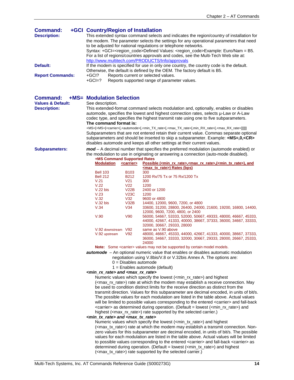| <b>Command:</b>         | +GCI Country/Region of Installation                                                                         |  |  |
|-------------------------|-------------------------------------------------------------------------------------------------------------|--|--|
| <b>Description:</b>     | This extended syntax command selects and indicates the region/country of installation for                   |  |  |
|                         | the modem. The parameter selects the settings for any operational parameters that need                      |  |  |
|                         | to be adjusted for national regulations or telephone networks.                                              |  |  |
|                         | Syntax: +GCI= <region_code>Defined Values: <region_code>Example: Euro/Nam = B5.</region_code></region_code> |  |  |
|                         | For a list of regions/countries approvals and codes, see the Multi-Tech Web site at:                        |  |  |
|                         | http://www.multitech.com/PRODUCTS/Info/approvals                                                            |  |  |
| Default:                | If the modem is specified for use in only one country, the country code is the default.                     |  |  |
|                         | Otherwise, the default is defined by the OEM. The factory default is B5.                                    |  |  |
| <b>Report Commands:</b> | Reports current or selected values.<br>+GCI?                                                                |  |  |
|                         | Reports supported range of parameter values.<br>$+GCI=?$                                                    |  |  |

# **Command: +MS= Modulation Selection**

**Values & Default:**<br>Description:

**Description:** This extended-format command selects modulation and, optionally, enables or disables automode, specifies the lowest and highest connection rates, selects µ-Law or A-Law codec type, and specifies the highest transmit rate using one to five subparameters. **The command format is:**

+MS=[+MS=[<carrier>[,<automode>[,<min\_TX\_rate>[,<max\_TX\_rate>[,min\_RX\_rate>[,<max\_RX\_rate>]]]]]] Subparameters that are not entered retain their current value. Commas separate optional subparameters and should be inserted to skip a subparameter. Example: **+MS=,0,<CR>** disables automode and keeps all other settings at their current values.

**Subparameters:** *mod –* A decimal number that specifies the preferred modulation (automode enabled) or the modulation to use in originating or answering a connection (auto-mode disabled). **+MS Command Supported Rates**

| <b>Modulation</b> | <carrier></carrier> | Possible ( <min rate="" rx="">,<max rate="" rx="">,(<min rate="" tx="">), and</min></max></min> |
|-------------------|---------------------|-------------------------------------------------------------------------------------------------|
|                   |                     | <max rate="" tx="">) Rates (bps)</max>                                                          |
| <b>Bell 103</b>   | B <sub>103</sub>    | 300                                                                                             |
| <b>Bell 212</b>   | B <sub>212</sub>    | 1200 Rx/75 Tx or 75 Rx/1200 Tx                                                                  |
| V.21              | V21                 | 300                                                                                             |
| V.22              | V22                 | 1200                                                                                            |
| $V.22$ bis        | V22B                | 2400 or 1200                                                                                    |
| V.23              | V <sub>23C</sub>    | 1200                                                                                            |
| V.32              | V32                 | 9600 or 4800                                                                                    |
| $V.32$ bis        | V32B                | 14400, 12000, 9600, 7200, or 4800                                                               |
| V.34              | V34                 | 33600, 31200, 28800, 26400, 24000, 21600, 19200, 16800, 14400,                                  |
|                   |                     | 12000, 9600, 7200, 4800, or 2400                                                                |
| V.90              | V90                 | 56000, 54667, 53333, 52000, 50667, 49333, 48000, 46667, 45333,                                  |
|                   |                     | 44000, 42667, 41333, 40000, 38667, 37333, 36000, 34667, 33333,                                  |
|                   |                     | 32000. 30667. 29333. 28000                                                                      |
| V.92 downstream   | V92                 | same as V.90 above                                                                              |
| V.92 upstream     | V92                 | 48000, 46667, 45333, 44000, 42667, 41333, 40000, 38667, 37333,                                  |
|                   |                     | 36000, 34667, 33333, 32000, 30667, 29333, 28000, 26667, 25333,                                  |
|                   |                     | 24000                                                                                           |

Note: Some <carrier> values may not be supported by certain model models.

*automode –* An optional numeric value that enables or disables automatic modulation negotiation using V.8bis/V.8 or V.32bis Annex A. The options are:

- $0 =$  Disables automode
- 1 = Enables automode (default)

#### *<min\_rx\_rate> and <max\_rx\_rate>*

Numeric values which specify the lowest (<min\_rx\_rate>) and highest (<max\_rx\_rate>) rate at which the modem may establish a receive connection. May be used to condition distinct limits for the receive direction as distinct from the transmit direction. Values for this subparameter are decimal encoded, in units of bit/s. The possible values for each modulation are listed in the table above. Actual values will be limited to possible values corresponding to the entered <carrier> and fall-back <carrier> as determined during operation. (Default = lowest (<min\_rx\_rate>) and highest (<max rx rate>) rate supported by the selected carrier.)

#### *<min\_tx\_rate> and <max\_tx\_rate>*

Numeric values which specify the lowest (<min\_tx\_rate>) and highest (<max\_tx\_rate>) rate at which the modem may establish a transmit connection. Nonzero values for this subparameter are decimal encoded, in units of bit/s. The possible values for each modulation are listed in the table above. Actual values will be limited to possible values corresponding to the entered <carrier> and fall-back <carrier> as determined during operation. (Default = lowest (<min\_tx\_rate>) and highest (<max\_tx\_rate>) rate supported by the selected carrier.)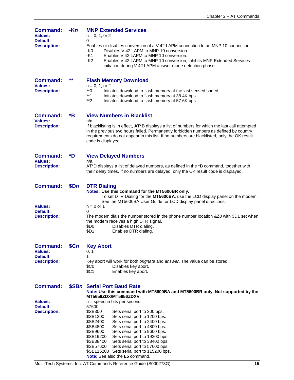| <b>Command:</b><br><b>Values:</b>                        | $-Kn$ | <b>MNP Extended Services</b><br>$n = 0, 1,$ or 2                                                                                                                                                                                                                                                             |  |  |  |
|----------------------------------------------------------|-------|--------------------------------------------------------------------------------------------------------------------------------------------------------------------------------------------------------------------------------------------------------------------------------------------------------------|--|--|--|
| Default:<br><b>Description:</b>                          |       | 0<br>Enables or disables conversion of a V.42 LAPM connection to an MNP 10 connection.<br>-K0<br>Disables V.42 LAPM to MNP 10 conversion.<br>-K1<br>Enables V.42 LAPM to MNP 10 conversion.<br>-K2<br>Enables V.42 LAPM to MNP 10 conversion; inhibits MNP Extended Services                                 |  |  |  |
|                                                          |       | initiation during V.42 LAPM answer mode detection phase.                                                                                                                                                                                                                                                     |  |  |  |
| <b>Command:</b><br><b>Values:</b><br><b>Description:</b> | **    | <b>Flash Memory Download</b><br>$n = 0, 1, or 2$<br>$*$ 0<br>Initiates download to flash memory at the last sensed speed.                                                                                                                                                                                    |  |  |  |
|                                                          |       | $**1$<br>Initiates download to flash memory at 38.4K bps.<br>**2<br>Initiates download to flash memory at 57.6K bps.                                                                                                                                                                                         |  |  |  |
| <b>Command:</b><br><b>Values:</b>                        | *B    | <b>View Numbers in Blacklist</b><br>n/a                                                                                                                                                                                                                                                                      |  |  |  |
| <b>Description:</b>                                      |       | If blacklisting is in effect, AT*B displays a list of numbers for which the last call attempted<br>in the previous two hours failed. Permanently forbidden numbers as defined by country<br>requirements do not appear in this list. If no numbers are blacklisted, only the OK result<br>code is displayed. |  |  |  |
| <b>Command:</b><br><b>Values:</b>                        | *D    | <b>View Delayed Numbers</b><br>n/a                                                                                                                                                                                                                                                                           |  |  |  |
| <b>Description:</b>                                      |       | AT*D displays a list of delayed numbers, as defined in the *B command, together with<br>their delay times. If no numbers are delayed, only the OK result code is displayed.                                                                                                                                  |  |  |  |
| <b>Command:</b>                                          | \$Dn  | <b>DTR Dialing</b><br>Notes: Use this command for the MT5600BR only.<br>To set DTR Dialing for the MT5600BA, use the LCD display panel on the modem.<br>See the MT5600BA User Guide for LCD display panel directions.                                                                                        |  |  |  |
| <b>Values:</b><br>Default:                               |       | $n = 0$ or 1<br>0                                                                                                                                                                                                                                                                                            |  |  |  |
| <b>Description:</b>                                      |       | The modem dials the number stored in the phone number location & Z0 with \$D1 set when<br>the modem receives a high DTR signal.<br>Disables DTR dialing.<br>\$D <sub>0</sub><br>\$D1<br>Enables DTR dialing.                                                                                                 |  |  |  |
| <b>Command:</b>                                          | \$Cn  | <b>Key Abort</b>                                                                                                                                                                                                                                                                                             |  |  |  |
| <b>Values:</b><br>Default:                               |       | 0, 1<br>1                                                                                                                                                                                                                                                                                                    |  |  |  |
| <b>Description:</b>                                      |       | Key abort will work for both orignate and answer. The value can be stored.<br>Disables key abort.<br>\$C0<br>\$C1<br>Enables key abort.                                                                                                                                                                      |  |  |  |
| <b>Command:</b>                                          |       | \$SBn Serial Port Baud Rate<br>Note: Use this command with MT5600BA and MT5600BR only. Not supported by the<br>MT5656ZDX/MT5656ZDXV                                                                                                                                                                          |  |  |  |
| <b>Values:</b><br>Default:                               |       | $n = speed$ in bits per second<br>57600                                                                                                                                                                                                                                                                      |  |  |  |
| <b>Description:</b>                                      |       | \$SB300<br>Sets serial port to 300 bps.<br>\$SB1200                                                                                                                                                                                                                                                          |  |  |  |
|                                                          |       | Sets serial port to 1200 bps.<br>\$SB2400<br>Sets serial port to 2400 bps.                                                                                                                                                                                                                                   |  |  |  |
|                                                          |       | \$SB4800<br>Sets serial port to 4800 bps.<br>\$SB9600<br>Sets serial port to 9600 bps.                                                                                                                                                                                                                       |  |  |  |
|                                                          |       | \$SB19200<br>Sets serial port to 19200 bps.                                                                                                                                                                                                                                                                  |  |  |  |
|                                                          |       | \$SB38400<br>Sets serial port to 38400 bps.<br>Sets serial port to 57600 bps.<br>\$SB57600                                                                                                                                                                                                                   |  |  |  |
|                                                          |       | \$SB115200<br>Sets serial port to 115200 bps.                                                                                                                                                                                                                                                                |  |  |  |

**Note:** See also the **L5** command.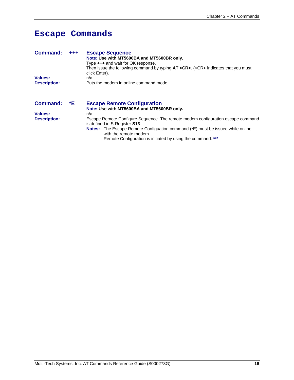# **Escape Commands**

| <b>Command:</b>     | $+ + +$ | <b>Escape Sequence</b>                                                                      |
|---------------------|---------|---------------------------------------------------------------------------------------------|
|                     |         | Note: Use with MT5600BA and MT5600BR only.                                                  |
|                     |         | Type +++ and wait for OK response.                                                          |
|                     |         | Then issue the following command by typing $AT < CR$ >. ( <cr> indicates that you must</cr> |
|                     |         | click Enter).                                                                               |
| <b>Values:</b>      |         | n/a                                                                                         |
| <b>Description:</b> |         | Puts the modem in online command mode.                                                      |
|                     |         |                                                                                             |
|                     |         |                                                                                             |
|                     |         |                                                                                             |

| <b>Command:</b>     | *E | <b>Escape Remote Configuration</b><br>Note: Use with MT5600BA and MT5600BR only.                                                                                               |  |  |
|---------------------|----|--------------------------------------------------------------------------------------------------------------------------------------------------------------------------------|--|--|
| Values:             |    | n/a                                                                                                                                                                            |  |  |
| <b>Description:</b> |    | Escape Remote Configure Sequence. The remote modem configuration escape command<br>is defined in S-Register S13.                                                               |  |  |
|                     |    | <b>Notes:</b> The Escape Remote Configuation command (*E) must be issued while online<br>with the remote modem.<br>Remote Configuration is initiated by using the command: *** |  |  |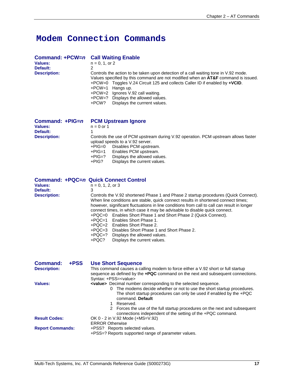# **Modem Connection Commands**

| Command: +PCW=n<br><b>Values:</b><br>Default:<br><b>Description:</b> | <b>Call Waiting Enable</b><br>$n = 0, 1, or 2$<br>2<br>Controls the action to be taken upon detection of a call waiting tone in V.92 mode.<br>Values specified by this command are not modified when an <b>AT&amp;F</b> command is issued.<br>$+PCW=0$ Toggles V.24 Circuit 125 and collects Caller ID if enabled by $+VCID$ .<br>+PCW=1<br>Hangs up.<br>+PCW=2 Ignores V.92 call waiting.<br>$+PCW=?$ Displays the allowed values.<br>+PCW?<br>Displays the currrent values. |
|----------------------------------------------------------------------|-------------------------------------------------------------------------------------------------------------------------------------------------------------------------------------------------------------------------------------------------------------------------------------------------------------------------------------------------------------------------------------------------------------------------------------------------------------------------------|
| Command: +PIG=n<br><b>Values:</b><br>Default:<br><b>Description:</b> | <b>PCM Upstream Ignore</b><br>$n = 0$ or 1<br>Controls the use of PCM upstream during V.92 operation. PCM upstream allows faster<br>upload speeds to a V.92 server.<br>+PIG=0<br>Disables PCM upstream.<br>Enables PCM upstream.<br>+PIG=1<br>⊥DIG–?<br>Dienlave the allowed values                                                                                                                                                                                           |

+PIG=? Displays the allowed values.<br>+PIG? Displays the current values. Displays the current values.

**Command: +PQC=***n* **Quick Connect Control n** = 0, 1, 2, or 3<br>3 **Default:**<br>**Description: Description:** Controls the V.92 shortened Phase 1 and Phase 2 startup procedures (Quick Connect). When line conditions are stable, quick connect results in shortened connect times; however, significant fluctuations in line conditions from call to call can result in longer connect times, in which case it may be advisable to disable quick connect. +PQC=0 Enables Short Phase 1 and Short Phase 2 (Quick Connect). +PQC=1 Enables Short Phase 1. +PQC=2 Enables Short Phase 2. +PQC=3 Disables Short Phase 1 and Short Phase 2. +PQC=? Displays the allowed values.<br>+PQC? Displays the current values. Displays the current values.

| +PSS<br>Command:<br><b>Description:</b>         | <b>Use Short Sequence</b><br>This command causes a calling modem to force either a V.92 short or full startup<br>sequence as defined by the $+PQC$ command on the next and subsequent connections.<br>Syntax: +PSS= <value></value>                                                                                                             |  |
|-------------------------------------------------|-------------------------------------------------------------------------------------------------------------------------------------------------------------------------------------------------------------------------------------------------------------------------------------------------------------------------------------------------|--|
| Values:                                         | <value> Decimal number corresponding to the selected sequence.<br/>0 The modems decide whether or not to use the short startup procedures.<br/>The short startup procedures can only be used if enabled by the +PQC<br/>command. Default<br/>1 Reserved.<br/>2 Forces the use of the full startup procedures on the next and subsequent</value> |  |
| <b>Result Codes:</b><br><b>Report Commands:</b> | connections independent of the setting of the +PQC command.<br>OK 0 - 2 in V.92 Mode (+MS=V.92)<br><b>ERROR Otherwise</b><br>+PSS? Reports selected values.<br>+PSS=? Reports supported range of parameter values.                                                                                                                              |  |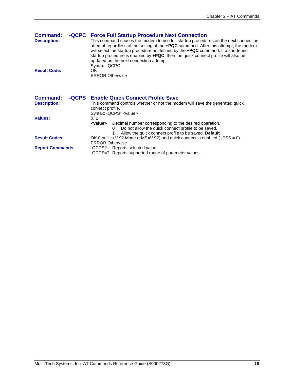| Command:<br><b>Description:</b> |       | -QCPC Force Full Startup Procedure Next Connection<br>This command causes the modem to use full startup procedures on the next connection<br>attempt regardless of the setting of the <b>+PQC</b> command. After this attempt, the modem<br>will select the startup procedure as defined by the <b>+PQC</b> command. If a shortened<br>startup procedure is enabled by $+PQC$ , then the quick connect profile will also be<br>updated on the next connection attempt.<br>Syntax: -QCPC |
|---------------------------------|-------|-----------------------------------------------------------------------------------------------------------------------------------------------------------------------------------------------------------------------------------------------------------------------------------------------------------------------------------------------------------------------------------------------------------------------------------------------------------------------------------------|
| <b>Result Code:</b>             |       | OK.<br><b>ERROR Otherwise</b>                                                                                                                                                                                                                                                                                                                                                                                                                                                           |
| <b>Command:</b>                 | -QCPS | <b>Enable Quick Connect Profile Save</b>                                                                                                                                                                                                                                                                                                                                                                                                                                                |
| <b>Description:</b>             |       | This command controls whether or not the modem will save the generated quick<br>connect profile.<br>Syntax: - QCPS= <value></value>                                                                                                                                                                                                                                                                                                                                                     |
| Values:                         |       | 0, 1<br>Decimal number corresponding to the desired operation.<br><value><br/>Do not allow the quick connect profile to be saved.<br/>0<br/>Allow the quick connect profile to be saved. Default</value>                                                                                                                                                                                                                                                                                |
| <b>Result Codes:</b>            |       | OK 0 or 1 in V.92 Mode (+MS=V.92) and quick connect is enabled (+PSS = 0)                                                                                                                                                                                                                                                                                                                                                                                                               |

ERROR Otherwise

**Report Commands:** -QCPS? Reports selected value

-QCPS=? Reports supported range of parameter values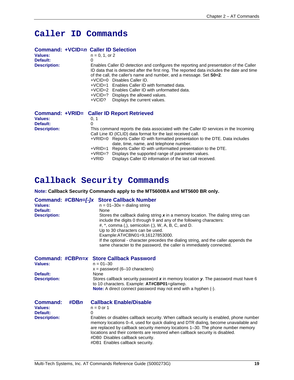# **Caller ID Commands**

#### **Command: +VCID=***n* **Caller ID Selection**  $n = 0, 1,$  or 2 **Default:** 0<br>**Description:** E **Description:** Enables Caller ID detection and configures the reporting and presentation of the Caller ID data that is detected after the first ring. The reported data includes the date and time of the call, the caller's name and number, and a message. Set **S0=2**. +VCID=0 Disables Caller ID. +VCID=1 Enables Caller ID with formatted data. +VCID=2 Enables Caller ID with unformatted data. +VCID=? Displays the allowed values. +VCID? Displays the current values. **Command: +VRID= Caller ID Report Retrieved Values: Values:** 0, 1 **Default:**<br>**Description:** This command reports the data associated with the Caller ID services in the Incoming Call Line ID (ICLID) data format for the last received call. +VRID=0 Reports Caller ID with formatted presentation to the DTE. Data includes date, time, name, and telephone number. +VRID=1 Reports Caller ID with unformatted presentation to the DTE. +VRID=? Displays the supported range of parameter values.

Displays Caller ID information of the last call received.

# **Callback Security Commands**

**Note: Callback Security Commands apply to the MT5600BA and MT5600 BR only.**

| Values:<br>Default:<br><b>Description:</b>                    |         | Command: #CBNn=[-]x Store Callback Number<br>$n = 01 - 30x =$ dialing string<br>None<br>Stores the callback dialing string $x$ in a memory location. The dialing string can<br>include the digits 0 through 9 and any of the following characters:<br>$\#$ , $*$ , comma (,), semicolon (;), W, A, B, C, and D.<br>Up to 30 characters can be used.<br>Example:AT#CBN01=9,16127853000.<br>If the optional - character precedes the dialing string, and the caller appends the<br>same character to the password, the caller is immediately connected. |
|---------------------------------------------------------------|---------|-------------------------------------------------------------------------------------------------------------------------------------------------------------------------------------------------------------------------------------------------------------------------------------------------------------------------------------------------------------------------------------------------------------------------------------------------------------------------------------------------------------------------------------------------------|
| Values:<br>Default:<br><b>Description:</b>                    |         | Command: #CBPn=x Store Callback Password<br>$n = 01 - 30$<br>$x =$ password (6–10 characters)<br>None<br>Stores callback security password $x$ in memory location $y$ . The password must have 6<br>to 10 characters. Example: AT#CBP01=gilamep.<br><b>Note:</b> A direct connect password may not end with a hyphen (-).                                                                                                                                                                                                                             |
| <b>Command:</b><br>Values:<br>Default:<br><b>Description:</b> | $\#DBn$ | <b>Callback Enable/Disable</b><br>$n = 0$ or 1<br>0<br>Enables or disables callback security. When callback security is enabled, phone number<br>memory locations 0–4, used for quick dialing and DTR dialing, become unavailable and<br>are replaced by callback security memory locations 1–30. The phone number memory                                                                                                                                                                                                                             |

are replaced by callback security memory locations 1–30. The phone number memory locations and their contents are restored when callback security is disabled. #DB0 Disables callback security. #DB1 Enables callback security.

Multi-Tech Systems, Inc. AT Commands Reference Guide (S000273G) **19**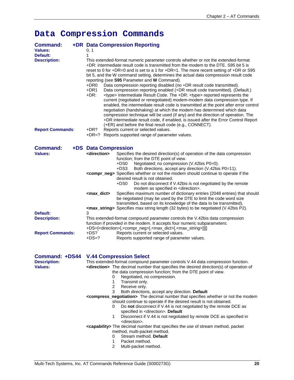# **Data Compression Commands**

| <b>Command:</b><br><b>Values:</b>      |  | 0, 1                                                                                                                                                                                                                                                                                                                                                                                                               | +DR Data Compression Reporting                                                                                                                                                                                                                                                                                                                                                                                                                                                                                                                                                                                                                                                                                                             |  |  |
|----------------------------------------|--|--------------------------------------------------------------------------------------------------------------------------------------------------------------------------------------------------------------------------------------------------------------------------------------------------------------------------------------------------------------------------------------------------------------------|--------------------------------------------------------------------------------------------------------------------------------------------------------------------------------------------------------------------------------------------------------------------------------------------------------------------------------------------------------------------------------------------------------------------------------------------------------------------------------------------------------------------------------------------------------------------------------------------------------------------------------------------------------------------------------------------------------------------------------------------|--|--|
| <b>Default:</b><br><b>Description:</b> |  | 1<br>This extended-format numeric parameter controls whether or not the extended-format<br>+DR; intermediate result code is transmitted from the modem to the DTE. S95 bit 5 is<br>reset to 0 for +DR=0 and is set to a 1 for +DR=1. The more recent setting of +DR or S95<br>bit 5, and the W command setting, determines the actual data compression result code<br>reporting (see S95 Parameter and W Command). |                                                                                                                                                                                                                                                                                                                                                                                                                                                                                                                                                                                                                                                                                                                                            |  |  |
|                                        |  | +DR0<br>+DR1<br>$+DR:$                                                                                                                                                                                                                                                                                                                                                                                             | Data compression reporting disabled (no +DR result code transmitted).<br>Data compression reporting enabled (+DR result code transmitted). (Default.)<br><type> Intermediate Result Code. The +DR: <type> reported represents the<br/>current (negotiated or renegotiated) modem-modem data compression type. If<br/>enabled, the intermediate result code is transmitted at the point after error control<br/>negotiation (handshaking) at which the modem has determined which data<br/>compression technique will be used (if any) and the direction of operation. The<br/>+DR intermediate result code, if enabled, is issued after the Error Control Report<br/>(+ER) and before the final result code (e.g., CONNECT).</type></type> |  |  |
| <b>Report Commands:</b>                |  | +DR?                                                                                                                                                                                                                                                                                                                                                                                                               | Reports current or selected values.<br>+DR=? Reports supported range of parameter values.                                                                                                                                                                                                                                                                                                                                                                                                                                                                                                                                                                                                                                                  |  |  |
| <b>Command:</b>                        |  | +DS Data Compression                                                                                                                                                                                                                                                                                                                                                                                               |                                                                                                                                                                                                                                                                                                                                                                                                                                                                                                                                                                                                                                                                                                                                            |  |  |
| <b>Values:</b>                         |  | <direction></direction>                                                                                                                                                                                                                                                                                                                                                                                            | Specifies the desired direction(s) of operation of the data compression<br>function; from the DTE point of view.<br>$+DS0$<br>Negotiated; no compression (V.42bis P0=0).                                                                                                                                                                                                                                                                                                                                                                                                                                                                                                                                                                   |  |  |
|                                        |  |                                                                                                                                                                                                                                                                                                                                                                                                                    | Both directions, accept any direction (V.42bis P0=11).<br>+DS3<br><compr_neg> Specifies whether or not the modem should continue to operate if the<br/>desired result is not obtained.<br/>+DS0<br/>Do not disconnect if V.42bis is not negotiated by the remote<br/>modem as specified in <direction>.</direction></compr_neg>                                                                                                                                                                                                                                                                                                                                                                                                            |  |  |
|                                        |  | <max_dict></max_dict>                                                                                                                                                                                                                                                                                                                                                                                              | Specifies maximum number of dictionary entries (2048 entries) that should<br>be negotiated (may be used by the DTE to limit the code word size<br>transmitted, based on its knowledge of the data to be transmitted).<br><max_string> Specifies max string length (32 bytes) to be negotiated (V.42bis P2).</max_string>                                                                                                                                                                                                                                                                                                                                                                                                                   |  |  |
| Default:                               |  | 3                                                                                                                                                                                                                                                                                                                                                                                                                  |                                                                                                                                                                                                                                                                                                                                                                                                                                                                                                                                                                                                                                                                                                                                            |  |  |
| <b>Description:</b>                    |  |                                                                                                                                                                                                                                                                                                                                                                                                                    | This extended-format compound parameter controls the V.42bis data compression<br>function if provided in the modem. It accepts four numeric subparameters:<br>+DS=[ <direction>[,<compr_neg>[,<max_dict>[,<max_string>]]]]</max_string></max_dict></compr_neg></direction>                                                                                                                                                                                                                                                                                                                                                                                                                                                                 |  |  |
| <b>Report Commands:</b>                |  | $+DS?$<br>$+DS=?$                                                                                                                                                                                                                                                                                                                                                                                                  | Reports current or selected values.<br>Reports supported range of parameter values.                                                                                                                                                                                                                                                                                                                                                                                                                                                                                                                                                                                                                                                        |  |  |
|                                        |  |                                                                                                                                                                                                                                                                                                                                                                                                                    |                                                                                                                                                                                                                                                                                                                                                                                                                                                                                                                                                                                                                                                                                                                                            |  |  |
| Command: +DS44 V.44 Compression Select |  |                                                                                                                                                                                                                                                                                                                                                                                                                    | This extended-format compound parameter controls V.44 data compression function.                                                                                                                                                                                                                                                                                                                                                                                                                                                                                                                                                                                                                                                           |  |  |
| <b>Description:</b><br><b>Values:</b>  |  |                                                                                                                                                                                                                                                                                                                                                                                                                    | <direction> The decimal number that specifies the desired direction(s) of operation of<br/>the data compression function; from the DTE point of view.</direction>                                                                                                                                                                                                                                                                                                                                                                                                                                                                                                                                                                          |  |  |
|                                        |  | 0<br>1<br>$\overline{2}$                                                                                                                                                                                                                                                                                                                                                                                           | Negotiated, no compression.<br>Transmit only.<br>Receive only.                                                                                                                                                                                                                                                                                                                                                                                                                                                                                                                                                                                                                                                                             |  |  |
|                                        |  | 3                                                                                                                                                                                                                                                                                                                                                                                                                  | Both directions, accept any direction. Default                                                                                                                                                                                                                                                                                                                                                                                                                                                                                                                                                                                                                                                                                             |  |  |
|                                        |  | 0                                                                                                                                                                                                                                                                                                                                                                                                                  | <compress_negotiation> The decimal number that specifies whether or not the modem<br/>should continue to operate if the desired result is not obtained.<br/>Do not disconnect if V.44 is not negotiated by the remote DCE as</compress_negotiation>                                                                                                                                                                                                                                                                                                                                                                                                                                                                                        |  |  |
|                                        |  | 1.                                                                                                                                                                                                                                                                                                                                                                                                                 | specified in <direction>. Default<br/>Disconnect if V.44 is not negotiated by remote DCE as specified in</direction>                                                                                                                                                                                                                                                                                                                                                                                                                                                                                                                                                                                                                       |  |  |
|                                        |  |                                                                                                                                                                                                                                                                                                                                                                                                                    | <direction>.</direction>                                                                                                                                                                                                                                                                                                                                                                                                                                                                                                                                                                                                                                                                                                                   |  |  |
|                                        |  |                                                                                                                                                                                                                                                                                                                                                                                                                    | <capability> The decimal number that specifies the use of stream method, packet<br/>method, multi-packet method.</capability>                                                                                                                                                                                                                                                                                                                                                                                                                                                                                                                                                                                                              |  |  |
|                                        |  | 0                                                                                                                                                                                                                                                                                                                                                                                                                  | Stream method. Default                                                                                                                                                                                                                                                                                                                                                                                                                                                                                                                                                                                                                                                                                                                     |  |  |
|                                        |  | 1                                                                                                                                                                                                                                                                                                                                                                                                                  | Packet method.                                                                                                                                                                                                                                                                                                                                                                                                                                                                                                                                                                                                                                                                                                                             |  |  |
|                                        |  | 2                                                                                                                                                                                                                                                                                                                                                                                                                  | Multi-packet method.                                                                                                                                                                                                                                                                                                                                                                                                                                                                                                                                                                                                                                                                                                                       |  |  |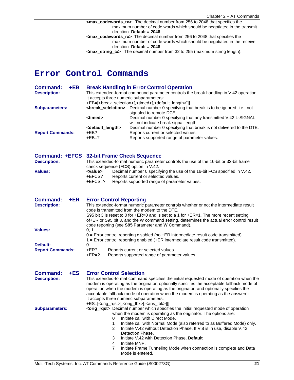**<max\_codewords\_tx>** The decimal number from 256 to 2048 that specifies the maximum number of code words which should be negotiated in the transmit direction. **Default = 2048 <max\_codewords\_rx>** The decimal number from 256 to 2048 that specifies the maximum number of code words which should be negotiated in the receive direction. **Default = 2048 <max\_string\_tx>** The decimal number from 32 to 255 (maximum string length).

# **Error Control Commands**

| +EB<br><b>Command:</b><br><b>Description:</b>   | <b>Break Handling in Error Control Operation</b><br>This extended-format compound parameter controls the break handling in V.42 operation.<br>It accepts three numeric subparameters:<br>+EB=[ <break_selection>[,<timed>[,<default_length>]]]</default_length></timed></break_selection> |  |  |  |
|-------------------------------------------------|-------------------------------------------------------------------------------------------------------------------------------------------------------------------------------------------------------------------------------------------------------------------------------------------|--|--|--|
| <b>Subparameters:</b>                           | Decimal number 0 specifying that break is to be ignored; i.e., not<br><break_selelction><br/>signaled to remote DCE.</break_selelction>                                                                                                                                                   |  |  |  |
|                                                 | <timed><br/>Decimal number 0 specifying that any transmitted V.42 L-SIGNAL<br/>will not indicate break signal length.</timed>                                                                                                                                                             |  |  |  |
| <b>Report Commands:</b>                         | <default_length><br/>Decimal number 0 specifying that break is not delivered to the DTE.<br/>+EB?<br/>Reports current or selected values.</default_length>                                                                                                                                |  |  |  |
|                                                 | $+EB=?$<br>Reports supported range of parameter values.                                                                                                                                                                                                                                   |  |  |  |
|                                                 | Command: +EFCS 32-bit Frame Check Sequence                                                                                                                                                                                                                                                |  |  |  |
| <b>Description:</b>                             | This extended-format numeric parameter controls the use of the 16-bit or 32-bit frame<br>check sequence (FCS) option in V.42.                                                                                                                                                             |  |  |  |
| <b>Values:</b>                                  | Decimal number 0 specifying the use of the 16-bit FCS specified in V.42.<br><value></value>                                                                                                                                                                                               |  |  |  |
|                                                 | +EFCS?<br>Reports current or selected values.                                                                                                                                                                                                                                             |  |  |  |
|                                                 | $+EFCS=?$<br>Reports supported range of parameter values.                                                                                                                                                                                                                                 |  |  |  |
| <b>Command:</b><br>$+ER$<br><b>Description:</b> | <b>Error Control Reporting</b><br>This extended-format numeric parameter controls whether or not the intermediate result                                                                                                                                                                  |  |  |  |
|                                                 | code is transmitted from the modem to the DTE.                                                                                                                                                                                                                                            |  |  |  |
|                                                 | S95 bit 3 is reset to 0 for +ER=0 and is set to a 1 for +ER=1. The more recent setting                                                                                                                                                                                                    |  |  |  |
|                                                 | of+ER or S95 bit 3, and the W command setting, determines the actual error control result<br>code reporting (see S95 Parameter and W Command).                                                                                                                                            |  |  |  |
| <b>Values:</b>                                  | 0, 1                                                                                                                                                                                                                                                                                      |  |  |  |
| Default:                                        | $0 =$ Error control reporting disabled (no $+E$ R intermediate result code transmitted).<br>1 = Error control reporting enabled (+ER intermediate result code transmitted).                                                                                                               |  |  |  |
| <b>Report Commands:</b>                         | 0<br>+ER?<br>Reports current or selected values.                                                                                                                                                                                                                                          |  |  |  |
|                                                 | $+ER=?$<br>Reports supported range of parameter values.                                                                                                                                                                                                                                   |  |  |  |
| <b>Command:</b><br>$+ES$                        | <b>Error Control Selection</b>                                                                                                                                                                                                                                                            |  |  |  |
| <b>Description:</b>                             | This extended-format command specifies the initial requested mode of operation when the                                                                                                                                                                                                   |  |  |  |
|                                                 | modem is operating as the originator, optionally specifies the acceptable fallback mode of<br>operation when the modem is operating as the originator, and optionally specifies the                                                                                                       |  |  |  |
|                                                 | acceptable fallback mode of operation when the modem is operating as the answerer.                                                                                                                                                                                                        |  |  |  |
|                                                 | It accepts three numeric subparameters:                                                                                                                                                                                                                                                   |  |  |  |
| <b>Subparameters:</b>                           | +ES=[ <orig_rqst>[,<orig_fbk>[,<ans_fbk>]]]<br/><orig_rqst> Decimal number which specifies the initial requested mode of operation</orig_rqst></ans_fbk></orig_fbk></orig_rqst>                                                                                                           |  |  |  |
|                                                 | when the modem is operating as the originator. The options are:                                                                                                                                                                                                                           |  |  |  |
|                                                 | Initiate call with Direct Mode.<br>0                                                                                                                                                                                                                                                      |  |  |  |
|                                                 | 1<br>Initiate call with Normal Mode (also referred to as Buffered Mode) only.<br>Initiate V.42 without Detection Phase. If V.8 is in use, disable V.42<br>2                                                                                                                               |  |  |  |
|                                                 | Detection Phase.<br>Initiate V.42 with Detection Phase. Default<br>3                                                                                                                                                                                                                      |  |  |  |
|                                                 | 4<br>Initiate MNP.                                                                                                                                                                                                                                                                        |  |  |  |
|                                                 | Initiate Frame Tunneling Mode when connection is complete and Data<br>7<br>Mode is entered.                                                                                                                                                                                               |  |  |  |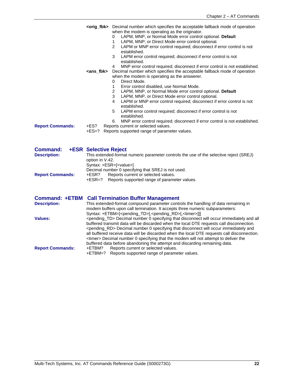|                                        | <ans fbk=""></ans>                                                                 | <orig_fbk> Decimal number which specifies the acceptable fallback mode of operation<br/>when the modem is operating as the originator.<br/>LAPM, MNP, or Normal Mode error control optional. Default<br/>0<br/>LAPM, MNP, or Direct Mode error control optional.<br/>1<br/><math>\overline{2}</math><br/>LAPM or MNP error control required; disconnect if error control is not<br/>established.<br/>3<br/>LAPM error control required; disconnect if error control is not<br/>established.<br/>MNP error control required; disconnect if error control is not established.<br/>4<br/>Decimal number which specifies the acceptable fallback mode of operation<br/>when the modem is operating as the answerer.<br/>Direct Mode.<br/>0<br/>1<br/>Error control disabled, use Normal Mode.<br/><math>\overline{2}</math><br/>LAPM, MNP, or Normal Mode error control optional. Default<br/>3<br/>LAPM, MNP, or Direct Mode error control optional.<br/>4<br/>LAPM or MNP error control required; disconnect if error control is not<br/>established.<br/>LAPM error control required; disconnect if error control is not<br/>5</orig_fbk> |
|----------------------------------------|------------------------------------------------------------------------------------|------------------------------------------------------------------------------------------------------------------------------------------------------------------------------------------------------------------------------------------------------------------------------------------------------------------------------------------------------------------------------------------------------------------------------------------------------------------------------------------------------------------------------------------------------------------------------------------------------------------------------------------------------------------------------------------------------------------------------------------------------------------------------------------------------------------------------------------------------------------------------------------------------------------------------------------------------------------------------------------------------------------------------------------------------------------------------------------------------------------------------------------|
| <b>Report Commands:</b>                | +ES?<br>+ES=?                                                                      | established.<br>MNP error control required; disconnect if error control is not established.<br>6<br>Reports current or selected values.<br>Reports supported range of parameter values.                                                                                                                                                                                                                                                                                                                                                                                                                                                                                                                                                                                                                                                                                                                                                                                                                                                                                                                                                  |
| <b>Command:</b><br><b>Description:</b> | <b>+ESR Selective Reject</b><br>option in V.42.<br>Syntax: +ESR=[ <value>]</value> | This extended-format numeric parameter controls the use of the selective reject (SREJ)                                                                                                                                                                                                                                                                                                                                                                                                                                                                                                                                                                                                                                                                                                                                                                                                                                                                                                                                                                                                                                                   |
| <b>Report Commands:</b>                | +ESR?<br>+ESR=?                                                                    | Decimal number 0 specifying that SREJ is not used.<br>Reports current or selected values.<br>Reports supported range of parameter values.                                                                                                                                                                                                                                                                                                                                                                                                                                                                                                                                                                                                                                                                                                                                                                                                                                                                                                                                                                                                |
| <b>Description:</b>                    |                                                                                    | <b>Command: +ETBM Call Termination Buffer Management</b><br>This extended-format compound parameter controls the handling of data remaining in<br>modem buffers upon call termination. It accepts three numeric subparameters:                                                                                                                                                                                                                                                                                                                                                                                                                                                                                                                                                                                                                                                                                                                                                                                                                                                                                                           |
| <b>Values:</b>                         |                                                                                    | Syntax: +ETBM=[ <pending_td>[,<pending_rd>[,<timer>]]]<br/><pending_td> Decimal number 0 specifying that disconnect will occur immediately and all<br/>buffered transmit data will be discarded when the local DTE requests call disconnection.<br/><pending_rd> Decimal number 0 specifying that disconnect will occur immediately and<br/>all buffered receive data will be discarded when the local DTE requests call disconnection.<br/><timer> Decimal number 0 specifying that the modem will not attempt to deliver the<br/>buffered data before abandoning the attempt and discarding remaining data.</timer></pending_rd></pending_td></timer></pending_rd></pending_td>                                                                                                                                                                                                                                                                                                                                                                                                                                                        |
| <b>Report Commands:</b>                | +ETBM?                                                                             | Reports current or selected values.<br>$TTDM 0.$ Departs currented report of portameter units                                                                                                                                                                                                                                                                                                                                                                                                                                                                                                                                                                                                                                                                                                                                                                                                                                                                                                                                                                                                                                            |

+ETBM=? Reports supported range of parameter values.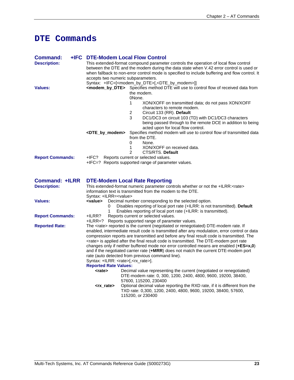# **DTE Commands**

| Command:                                     | +IFC DTE-Modem Local Flow Control                                                    |                                                                                                                                                                                                 |  |  |  |  |
|----------------------------------------------|--------------------------------------------------------------------------------------|-------------------------------------------------------------------------------------------------------------------------------------------------------------------------------------------------|--|--|--|--|
| <b>Description:</b>                          | This extended-format compound parameter controls the operation of local flow control |                                                                                                                                                                                                 |  |  |  |  |
|                                              |                                                                                      | between the DTE and the modem during the data state when V.42 error control is used or                                                                                                          |  |  |  |  |
|                                              |                                                                                      | when fallback to non-error control mode is specified to include buffering and flow control. It                                                                                                  |  |  |  |  |
|                                              | accepts two numeric subparameters.                                                   |                                                                                                                                                                                                 |  |  |  |  |
|                                              |                                                                                      | Syntax: +IFC=[ <modem_by_dte>[,<dte_by_modem>]]</dte_by_modem></modem_by_dte>                                                                                                                   |  |  |  |  |
| <b>Values:</b>                               |                                                                                      | <modem_by_dte> Specifies method DTE will use to control flow of received data from</modem_by_dte>                                                                                               |  |  |  |  |
|                                              |                                                                                      | the modem.                                                                                                                                                                                      |  |  |  |  |
|                                              |                                                                                      | 0None.                                                                                                                                                                                          |  |  |  |  |
|                                              |                                                                                      | 1<br>XON/XOFF on transmitted data; do not pass XON/XOFF                                                                                                                                         |  |  |  |  |
|                                              |                                                                                      | characters to remote modem.                                                                                                                                                                     |  |  |  |  |
|                                              |                                                                                      | 2<br>Circuit 133 (RR). Default                                                                                                                                                                  |  |  |  |  |
|                                              |                                                                                      | 3<br>DC1/DC3 on circuit 103 (TD) with DC1/DC3 characters                                                                                                                                        |  |  |  |  |
|                                              |                                                                                      | being passed through to the remote DCE in addition to being                                                                                                                                     |  |  |  |  |
|                                              |                                                                                      | acted upon for local flow control.                                                                                                                                                              |  |  |  |  |
|                                              | <dte_by_modem></dte_by_modem>                                                        | Specifies method modem will use to control flow of transmitted data                                                                                                                             |  |  |  |  |
|                                              |                                                                                      | from the DTE.                                                                                                                                                                                   |  |  |  |  |
|                                              |                                                                                      | 0<br>None.                                                                                                                                                                                      |  |  |  |  |
|                                              |                                                                                      | 1<br>XON/XOFF on received data.                                                                                                                                                                 |  |  |  |  |
|                                              |                                                                                      | $\overline{2}$<br>CTS/RTS. Default                                                                                                                                                              |  |  |  |  |
| <b>Report Commands:</b>                      | +IFC?                                                                                | Reports current or selected values.                                                                                                                                                             |  |  |  |  |
|                                              |                                                                                      | +IFC=? Reports supported range of parameter values.                                                                                                                                             |  |  |  |  |
|                                              |                                                                                      |                                                                                                                                                                                                 |  |  |  |  |
| <b>Command: +ILRR</b><br><b>Description:</b> | Syntax: +ILRR= <value></value>                                                       | <b>DTE-Modem Local Rate Reporting</b><br>This extended-format numeric parameter controls whether or not the +ILRR: <rate><br/>information text is transmitted from the modem to the DTE.</rate> |  |  |  |  |
| <b>Values:</b>                               | <value></value>                                                                      | Decimal number corresponding to the selected option.                                                                                                                                            |  |  |  |  |
|                                              | 0                                                                                    | Disables reporting of local port rate (+ILRR: is not transmitted). Default                                                                                                                      |  |  |  |  |
|                                              | 1                                                                                    | Enables reporting of local port rate (+ILRR: is transmitted).                                                                                                                                   |  |  |  |  |
| <b>Report Commands:</b>                      | +ILRR?                                                                               | Reports current or selected values.                                                                                                                                                             |  |  |  |  |
|                                              |                                                                                      | +ILRR=? Reports supported range of parameter values.                                                                                                                                            |  |  |  |  |
| <b>Reported Rate:</b>                        |                                                                                      | The <rate> reported is the current (negotiated or renegotiated) DTE-modem rate. If</rate>                                                                                                       |  |  |  |  |
|                                              |                                                                                      | enabled, intermediate result code is transmitted after any modulation, error control or data                                                                                                    |  |  |  |  |
|                                              |                                                                                      | compression reports are transmitted and before any final result code is transmitted. The                                                                                                        |  |  |  |  |
|                                              |                                                                                      | <rate> is applied after the final result code is transmitted. The DTE-modem port rate</rate>                                                                                                    |  |  |  |  |
|                                              |                                                                                      | changes only if neither buffered mode nor error controlled means are enabled $(+ES=x,0)$                                                                                                        |  |  |  |  |
|                                              |                                                                                      | and if the negotiated carrier rate (+MRR) does not match the current DTE-modem port                                                                                                             |  |  |  |  |
|                                              |                                                                                      | rate (auto detected from previous command line).                                                                                                                                                |  |  |  |  |
|                                              | Syntax: +ILRR: <rate>[,<rx_rate>].</rx_rate></rate>                                  |                                                                                                                                                                                                 |  |  |  |  |
|                                              | <b>Reported Rate Values:</b>                                                         |                                                                                                                                                                                                 |  |  |  |  |
|                                              | <rate></rate>                                                                        | Decimal value representing the current (negotiated or renegotiated)<br>DTE-modem rate: 0, 300, 1200, 2400, 4800, 9600, 19200, 38400,                                                            |  |  |  |  |
|                                              | <rx_rate></rx_rate>                                                                  | 57600, 115200, 230400<br>Optional decimal value reporting the RXD rate, if it is different from the                                                                                             |  |  |  |  |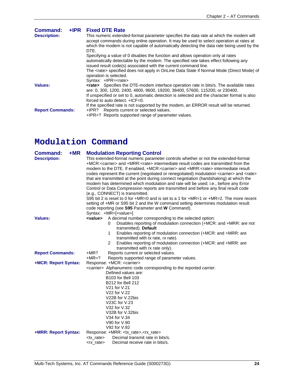| <b>Command:</b><br><b>Description:</b> | +IPR Fixed DTE Rate<br>This numeric extended-format parameter specifies the data rate at which the modem will<br>accept commands during online operation. It may be used to select operation at rates at<br>which the modem is not capable of automatically detecting the data rate being used by the<br>DTE.<br>Specifying a value of 0 disables the function and allows operation only at rates<br>automatically detectable by the modem. The specified rate takes effect following any<br>issued result code(s) associated with the current command line.<br>The <rate> specified does not apply in OnLine Data State if Normal Mode (Direct Mode) of</rate> |
|----------------------------------------|-----------------------------------------------------------------------------------------------------------------------------------------------------------------------------------------------------------------------------------------------------------------------------------------------------------------------------------------------------------------------------------------------------------------------------------------------------------------------------------------------------------------------------------------------------------------------------------------------------------------------------------------------------------------|
| Values:                                | operation is selected.<br>Syntax: +IPR= <rate><br/><b><rate></rate></b> Specifies the DTE-modem interface operation rate in bits/s. The available rates<br/>are: 0, 300, 1200, 2400, 4800, 9600, 19200, 38400, 57600, 115200, or 230400.<br/>If unspecified or set to 0, automatic detection is selected and the character format is also</rate>                                                                                                                                                                                                                                                                                                                |
| <b>Report Commands:</b>                | forced to auto detect. $+ICF=0$ .<br>If the specified rate is not supported by the modem, an ERROR result will be returned.<br>+IPR? Reports current or selected values.<br>+IPR=? Reports supported range of parameter values.                                                                                                                                                                                                                                                                                                                                                                                                                                 |

# **Modulation Command**

| $+MR$<br><b>Command:</b> | <b>Modulation Reporting Control</b>                                                                                                     |  |  |  |  |  |
|--------------------------|-----------------------------------------------------------------------------------------------------------------------------------------|--|--|--|--|--|
| <b>Description:</b>      | This extended-format numeric parameter controls whether or not the extended-format                                                      |  |  |  |  |  |
|                          | +MCR: <carrier> and +MRR:<rate> intermediate result codes are transmitted from the</rate></carrier>                                     |  |  |  |  |  |
|                          | modem to the DTE. If enabled, +MCR: <carrier> and +MRR:<rate> intermediate result</rate></carrier>                                      |  |  |  |  |  |
|                          | codes represent the current (negotiated or renegotiated) modulation <carrier> and <rate></rate></carrier>                               |  |  |  |  |  |
|                          | that are transmitted at the point during connect negotiation (handshaking) at which the                                                 |  |  |  |  |  |
|                          | modem has determined which modulation and rate will be used; i.e., before any Error                                                     |  |  |  |  |  |
|                          | Control or Data Compression reports are transmitted and before any final result code                                                    |  |  |  |  |  |
|                          | (e.g., CONNECT) is transmitted.                                                                                                         |  |  |  |  |  |
|                          | S95 bit 2 is reset to 0 for +MR=0 and is set to a 1 for +MR=1 or +MR=2. The more recent                                                 |  |  |  |  |  |
|                          | setting of +MR or S95 bit 2 and the W command setting determines modulation result<br>code reporting (see S95 Parameter and W Command). |  |  |  |  |  |
|                          | Syntax: +MR=[ <value>]</value>                                                                                                          |  |  |  |  |  |
| <b>Values:</b>           | A decimal number corresponding to the selected option:<br><value></value>                                                               |  |  |  |  |  |
|                          | Disables reporting of modulation connection (+MCR: and +MRR: are not<br>0                                                               |  |  |  |  |  |
|                          | transmitted). Default                                                                                                                   |  |  |  |  |  |
|                          | Enables reporting of modulation connection (+MCR: and +MRR: are<br>1                                                                    |  |  |  |  |  |
|                          | transmitted with tx rate, rx rate).                                                                                                     |  |  |  |  |  |
|                          | Enables reporting of modulation connection (+MCR: and +MRR: are<br>2                                                                    |  |  |  |  |  |
|                          | transmitted with rx rate only).                                                                                                         |  |  |  |  |  |
| <b>Report Commands:</b>  | $+MR?$<br>Reports current or selected values.                                                                                           |  |  |  |  |  |
|                          | $+MR=?$<br>Reports supported range of parameter values.                                                                                 |  |  |  |  |  |
| +MCR: Report Syntax:     | Response: +MCR: <carrier></carrier>                                                                                                     |  |  |  |  |  |
|                          | <carrier> Alphanumeric code corresponding to the reported carrier.</carrier>                                                            |  |  |  |  |  |
|                          | Defined values are:                                                                                                                     |  |  |  |  |  |
|                          | <b>B103 for Bell 103</b>                                                                                                                |  |  |  |  |  |
|                          | <b>B212 for Bell 212</b>                                                                                                                |  |  |  |  |  |
|                          | V21 for V.21                                                                                                                            |  |  |  |  |  |
|                          | V22 for V.22                                                                                                                            |  |  |  |  |  |
|                          | V22B for V.22bis                                                                                                                        |  |  |  |  |  |
|                          | V23C for V.23                                                                                                                           |  |  |  |  |  |
|                          | V32 for V.32                                                                                                                            |  |  |  |  |  |
|                          | V32B for V.32bis                                                                                                                        |  |  |  |  |  |
|                          | V34 for V.34                                                                                                                            |  |  |  |  |  |
|                          | V90 for V.90                                                                                                                            |  |  |  |  |  |
|                          | V92 for V.92                                                                                                                            |  |  |  |  |  |
| +MRR: Report Syntax:     | Response: +MRR: <tx_rate>,<rx_rate></rx_rate></tx_rate>                                                                                 |  |  |  |  |  |
|                          | Decimal transmit rate in bits/s.<br><tx rate=""></tx>                                                                                   |  |  |  |  |  |
|                          | Decimal receive rate in bits/s.<br><rx_rate></rx_rate>                                                                                  |  |  |  |  |  |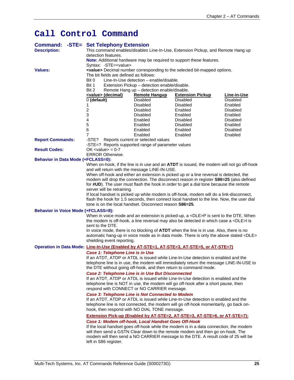# **Call Control Command**

| <b>Command:</b><br><b>Description:</b>                                                     | detection features.                     | -STE= Set Telephony Extension          |                                                                                                                                       | This command enables/disables Line-In-Use, Extension Pickup, and Remote Hang up                                                                                                                                                                             |                            |
|--------------------------------------------------------------------------------------------|-----------------------------------------|----------------------------------------|---------------------------------------------------------------------------------------------------------------------------------------|-------------------------------------------------------------------------------------------------------------------------------------------------------------------------------------------------------------------------------------------------------------|----------------------------|
|                                                                                            | Syntax: -STE= <value></value>           |                                        |                                                                                                                                       | Note: Additional hardware may be required to support these features.                                                                                                                                                                                        |                            |
| <b>Values:</b>                                                                             | Bit 0<br>Bit 1<br>Bit 2                 | The bit fields are defined as follows: | Line-In-Use detection – enable/disable.<br>Extension Pickup - detection enable/disable.<br>Remote Hang up - detection enable/disable. | <value> Decimal number corresponding to the selected bit-mapped options.</value>                                                                                                                                                                            |                            |
|                                                                                            | <value> (decimal)</value>               |                                        | <b>Remote Hangup</b>                                                                                                                  | <b>Extension Pickup</b>                                                                                                                                                                                                                                     | Line-in-Use                |
|                                                                                            | $0$ (default)                           |                                        | Disabled                                                                                                                              | <b>Disabled</b>                                                                                                                                                                                                                                             | <b>Disabled</b>            |
|                                                                                            | 1                                       |                                        | <b>Disabled</b>                                                                                                                       | <b>Disabled</b>                                                                                                                                                                                                                                             | Enabled                    |
|                                                                                            | $\overline{c}$                          |                                        | <b>Disabled</b>                                                                                                                       | Enabled                                                                                                                                                                                                                                                     | Disabled                   |
|                                                                                            | 3<br>4                                  |                                        | Disabled<br>Enabled                                                                                                                   | Enabled<br><b>Disabled</b>                                                                                                                                                                                                                                  | Enabled<br><b>Disabled</b> |
|                                                                                            | 5                                       |                                        | Enabled                                                                                                                               | <b>Disabled</b>                                                                                                                                                                                                                                             | Enabled                    |
|                                                                                            | 6                                       |                                        | Enabled                                                                                                                               | Enabled                                                                                                                                                                                                                                                     | <b>Disabled</b>            |
|                                                                                            | 7                                       |                                        | Enabled                                                                                                                               | Enabled                                                                                                                                                                                                                                                     | Enabled                    |
| <b>Report Commands:</b>                                                                    |                                         |                                        | -STE? Reports current or selected values<br>-STE=? Reports supported range of parameter values                                        |                                                                                                                                                                                                                                                             |                            |
| <b>Result Codes:</b>                                                                       | $OK$ <value> = <math>0-7</math></value> |                                        |                                                                                                                                       |                                                                                                                                                                                                                                                             |                            |
|                                                                                            | <b>ERROR Otherwise.</b>                 |                                        |                                                                                                                                       |                                                                                                                                                                                                                                                             |                            |
| <b>Behavior in Data Mode (+FCLASS=0):</b>                                                  |                                         |                                        |                                                                                                                                       |                                                                                                                                                                                                                                                             |                            |
|                                                                                            |                                         |                                        |                                                                                                                                       | When on-hook, if the line is in use and an ATDT is issued, the modem will not go off-hook                                                                                                                                                                   |                            |
|                                                                                            |                                         |                                        | and will return with the message LINE-IN-USE.                                                                                         | When off-hook and either an extension is picked up or a line reversal is detected, the                                                                                                                                                                      |                            |
|                                                                                            |                                         |                                        |                                                                                                                                       | modem will drop the connection. The disconnect reason in register S86=25 (also defined                                                                                                                                                                      |                            |
|                                                                                            |                                         |                                        |                                                                                                                                       | for #UD). The user must flash the hook in order to get a dial tone because the remote                                                                                                                                                                       |                            |
|                                                                                            | server will be retraining.              |                                        |                                                                                                                                       |                                                                                                                                                                                                                                                             |                            |
|                                                                                            |                                         |                                        | tone is on the local handset. Disconnect reason S86=25.                                                                               | If local handset is picked up while modem is off-hook, modem will do a link-disconnect,<br>flash the hook for 1.5 seconds, then connect local handset to the line. Now, the user dial                                                                       |                            |
| <b>Behavior in Voice Mode (+FCLASS=8):</b>                                                 |                                         |                                        |                                                                                                                                       |                                                                                                                                                                                                                                                             |                            |
|                                                                                            | sent to the DTE.                        |                                        |                                                                                                                                       | When in voice mode and an extension is picked-up, a <dle>P is sent to the DTE. When<br/>the modem is off-hook, a line reversal may also be detected in which case a <dle>I is</dle></dle>                                                                   |                            |
|                                                                                            |                                         |                                        |                                                                                                                                       | In voice mode, there is no blocking of ATDT when the line is in use. Also, there is no<br>automatic hang-up in voice mode as in data mode. There is only the above stated <dle></dle>                                                                       |                            |
|                                                                                            |                                         | shielding event reporting.             |                                                                                                                                       |                                                                                                                                                                                                                                                             |                            |
| Operation in Data Mode: Line-In-Use (Enabled by AT-STE=1, AT-STE=3, AT-STE=5, or AT-STE=7) |                                         |                                        |                                                                                                                                       |                                                                                                                                                                                                                                                             |                            |
|                                                                                            |                                         | Case 1: Telephone Line is in Use       |                                                                                                                                       | If an ATDT, ATDP or ATDL is issued while Line-In-Use detection is enabled and the<br>telephone line is in use, the modem will immediately return the message LINE-IN-USE to<br>the DTE without going off-hook, and then return to command mode.             |                            |
|                                                                                            |                                         |                                        | Case 2: Telephone Line is in Use But Disconnected<br>respond with CONNECT or NO CARRIER message.                                      | If an ATDT, ATDP or ATDL is issued while Line-In-Use detection is enabled and the<br>telephone line is NOT in use, the modem will go off-hook after a short pause, then                                                                                     |                            |
|                                                                                            |                                         |                                        | <b>Case 3: Telephone Line is Not Connected to Modem</b><br>hook, then respond with NO DIAL TONE message.                              | If an ATDT, ATDP or ATDL is issued while Line-In-Use detection is enabled and the<br>telephone line is not connected, the modem will go off-hook momentarily, go back on-                                                                                   |                            |
|                                                                                            |                                         |                                        |                                                                                                                                       | Extension Pick-up (Enabled by AT-STE=2, AT-STE=3, AT-STE=6, or AT-STE=7):                                                                                                                                                                                   |                            |
|                                                                                            | left in S86 register.                   |                                        | Case 1: Modem off-hook, Local Handset Goes Off-Hook                                                                                   | If the local handset goes off-hook while the modem is in a data connection, the modem<br>will then send a GSTN Clear down to the remote modem and then go on-hook. The<br>modem will then send a NO CARRIER message to the DTE. A result code of 25 will be |                            |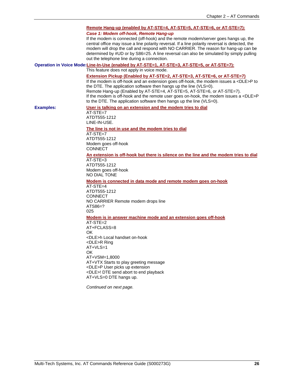|                  | Remote Hang-up (enabled by AT-STE=4, AT-STE=5, AT-STE=6, or AT-STE=7):<br>Case 1: Modem off-hook, Remote Hang-up<br>If the modem is connected (off-hook) and the remote modem/server goes hangs up, the<br>central office may issue a line polarity reversal. If a line polarity reversal is detected, the<br>modem will drop the call and respond with NO CARRIER. The reason for hang-up can be<br>determined by #UD or by S86=25. A line reversal can also be simulated by simply pulling<br>out the telephone line during a connection.<br>Operation in Voice Mode:Line-In-Use (enabled by AT-STE=1, AT-STE=3, AT-STE=5, or AT-STE=7):<br>This feature does not apply in voice mode.<br>Extension Pickup (Enabled by AT-STE=2, AT-STE=3, AT-STE=6, or AT-STE=7)<br>If the modem is off-hook and an extension goes off-hook, the modem issues a <dle>P to<br/>the DTE. The application software then hangs up the line (VLS=0).<br/>Remote Hang-up (Enabled by AT-STE=4, AT-STE=5, AT-STE=6, or AT-STE=7).<br/>If the modem is off-hook and the remote user goes on-hook, the modem issues a <dle>P<br/>to the DTE. The application software then hangs up the line (VLS=0).</dle></dle> |
|------------------|---------------------------------------------------------------------------------------------------------------------------------------------------------------------------------------------------------------------------------------------------------------------------------------------------------------------------------------------------------------------------------------------------------------------------------------------------------------------------------------------------------------------------------------------------------------------------------------------------------------------------------------------------------------------------------------------------------------------------------------------------------------------------------------------------------------------------------------------------------------------------------------------------------------------------------------------------------------------------------------------------------------------------------------------------------------------------------------------------------------------------------------------------------------------------------------------|
| <b>Examples:</b> | User is talking on an extension and the modem tries to dial<br>$AT-STE=7$<br>ATDT555-1212<br>LINE-IN-USE.                                                                                                                                                                                                                                                                                                                                                                                                                                                                                                                                                                                                                                                                                                                                                                                                                                                                                                                                                                                                                                                                                   |
|                  | The line is not in use and the modem tries to dial<br>$AT-STE=7$<br>ATDT555-1212<br>Modem goes off-hook<br><b>CONNECT</b><br>An extension is off-hook but there is silence on the line and the modem tries to dial<br>$AT-STE=3$<br>ATDT555-1212<br>Modem goes off-hook                                                                                                                                                                                                                                                                                                                                                                                                                                                                                                                                                                                                                                                                                                                                                                                                                                                                                                                     |
|                  | NO DIAL TONE<br>Modem is connected in data mode and remote modem goes on-hook<br>$AT-STE=4$<br>ATDT555-1212<br><b>CONNECT</b><br>NO CARRIER Remote modem drops line<br>ATS86=?<br>025<br>Modem is in answer machine mode and an extension goes off-hook<br>AT-STE=2<br>AT+FCLASS=8                                                                                                                                                                                                                                                                                                                                                                                                                                                                                                                                                                                                                                                                                                                                                                                                                                                                                                          |
|                  | OK.<br><dle>h Local handset on-hook<br/><dle>R Ring<br/>AT+VLS=1<br/><b>OK</b><br/>AT+VSM=1,8000<br/>AT+VTX Starts to play greeting message<br/><dle>P User picks up extension<br/><dle>! DTE send abort to end playback<br/>AT+VLS=0 DTE hangs up.<br/>Continued on next page.</dle></dle></dle></dle>                                                                                                                                                                                                                                                                                                                                                                                                                                                                                                                                                                                                                                                                                                                                                                                                                                                                                     |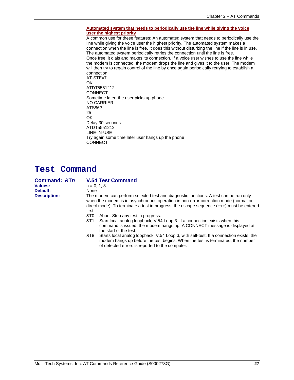#### **Automated system that needs to periodically use the line while giving the voice user the highest priority**

A common use for these features: An automated system that needs to periodically use the line while giving the voice user the highest priority. The automated system makes a connection when the line is free. It does this without disturbing the line if the line is in use. The automated system periodically retries the connection until the line is free. Once free, it dials and makes its connection. If a voice user wishes to use the line while the modem is connected. the modem drops the line and gives it to the user. The modem will then try to regain control of the line by once again periodically retrying to establish a connection.

AT-STE=7 OK ATDT5551212 **CONNECT** Sometime later, the user picks up phone NO CARRIER ATS86? 25 OK Delay 30 seconds ATDT5551212 LINE-IN-USE Try again some time later user hangs up the phone **CONNECT** 

### **Test Command**

| Command: &Tn        | <b>V.54 Test Command</b>                                                                                                                                                                                                                                                           |  |  |  |  |
|---------------------|------------------------------------------------------------------------------------------------------------------------------------------------------------------------------------------------------------------------------------------------------------------------------------|--|--|--|--|
| Values:             | $n = 0.18$                                                                                                                                                                                                                                                                         |  |  |  |  |
| Default:            | None                                                                                                                                                                                                                                                                               |  |  |  |  |
| <b>Description:</b> | The modem can perform selected test and diagnostic functions. A test can be run only<br>when the modem is in asynchronous operation in non-error-correction mode (normal or<br>direct mode). To terminate a test in progress, the escape sequence $(++)$ must be entered<br>first. |  |  |  |  |
|                     | &T0<br>Abort. Stop any test in progress.                                                                                                                                                                                                                                           |  |  |  |  |
|                     | Start local analog loopback, V.54 Loop 3. If a connection exists when this<br>&T1<br>command is issued, the modem hangs up. A CONNECT message is displayed at<br>the start of the test.                                                                                            |  |  |  |  |
|                     | Starts local analog loopback, V.54 Loop 3, with self-test. If a connection exists, the<br>&T8<br>modem hangs up before the test begins. When the test is terminated, the number<br>of detected errors is reported to the computer.                                                 |  |  |  |  |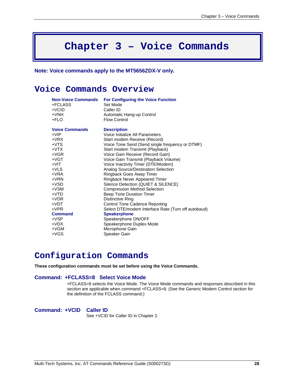# **Chapter 3 – Voice Commands**

**Note: Voice commands apply to the MT5656ZDX-V only.**

### **Voice Commands Overview**

| <b>Non-Voice Commands</b> | <b>For Configuring the Voice Function</b>           |
|---------------------------|-----------------------------------------------------|
| +FCLASS                   | Set Mode                                            |
| $+VCID$                   | Caller ID                                           |
| $+VNH$                    | Automatic Hang-up Control                           |
| +FLO                      | <b>Flow Control</b>                                 |
| <b>Voice Commands</b>     | <b>Description</b>                                  |
| +VIP                      | Voice Initialize All Parameters                     |
| $+VRX$                    | Start modem Receive (Record)                        |
| $+VTS$                    | Voice Tone Send (Send single frequency or DTMF)     |
| $+VTX$                    | Start modem Transmit (Playback)                     |
| $+VGR$                    | Voice Gain Receive (Record Gain)                    |
| $+VGT$                    | Voice Gain Transmit (Playback Volume)               |
| $+VIT$                    | Voice Inactivity Timer (DTE/Modem)                  |
| +VLS                      | Analog Source/Destination Selection                 |
| $+VRA$                    | Ringback Goes Away Timer                            |
| $+VRN$                    | <b>Ringback Never Appeared Timer</b>                |
| $+VSD$                    | Silence Detection (QUIET & SILENCE)                 |
| $+VSM$                    | <b>Compression Method Selection</b>                 |
| $+VTD$                    | <b>Beep Tone Duration Timer</b>                     |
| $+VDR$                    | Distinctive Ring                                    |
| $+VDT$                    | <b>Control Tone Cadence Reporting</b>               |
| $+VPR$                    | Select DTE/modem Interface Rate (Turn off autobaud) |
| <b>Command</b>            | <b>Speakerphone</b>                                 |
| +VSP                      | Speakerphone ON/OFF                                 |
| $+VDX$                    | Speakerphone Duplex Mode                            |
| $+VGM$                    | Microphone Gain                                     |
| +VGS                      | Speaker Gain                                        |
|                           |                                                     |

# **Configuration Commands**

**These configuration commands must be set before using the Voice Commands.**

#### **Command: +FCLASS=8 Select Voice Mode**

+FCLASS=8 selects the Voice Mode. The Voice Mode commands and responses described in this section are applicable when command +FCLASS=8. (See the Generic Modem Control section for the definition of the FCLASS command.)

**Command: +VCID Caller ID**  See +VCID for Caller ID in Chapter 2.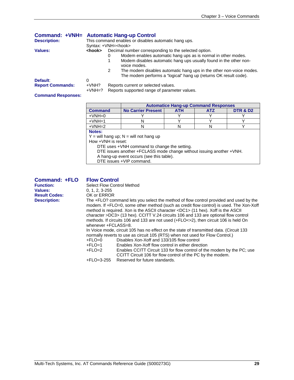|                         | Command: +VNH= Automatic Hang-up Control             |                                                                                                                                              |  |  |
|-------------------------|------------------------------------------------------|----------------------------------------------------------------------------------------------------------------------------------------------|--|--|
| <b>Description:</b>     | This command enables or disables automatic hang ups. |                                                                                                                                              |  |  |
|                         |                                                      | Syntax: +VNH= <hook></hook>                                                                                                                  |  |  |
| Values:                 | <hook></hook>                                        | Decimal number corresponding to the selected option.                                                                                         |  |  |
|                         |                                                      | Modem enables automatic hang ups as is normal in other modes.<br>0                                                                           |  |  |
|                         |                                                      | Modem disables automatic hang ups usually found in the other non-<br>voice modes.                                                            |  |  |
|                         |                                                      | The modem disables automatic hang ups in the other non-voice modes.<br>2<br>The modem performs a "logical" hang up (returns OK result code). |  |  |
| Default:                | 0                                                    |                                                                                                                                              |  |  |
| <b>Report Commands:</b> | $+VNH?$                                              | Reports current or selected values.                                                                                                          |  |  |
|                         | $+VMH=?$                                             | Reports supported range of parameter values.                                                                                                 |  |  |

#### **Command Responses:**

|                                                                      |                                          | <b>Automatice Hang-up Command Responses</b> |            |                     |  |
|----------------------------------------------------------------------|------------------------------------------|---------------------------------------------|------------|---------------------|--|
| <b>Command</b>                                                       | <b>No Carrier Present</b>                | <b>ATH</b>                                  | <b>ATZ</b> | <b>DTR &amp; D2</b> |  |
| $+VNH=0$                                                             |                                          |                                             |            |                     |  |
| $+VMH=1$                                                             | N                                        |                                             |            |                     |  |
| $+VNH=2$                                                             | N                                        | N                                           | N          |                     |  |
| Notes:                                                               |                                          |                                             |            |                     |  |
|                                                                      | $Y =$ will hang up; N = will not hang up |                                             |            |                     |  |
| How +VNH is reset:                                                   |                                          |                                             |            |                     |  |
| DTE uses +VNH command to change the setting.                         |                                          |                                             |            |                     |  |
| DTE issues another +FCLASS mode change without issuing another +VNH. |                                          |                                             |            |                     |  |
| A hang-up event occurs (see this table).                             |                                          |                                             |            |                     |  |

DTE issues +VIP command.

| <b>Command: +FLO</b> | <b>Flow Control</b>                                                                                                                                                                                                                                                                                                                                                                                                                                                                                                                                                                                                                                                           |
|----------------------|-------------------------------------------------------------------------------------------------------------------------------------------------------------------------------------------------------------------------------------------------------------------------------------------------------------------------------------------------------------------------------------------------------------------------------------------------------------------------------------------------------------------------------------------------------------------------------------------------------------------------------------------------------------------------------|
| <b>Function:</b>     | <b>Select Flow Control Method</b>                                                                                                                                                                                                                                                                                                                                                                                                                                                                                                                                                                                                                                             |
| <b>Values:</b>       | $0, 1, 2, 3 - 255$                                                                                                                                                                                                                                                                                                                                                                                                                                                                                                                                                                                                                                                            |
| <b>Result Codes:</b> | OK or ERROR                                                                                                                                                                                                                                                                                                                                                                                                                                                                                                                                                                                                                                                                   |
| <b>Description:</b>  | The +FLO? command lets you select the method of flow control provided and used by the<br>modem. If +FLO=0, some other method (such as credit flow control) is used. The Xon-Xoff<br>method is required. Xon is the ASCII character <dc1> (11 hex). Xoff is the ASCII<br/>character &gt;DC3&gt; (13 hex). CCITT V.24 circuits 106 and 133 are optional flow control<br/>methods. If circuits 106 and 133 are not used (+FLO&lt;&gt;2), then circuit 106 is held On<br/>whenever +FCLASS=8.<br/>In Voice mode, circuit 105 has no effect on the state of transmitted data. (Circuit 133<br/>normally reverts to use as circuit 105 (RTS) when not used for Flow Control.)</dc1> |

| +FLO=0 |  | Disables Xon-Xoff and 133/105 flow control |  |  |  |
|--------|--|--------------------------------------------|--|--|--|
| - - -  |  | . . <i>.</i>                               |  |  |  |

| +FLO=1 | Enables Xon-Xoff flow control in either direction                      |
|--------|------------------------------------------------------------------------|
| +FLO=2 | Enables CCITT Circuit 133 for flow control of the modem by the PC; use |

CCITT Circuit 106 for flow control of the PC by the modem. +FLO=3-255 Reserved for future standards.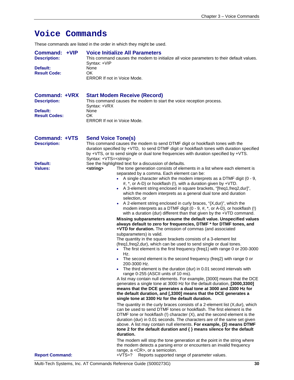# **Voice Commands**

These commands are listed in the order in which they might be used.

| Command: +VIP       | <b>Voice Initialize All Parameters</b>                                                    |
|---------------------|-------------------------------------------------------------------------------------------|
| <b>Description:</b> | This command causes the modem to initialize all voice parameters to their default values. |
|                     | Syntax: +VIP                                                                              |
| Default:            | None                                                                                      |
| <b>Result Code:</b> | ΟK                                                                                        |
|                     | <b>ERROR If not in Voice Mode.</b>                                                        |
|                     |                                                                                           |

| Command: +VRX        | <b>Start Modem Receive (Record)</b>                                 |
|----------------------|---------------------------------------------------------------------|
| <b>Description:</b>  | This command causes the modem to start the voice reception process. |
|                      | Syntax: +VRX                                                        |
| Default:             | None                                                                |
| <b>Result Codes:</b> | OK                                                                  |
|                      | <b>ERROR If not in Voice Mode.</b>                                  |

| <b>Command: +VTS</b><br><b>Description:</b> | <b>Send Voice Tone(s)</b><br>This command causes the modem to send DTMF digit or hookflash tones with the<br>duration specified by +VTD, to send DTMF digit or hookflash tones with duration specified<br>by +VTS, or to send single or dual tone frequencies with duration specified by +VTS.                                                                                                                                                                                                                                                                                                                                                                                                                                                                                                                                                                                                                                                                                                                                           |
|---------------------------------------------|------------------------------------------------------------------------------------------------------------------------------------------------------------------------------------------------------------------------------------------------------------------------------------------------------------------------------------------------------------------------------------------------------------------------------------------------------------------------------------------------------------------------------------------------------------------------------------------------------------------------------------------------------------------------------------------------------------------------------------------------------------------------------------------------------------------------------------------------------------------------------------------------------------------------------------------------------------------------------------------------------------------------------------------|
| Default:<br><b>Values:</b>                  | Syntax: +VTS= <string><br/>See the highlighted text for a discussion of defaults.<br/>The tone generation consists of elements in a list where each element is<br/><string><br/>separated by a comma. Each element can be:<br/>• A single character which the modem interprets as a DTMF digit <math>(0 - 9, 1)</math><br/>#, *, or A-D) or hookflash (!), with a duration given by +VTD.<br/>• A 3-element string enclosed in square brackets, "[freq1, freq2, dur]",<br/>which the modem interprets as a general dual tone and duration<br/>selection, or<br/>A 2-element string enclosed in curly braces, "{X, dur}", which the<br/>modem interprets as a DTMF digit (<math>0 - 9</math>, <math>\#</math>, <math>*</math>, or A-D), or hookflash (!)<br/>with a duration (dur) different than that given by the +VTD command.</string></string>                                                                                                                                                                                       |
|                                             | Missing subparameters assume the default value. Unspecified values<br>always default to zero for frequencies, DTMF * for DTMF tones, and<br>+VTD for duration. The omission of commas (and associated<br>subparameters) is valid.<br>The quantity in the square brackets consists of a 3-element list<br>(freq1, freq2, dur), which can be used to send single or dual tones.<br>The first element is the first frequency (freq1) with range 0 or 200-3000<br>$\bullet$<br>Hz.<br>The second element is the second frequency (freq2) with range 0 or<br>200-3000 Hz.<br>The third element is the duration (dur) in 0.01 second intervals with<br>range 0-255 (ASCII units of 10 ms).<br>A list may contain null elements. For example, [3000] means that the DCE<br>generates a single tone at 3000 Hz for the default duration, [3000,3300]<br>means that the DCE generates a dual tone at 3000 and 3300 Hz for<br>the default duration, and [,3300] means that the DCE generates a<br>single tone at 3300 Hz for the default duration. |
|                                             | The quantity in the curly braces consists of a 2-element list $(X, dur)$ , which<br>can be used to send DTMF tones or hookflash. The first element is the<br>DTMF tone or hookflash $(!)$ character $(X)$ , and the second element is the<br>duration (dur) in 0.01 seconds. The characters are of the same set given<br>above. A list may contain null elements. For example, {2} means DTMF<br>tone 2 for the default duration and $\{ \}$ means silence for the default<br>duration.<br>The modem will stop the tone generation at the point in the string where<br>the modem detects a parsing error or encounters an invalid frequency                                                                                                                                                                                                                                                                                                                                                                                              |
| <b>Report Command:</b>                      | range, a <cr>, or a semicolon.<br/>+VTS=? Reports supported range of parameter values.</cr>                                                                                                                                                                                                                                                                                                                                                                                                                                                                                                                                                                                                                                                                                                                                                                                                                                                                                                                                              |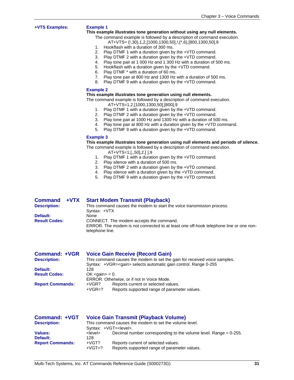#### **+VTS Examples: Example 1**

#### **This example illustrates tone generation without using any null elements.**

- The command example is followed by a description of command execution. AT+VTS= {!,30},1,2,[1000,1300,50],!,{\*,6},[800,1300,50],9
- 1. Hookflash with a duration of 300 ms.<br>2. Play DTMF 1 with a duration given by
- Play DTMF 1 with a duration given by the +VTD command.
- 3. Play DTMF 2 with a duration given by the +VTD command.
- 4. Play tone pair at 1 000 Hz and 1 300 Hz with a duration of 500 ms.
	- 5. Hookflash with a duration given by the +VTD command.
	- 6. Play DTMF \* with a duration of 60 ms.
	- 7. Play tone pair at 800 Hz and 1300 Hz with a duration of 500 ms.
	- 8. Play DTMF 9 with a duration given by the +VTD command.

#### **Example 2**

#### **This example illustrates tone generation using null elements.**

The command example is followed by a description of command execution. AT+VTS=1,2,[1000,1300,50],[800],9

- 1. Play DTMF 1 with a duration given by the +VTD command.
- 2. Play DTMF 2 with a duration given by the +VTD command.
- 3. Play tone pair at 1000 Hz and 1300 Hz with a duration of 500 ms.
- 4. Play tone pair at 800 Hz with a duration given by the +VTD command.
- 5. Play DTMF 9 with a duration given by the +VTD command.

#### **Example 3**

**This example illustrates tone generation using null elements and periods of silence.** 

- The command example is followed by a description of command execution.
	- AT+VTS=1,[,,50],2,[ ],9
	- 1. Play DTMF 1 with a duration given by the +VTD command.
	-
	- Play DTMF 2 with a duration given by the +VTD command.
	- 2. Play silence with a duration of 500 ms.<br>3. Play DTMF 2 with a duration given by th<br>4. Play silence with a duration given by th
	- 4. Play silence with a duration given by the  $+VTD$  command.<br>5. Play DTMF 9 with a duration given by the  $+VTD$  command Play DTMF 9 with a duration given by the +VTD command.

| <b>Command</b>       | +VTX | <b>Start Modem Transmit (Playback)</b>                                                                   |
|----------------------|------|----------------------------------------------------------------------------------------------------------|
| <b>Description:</b>  |      | This command causes the modem to start the voice transmission process.                                   |
|                      |      | Syntax: +VTX                                                                                             |
| Default:             |      | None                                                                                                     |
| <b>Result Codes:</b> |      | CONNECT. The modem accepts the command.                                                                  |
|                      |      | ERROR. The modem is not connected to at least one off-hook telephone line or one non-<br>telephone line. |
|                      |      |                                                                                                          |

| Command: +VGR           | <b>Voice Gain Receive (Record Gain)</b>                                                                                                              |  |  |  |
|-------------------------|------------------------------------------------------------------------------------------------------------------------------------------------------|--|--|--|
| <b>Description:</b>     | This command causes the modem to set the gain for received voice samples.<br>Syntax: +VGR= <gain> selects automatic gain control. Range 0-255</gain> |  |  |  |
| Default:                | 128                                                                                                                                                  |  |  |  |
| <b>Result Codes:</b>    | $OK <$ qain $> = 0$ .                                                                                                                                |  |  |  |
|                         | ERROR. Otherwise, or if not in Voice Mode.                                                                                                           |  |  |  |
| <b>Report Commands:</b> | Reports current or selected values.<br>+VGR?<br>Reports supported range of parameter values.<br>$+VGR=?$                                             |  |  |  |

| <b>Command: +VGT</b>    | <b>Voice Gain Transmit (Playback Volume)</b>           |                                                                     |  |
|-------------------------|--------------------------------------------------------|---------------------------------------------------------------------|--|
| <b>Description:</b>     | This command causes the modem to set the volume level. |                                                                     |  |
|                         |                                                        | Syntax: +VGT= <level>.</level>                                      |  |
| Values:                 | <level></level>                                        | Decimal number corresponding to the volume level. Range $= 0.255$ . |  |
| Default:                | 128                                                    |                                                                     |  |
| <b>Report Commands:</b> | +VGT?                                                  | Reports current of selected values.                                 |  |
|                         | $+VGT=?$                                               | Reports supported range of parameter values.                        |  |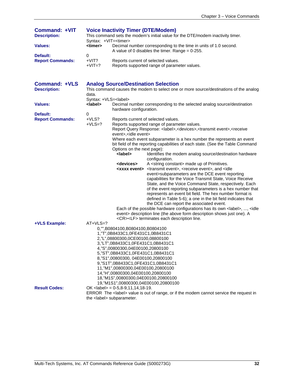| <b>Command: +VIT</b><br><b>Description:</b><br><b>Values:</b> | <b>Voice Inactivity Timer (DTE/Modem)</b><br>This command sets the modem's initial value for the DTE/modem inactivity timer.<br>Syntax: +VIT= <timer><br/><timer><br/>Decimal number corresponding to the time in units of 1.0 second.</timer></timer> |                                                                                                                                                                                                                                                                                                                                                                                                                                 |                                                                                                                                                                                                                                                                                                                                                                                                                                                                                                                                                                                                                                                                                                                                                                                                                                                                                                                                                                                                                                                                                                                                                                                                                                            |
|---------------------------------------------------------------|--------------------------------------------------------------------------------------------------------------------------------------------------------------------------------------------------------------------------------------------------------|---------------------------------------------------------------------------------------------------------------------------------------------------------------------------------------------------------------------------------------------------------------------------------------------------------------------------------------------------------------------------------------------------------------------------------|--------------------------------------------------------------------------------------------------------------------------------------------------------------------------------------------------------------------------------------------------------------------------------------------------------------------------------------------------------------------------------------------------------------------------------------------------------------------------------------------------------------------------------------------------------------------------------------------------------------------------------------------------------------------------------------------------------------------------------------------------------------------------------------------------------------------------------------------------------------------------------------------------------------------------------------------------------------------------------------------------------------------------------------------------------------------------------------------------------------------------------------------------------------------------------------------------------------------------------------------|
|                                                               |                                                                                                                                                                                                                                                        |                                                                                                                                                                                                                                                                                                                                                                                                                                 | A value of 0 disables the timer. Range = $0-255$ .                                                                                                                                                                                                                                                                                                                                                                                                                                                                                                                                                                                                                                                                                                                                                                                                                                                                                                                                                                                                                                                                                                                                                                                         |
| Default:<br><b>Report Commands:</b>                           | 0<br>$+VIT?$<br>$+VIT=?$                                                                                                                                                                                                                               |                                                                                                                                                                                                                                                                                                                                                                                                                                 | Reports current of selected values.<br>Reports supported range of parameter values.                                                                                                                                                                                                                                                                                                                                                                                                                                                                                                                                                                                                                                                                                                                                                                                                                                                                                                                                                                                                                                                                                                                                                        |
| <b>Command: +VLS</b><br><b>Description:</b>                   | data.                                                                                                                                                                                                                                                  | <b>Analog Source/Destination Selection</b>                                                                                                                                                                                                                                                                                                                                                                                      | This command causes the modem to select one or more source/destinations of the analog                                                                                                                                                                                                                                                                                                                                                                                                                                                                                                                                                                                                                                                                                                                                                                                                                                                                                                                                                                                                                                                                                                                                                      |
| <b>Values:</b>                                                | Syntax: +VLS= <label><br/><label></label></label>                                                                                                                                                                                                      |                                                                                                                                                                                                                                                                                                                                                                                                                                 | Decimal number corresponding to the selected analog source/destination                                                                                                                                                                                                                                                                                                                                                                                                                                                                                                                                                                                                                                                                                                                                                                                                                                                                                                                                                                                                                                                                                                                                                                     |
| Default:                                                      | 0                                                                                                                                                                                                                                                      | hardware configuration.                                                                                                                                                                                                                                                                                                                                                                                                         |                                                                                                                                                                                                                                                                                                                                                                                                                                                                                                                                                                                                                                                                                                                                                                                                                                                                                                                                                                                                                                                                                                                                                                                                                                            |
| <b>Report Commands:</b>                                       | $+VLS?$<br>$+VLS=?$                                                                                                                                                                                                                                    | event>, <idle event=""><br/>Options on the next page):<br/><label><br/><devices></devices></label></idle>                                                                                                                                                                                                                                                                                                                       | Reports current of selected values.<br>Reports supported range of parameter values.<br>Report Query Response: < label>, < devices>, < transmit event>, < receive<br>Where each event subparameter is a hex number the represents an event<br>bit field of the reporting capabilities of each state. (See the Table Command<br>Identifies the modem analog source/destination hardware<br>configuration.<br>A <string constant=""> made up of Primitives.<br/><xxxx event=""> <transmit event="">, <receive event="">, and <idle<br>event&gt;subparameters are the DCE event reporting<br/>capabilities for the Voice Transmit State, Voice Receive<br/>State, and the Voice Command State, respectively. Each<br/>of the event reporting subparameters is a hex number that<br/>represents an event bit field. The hex number format is<br/>defined in Table 5-6); a one in the bit field indicates that<br/>the DCE can report the associated event.<br/>Each of the possible hardware configurations has its own <label>, , <idle<br>event&gt; description line (the above form description shows just one). A<br/><cr><lf> terminates each description line.</lf></cr></idle<br></label></idle<br></receive></transmit></xxxx></string> |
| +VLS Example:                                                 | $AT+VLS=?$                                                                                                                                                                                                                                             | 0, "", B0804100, B0804100, B0804100<br>1, "T", 0B8433C1, 0FE431C1, 0B8431C1<br>2,"L",08800300,0CE00100,08800100<br>3, "LT", 0B8433C1, 0FE431C1, 0B8431C1<br>4,"S",00800300,04E00100,20800100<br>5,"ST",0B8433C1,0FE431C1,0B8431C1<br>8,"S1",00800300, 04E00100,20800100<br>9,"S1T",0B8433C1,0FE431C1,0B8431C1<br>11,"M1",00800300,04E00100,20800100<br>14,"H",00800300,04E00100,20800100<br>18,"M1S",00800300,04E00100,20800100 | 19,"M1S1",00800300,04E00100,20800100                                                                                                                                                                                                                                                                                                                                                                                                                                                                                                                                                                                                                                                                                                                                                                                                                                                                                                                                                                                                                                                                                                                                                                                                       |
| <b>Result Codes:</b>                                          |                                                                                                                                                                                                                                                        | $OK$ <label> = 0-5,8-9,11,14,18-19.<br/>the <label> subparameter.</label></label>                                                                                                                                                                                                                                                                                                                                               | ERROR The <label> value is out of range, or if the modem cannot service the request in</label>                                                                                                                                                                                                                                                                                                                                                                                                                                                                                                                                                                                                                                                                                                                                                                                                                                                                                                                                                                                                                                                                                                                                             |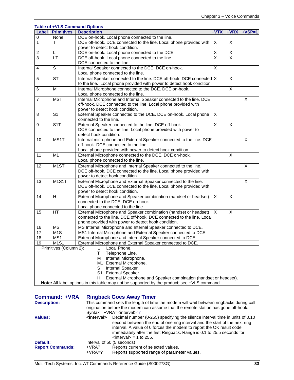|                          |                                 | <b>Table of +VLS Command Options</b>                                                                                                                                  |                         |                |          |
|--------------------------|---------------------------------|-----------------------------------------------------------------------------------------------------------------------------------------------------------------------|-------------------------|----------------|----------|
|                          | Label Primitives                | <b>Description</b>                                                                                                                                                    | +VTX                    | +VRX           | $+VSP=1$ |
| $\overline{0}$           | None                            | DCE on-hook. Local phone connected to the line.                                                                                                                       |                         |                |          |
| $\overline{1}$           | T                               | DCE off-hook. DCE connected to the line. Local phone provided with                                                                                                    | X                       | $\overline{X}$ |          |
|                          |                                 | power to detect hook condition.                                                                                                                                       |                         |                |          |
| $\overline{c}$           | L                               | DCE on-hook. Local phone connected to the DCE.                                                                                                                        | X                       | X              |          |
| $\overline{3}$           | <b>LT</b>                       | DCE off-hook. Local phone connected to the line.                                                                                                                      | $\overline{\mathsf{x}}$ | $\overline{X}$ |          |
|                          |                                 | DCE connected to the line.                                                                                                                                            |                         |                |          |
| 4                        | S                               | Internal Speaker connected to the DCE. DCE on-hook.                                                                                                                   | X                       |                |          |
|                          |                                 | Local phone connected to the line.                                                                                                                                    |                         |                |          |
| $\sqrt{5}$               | $\overline{\text{ST}}$          | Internal Speaker connected to the line. DCE off-hook. DCE connected X                                                                                                 |                         | X              |          |
|                          |                                 | to the line. Local phone provided with power to detect hook condition.                                                                                                |                         |                |          |
| 6                        | $\overline{M}$                  | Internal Microphone connected to the DCE. DCE on-hook.                                                                                                                |                         | X              |          |
|                          |                                 | Local phone connected to the line.                                                                                                                                    |                         |                |          |
| $\overline{\mathcal{I}}$ | <b>MST</b>                      | Internal Microphone and Internal Speaker connected to the line. DCE                                                                                                   |                         |                | X        |
|                          |                                 | off-hook. DCE connected to the line. Local phone provided with                                                                                                        |                         |                |          |
|                          |                                 | power to detect hook condition.                                                                                                                                       |                         |                |          |
| 8                        | S <sub>1</sub>                  | External Speaker connected to the DCE. DCE on-hook. Local phone                                                                                                       | X                       |                |          |
|                          |                                 | connected to the line.                                                                                                                                                |                         |                |          |
| $\boldsymbol{9}$         | S <sub>1</sub> T                | External Speaker connected to the line. DCE off-hook.                                                                                                                 | X                       | X              |          |
|                          |                                 | DCE connected to the line. Local phone provided with power to<br>detect hook condition.                                                                               |                         |                |          |
| 10                       | MS1T                            | Internal microphone and External Speaker connected to the line. DCE                                                                                                   |                         |                | X        |
|                          |                                 | off-hook. DCE connected to the line.                                                                                                                                  |                         |                |          |
|                          |                                 | Local phone provided with power to detect hook condition.                                                                                                             |                         |                |          |
| 11                       | M <sub>1</sub>                  | External Microphone connected to the DCE. DCE on-hook.                                                                                                                |                         | X              |          |
|                          |                                 | Local phone connected to the line.                                                                                                                                    |                         |                |          |
| 12                       | M <sub>1</sub> ST               | External Microphone and Internal Speaker connected to the line.                                                                                                       |                         |                | X        |
|                          |                                 | DCE off-hook. DCE connected to the line. Local phone provided with                                                                                                    |                         |                |          |
|                          |                                 | power to detect hook condition.                                                                                                                                       |                         |                |          |
| 13                       | M <sub>1</sub> S <sub>1</sub> T | External Microphone and External Speaker connected to the line.                                                                                                       |                         |                | X        |
|                          |                                 | DCE off-hook. DCE connected to the line. Local phone provided with                                                                                                    |                         |                |          |
|                          |                                 | power to detect hook condition.                                                                                                                                       |                         |                |          |
| 14                       | H                               | External Microphone and Speaker combination (handset or headset)                                                                                                      | X                       | X              |          |
|                          |                                 | connected to the DCE, DCE on-hook.                                                                                                                                    |                         |                |          |
|                          |                                 | Local phone connected to the line.                                                                                                                                    |                         |                |          |
| 15                       | HT.                             | External Microphone and Speaker combination (handset or headset)                                                                                                      | X                       | X              |          |
|                          |                                 | connected to the line. DCE off-hook. DCE connected to the line. Local                                                                                                 |                         |                |          |
|                          |                                 | phone provided with power to detect hook condition.                                                                                                                   |                         |                |          |
| 16                       | $\overline{\text{MS}}$          | MS Internal Microphone and Internal Speaker connected to DCE.                                                                                                         |                         |                |          |
| 17                       | $\overline{M}$ 1S               | MS1 Internal Microphone and External Speaker connected to DCE.                                                                                                        |                         |                |          |
| 18                       | MS1                             | External Microphone and Internal Speaker connected to DCE.                                                                                                            |                         |                |          |
| 19                       | M1S1                            | External Microphone and External Speaker connected to DCE.                                                                                                            |                         |                |          |
|                          | Primitives (Column 2):          | Local Phone.<br>L                                                                                                                                                     |                         |                |          |
|                          |                                 | $\mathsf T$<br>Telephone Line.                                                                                                                                        |                         |                |          |
|                          |                                 | Internal Microphone.<br>м                                                                                                                                             |                         |                |          |
|                          |                                 | M1 External Microphone.                                                                                                                                               |                         |                |          |
|                          |                                 | S<br>Internal Speaker.                                                                                                                                                |                         |                |          |
|                          |                                 | S1 External Speaker.                                                                                                                                                  |                         |                |          |
|                          |                                 | External Microphone and Speaker combination (handset or headset).<br>H<br>Note: All label options in this table may not be supported by the product; see +VLS command |                         |                |          |
|                          |                                 |                                                                                                                                                                       |                         |                |          |

| <b>Command: +VRA</b>    | <b>Ringback Goes Away Timer</b>                                                                                                                                              |                                                                                                                                                                                                                                                                                                                                                    |  |  |  |
|-------------------------|------------------------------------------------------------------------------------------------------------------------------------------------------------------------------|----------------------------------------------------------------------------------------------------------------------------------------------------------------------------------------------------------------------------------------------------------------------------------------------------------------------------------------------------|--|--|--|
| <b>Description:</b>     | This command sets the length of time the modem will wait between ringbacks during call<br>origination before the modem can assume that the remote station has gone off-hook. |                                                                                                                                                                                                                                                                                                                                                    |  |  |  |
|                         |                                                                                                                                                                              | Syntax: +VRA= <interval>r r</interval>                                                                                                                                                                                                                                                                                                             |  |  |  |
| <b>Values:</b>          | <interval></interval>                                                                                                                                                        | Decimal number (0-255) specifying the silence interval time in units of 0.10<br>second between the end of one ring interval and the start of the next ring<br>interval. A value of 0 forces the modem to report the OK result code<br>immediately after the first Ringback. Range is 0.1 to 25.5 seconds for<br>$\langle$ interval $>$ = 1 to 255. |  |  |  |
| Default:                | Interval of 50 (5 seconds)                                                                                                                                                   |                                                                                                                                                                                                                                                                                                                                                    |  |  |  |
| <b>Report Commands:</b> | +VRA?<br>$+VRA=?$                                                                                                                                                            | Reports current of selected values.<br>Reports supported range of parameter values.                                                                                                                                                                                                                                                                |  |  |  |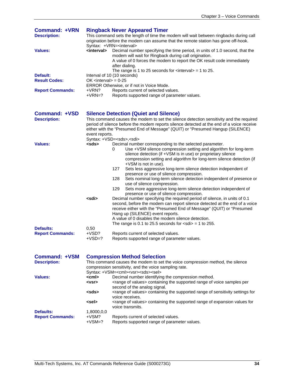| <b>Command: +VRN</b><br><b>Description:</b><br><b>Values:</b> | <b>Ringback Never Appeared Timer</b><br>This command sets the length of time the modem will wait between ringbacks during call<br>origination before the modem can assume that the remote station has gone off-hook.<br>Syntax: +VRN= <interval><br/><interval><br/>Decimal number specifying the time period, in units of 1.0 second, that the<br/>modem will wait for Ringback during call origination.<br/>A value of 0 forces the modem to report the OK result code immediately</interval></interval> |                                                                                                                                                                                                                                                                                                                                                                                                                                                                                                                                                                                                                                                          |  |
|---------------------------------------------------------------|------------------------------------------------------------------------------------------------------------------------------------------------------------------------------------------------------------------------------------------------------------------------------------------------------------------------------------------------------------------------------------------------------------------------------------------------------------------------------------------------------------|----------------------------------------------------------------------------------------------------------------------------------------------------------------------------------------------------------------------------------------------------------------------------------------------------------------------------------------------------------------------------------------------------------------------------------------------------------------------------------------------------------------------------------------------------------------------------------------------------------------------------------------------------------|--|
| Default:<br><b>Result Codes:</b><br><b>Report Commands:</b>   | after dialing.<br>The range is 1 to 25 seconds for $\langle$ interval $>$ = 1 to 25.<br>Interval of 10 (10 seconds)<br>OK $\le$ interval $>$ = 0-25<br>ERROR Otherwise, or if not in Voice Mode.<br>Reports current of selected values.<br>+VRN?<br>$+VRN=?$<br>Reports supported range of parameter values.                                                                                                                                                                                               |                                                                                                                                                                                                                                                                                                                                                                                                                                                                                                                                                                                                                                                          |  |
| Command: +VSD<br><b>Description:</b>                          |                                                                                                                                                                                                                                                                                                                                                                                                                                                                                                            | <b>Silence Detection (Quiet and Silence)</b><br>This command causes the modem to set the silence detection sensitivity and the required<br>period of silence before the modem reports silence detected at the end of a voice receive                                                                                                                                                                                                                                                                                                                                                                                                                     |  |
|                                                               | event reports.                                                                                                                                                                                                                                                                                                                                                                                                                                                                                             | either with the "Presumed End of Message" (QUIT) or "Presumed Hangup (SILENCE)<br>Syntax: +VSD= <sds>,<sdi></sdi></sds>                                                                                                                                                                                                                                                                                                                                                                                                                                                                                                                                  |  |
| <b>Values:</b>                                                | <sds></sds>                                                                                                                                                                                                                                                                                                                                                                                                                                                                                                | Decimal number corresponding to the selected parameter.<br>Use +VSM silence compression setting and algorithm for long-term<br>0<br>silence detection (if +VSM is in use) or proprietary silence<br>compression setting and algorithm for long-term silence detection (if<br>+VSM is not in use).<br>127<br>Sets less aggressive long-term silence detection independent of<br>presence or use of silence compression.<br>128<br>Sets nominal long-term silence detection independent of presence or<br>use of silence compression.<br>129<br>Sets more aggressive long-term silence detection independent of<br>presence or use of silence compression. |  |
|                                                               | <sdi></sdi>                                                                                                                                                                                                                                                                                                                                                                                                                                                                                                | Decimal number specifying the required period of silence, in units of 0.1<br>second, before the modem can report silence detected at the end of a voice<br>receive either with the "Presumed End of Message" (QUIT) or "Presumed<br>Hang up (SILENCE) event reports.<br>A value of 0 disables the modem silence detection.<br>The range is 0.1 to 25.5 seconds for $\langle$ sdi $\rangle$ = 1 to 255.                                                                                                                                                                                                                                                   |  |
| Defaults:                                                     | 0,50                                                                                                                                                                                                                                                                                                                                                                                                                                                                                                       |                                                                                                                                                                                                                                                                                                                                                                                                                                                                                                                                                                                                                                                          |  |
| <b>Report Commands:</b>                                       | $+VSD?$<br>$+VSD=?$                                                                                                                                                                                                                                                                                                                                                                                                                                                                                        | Reports current of selected values.<br>Reports supported range of parameter values                                                                                                                                                                                                                                                                                                                                                                                                                                                                                                                                                                       |  |
| Command: +VSM<br><b>Description:</b>                          |                                                                                                                                                                                                                                                                                                                                                                                                                                                                                                            | <b>Compression Method Selection</b><br>This command causes the modem to set the voice compression method, the silence<br>compression sensitivity, and the voice sampling rate.<br>Syntax: +VSM= <cml><vsr><sds><sel></sel></sds></vsr></cml>                                                                                                                                                                                                                                                                                                                                                                                                             |  |
| <b>Values:</b>                                                | <cml><br/><vsr></vsr></cml>                                                                                                                                                                                                                                                                                                                                                                                                                                                                                | Decimal number identifying the compression method.<br><range of="" values=""> containing the supported range of voice samples per<br/>second of the analog signal.</range>                                                                                                                                                                                                                                                                                                                                                                                                                                                                               |  |
|                                                               | <sds></sds>                                                                                                                                                                                                                                                                                                                                                                                                                                                                                                | <range of="" values=""> containing the supported range of sensitivity settings for<br/>voice receives.</range>                                                                                                                                                                                                                                                                                                                                                                                                                                                                                                                                           |  |
|                                                               | <sel></sel>                                                                                                                                                                                                                                                                                                                                                                                                                                                                                                | <range of="" values=""> containing the supported range of expansion values for</range>                                                                                                                                                                                                                                                                                                                                                                                                                                                                                                                                                                   |  |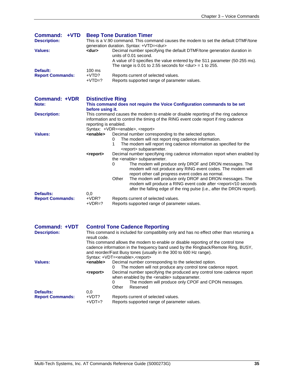| Command: +VTD<br><b>Description:</b><br><b>Values:</b><br>Default:<br><b>Report Commands:</b> | <b>Beep Tone Duration Timer</b><br>This is a V.90 command. This command causes the modem to set the default DTMF/tone<br>generation duration. Syntax: +VTD= <dur><br/><dur><br/>Decimal number specifying the default DTMF/tone generation duration in<br/>units of 0.01 second.<br/>A value of 0 specifies the value entered by the S11 parameter (50-255 ms).<br/>The range is 0.01 to 2.55 seconds for <math>\langle</math> dur&gt; = 1 to 255.<br/>100 ms<br/>+VTD?<br/>Reports current of selected values.<br/><math>+VTD=?</math><br/>Reports supported range of parameter values.</dur></dur> |
|-----------------------------------------------------------------------------------------------|------------------------------------------------------------------------------------------------------------------------------------------------------------------------------------------------------------------------------------------------------------------------------------------------------------------------------------------------------------------------------------------------------------------------------------------------------------------------------------------------------------------------------------------------------------------------------------------------------|
| <b>Command: +VDR</b><br>Note:                                                                 | <b>Distinctive Ring</b><br>This command does not require the Voice Configuration commands to be set<br>before using it.                                                                                                                                                                                                                                                                                                                                                                                                                                                                              |
| <b>Description:</b>                                                                           | This command causes the modem to enable or disable reporting of the ring cadence<br>information and to control the timing of the RING event code report if ring cadence<br>reporting is enabled.                                                                                                                                                                                                                                                                                                                                                                                                     |
| <b>Values:</b>                                                                                | Syntax: +VDR= <enable>, <report><br/>Decimal number corresponding to the selected option.<br/><enable><br/>The modem will not report ring cadence information.<br/>0<br/>The modem will report ring cadence information as specified for the<br/>1<br/><report> subparameter.</report></enable></report></enable>                                                                                                                                                                                                                                                                                    |
|                                                                                               | Decimal number specifying ring cadence information report when enabled by<br><report><br/>the <enable> subparameter.<br/>The modem will produce only DROF and DRON messages. The<br/>0<br/>modem will not produce any RING event codes. The modem will<br/>report other call progress event codes as normal.<br/>The modem will produce only DROF and DRON messages. The<br/>Other<br/>modem will produce a RING event code after <report>/10 seconds</report></enable></report>                                                                                                                     |
| Defaults:                                                                                     | after the falling edge of the ring pulse (i.e., after the DRON report).<br>0,0                                                                                                                                                                                                                                                                                                                                                                                                                                                                                                                       |
| <b>Report Commands:</b>                                                                       | +VDR?<br>Reports current of selected values.<br>$+VDR=?$<br>Reports supported range of parameter values.                                                                                                                                                                                                                                                                                                                                                                                                                                                                                             |
| <b>Command: +VDT</b><br><b>Description:</b>                                                   | <b>Control Tone Cadence Reporting</b><br>This command is included for compatibility only and has no effect other than returning a<br>result code.<br>This command allows the modem to enable or disable reporting of the control tone<br>cadence information in the frequency band used by the Ringback/Remote Ring, BUSY,<br>and reorder/Fast Busy tones (usually in the 300 to 600 Hz range).<br>Syntax: +VDT= <enable>,<report></report></enable>                                                                                                                                                 |
| <b>Values:</b>                                                                                | <enable><br/>Decimal number corresponding to the selected option.<br/>The modem will not produce any control tone cadence report.<br/>0<br/>Decimal number specifying the produced any control tone cadence report<br/><report><br/>when enabled by the <enable> subparameter.<br/>The modem will produce only CPOF and CPON messages.<br/>0<br/>Other<br/>Reserved</enable></report></enable>                                                                                                                                                                                                       |
| Defaults:                                                                                     | 0,0                                                                                                                                                                                                                                                                                                                                                                                                                                                                                                                                                                                                  |
| <b>Report Commands:</b>                                                                       | +VDT?<br>Reports current of selected values.<br>Reports supported range of parameter values.<br>$+VDT=?$                                                                                                                                                                                                                                                                                                                                                                                                                                                                                             |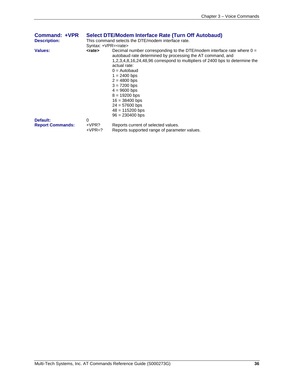| <b>Command: +VPR</b>    | <b>Select DTE/Modem Interface Rate (Turn Off Autobaud)</b> |                                                                                                                                                                                                                                                                                                                                                                                                                |  |
|-------------------------|------------------------------------------------------------|----------------------------------------------------------------------------------------------------------------------------------------------------------------------------------------------------------------------------------------------------------------------------------------------------------------------------------------------------------------------------------------------------------------|--|
| <b>Description:</b>     | This command selects the DTE/modem interface rate.         |                                                                                                                                                                                                                                                                                                                                                                                                                |  |
|                         | Syntax: +VPR= <rate></rate>                                |                                                                                                                                                                                                                                                                                                                                                                                                                |  |
| <b>Values:</b>          | <rate></rate>                                              | Decimal number corresponding to the DTE/modem interface rate where 0 =<br>autobaud rate determined by processing the AT command, and<br>1,2,3,4,8,16,24,48,96 correspond to multipliers of 2400 bps to determine the<br>actual rate:<br>$0 =$ Autobaud<br>$1 = 2400$ bps<br>$2 = 4800$ bps<br>$3 = 7200$ bps<br>$4 = 9600$ bps<br>$8 = 19200$ bps<br>$16 = 38400$ bps<br>$24 = 57600$ bps<br>$48 = 115200$ bps |  |
|                         |                                                            | $96 = 230400$ bps                                                                                                                                                                                                                                                                                                                                                                                              |  |
| Default:                | $\Omega$                                                   |                                                                                                                                                                                                                                                                                                                                                                                                                |  |
| <b>Report Commands:</b> | +VPR?<br>$+VPR=?$                                          | Reports current of selected values.<br>Reports supported range of parameter values.                                                                                                                                                                                                                                                                                                                            |  |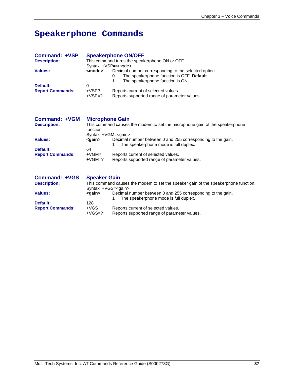# **Speakerphone Commands**

| Command: +VSP           | <b>Speakerphone ON/OFF</b>                                                                                                                                           |                                                                                     |  |  |
|-------------------------|----------------------------------------------------------------------------------------------------------------------------------------------------------------------|-------------------------------------------------------------------------------------|--|--|
| <b>Description:</b>     | This command turns the speakerphone ON or OFF.                                                                                                                       |                                                                                     |  |  |
|                         | Syntax: +VSP= <mode></mode>                                                                                                                                          |                                                                                     |  |  |
| Values:                 | Decimal number corresponding to the selected option.<br><mode><br/>The speakerphone function is OFF. Default<br/>0<br/>The speakerphone function is ON.<br/>1</mode> |                                                                                     |  |  |
| Default:                | 0                                                                                                                                                                    |                                                                                     |  |  |
| <b>Report Commands:</b> | +VSP?<br>$+VSP=?$                                                                                                                                                    | Reports current of selected values.<br>Reports supported range of parameter values. |  |  |

| <b>Microphone Gain</b>                                                       |                                                                                                      |  |  |
|------------------------------------------------------------------------------|------------------------------------------------------------------------------------------------------|--|--|
| This command causes the modem to set the microphone gain of the speakerphone |                                                                                                      |  |  |
|                                                                              |                                                                                                      |  |  |
| Syntax: +VGM= <gain></gain>                                                  |                                                                                                      |  |  |
| <gain></gain>                                                                | Decimal number between 0 and 255 corresponding to the gain.<br>The speakerphone mode is full duplex. |  |  |
| 64                                                                           |                                                                                                      |  |  |
| $+VGM?$<br>$+VGM=?$                                                          | Reports current of selected values.<br>Reports supported range of parameter values.                  |  |  |
|                                                                              | function.                                                                                            |  |  |

| <b>Command: +VGS</b>    | <b>Speaker Gain</b>                                                                 |                                                                                                      |  |
|-------------------------|-------------------------------------------------------------------------------------|------------------------------------------------------------------------------------------------------|--|
| <b>Description:</b>     | This command causes the modem to set the speaker gain of the speakerphone function. |                                                                                                      |  |
|                         | Syntax: $+\vee$ GS= $\lt$ gain $>$                                                  |                                                                                                      |  |
| Values:                 | <gain></gain>                                                                       | Decimal number between 0 and 255 corresponding to the gain.<br>The speakerphone mode is full duplex. |  |
| Default:                | 128                                                                                 |                                                                                                      |  |
| <b>Report Commands:</b> | $+VGS$                                                                              | Reports current of selected values.                                                                  |  |
|                         | $+VGS=?$                                                                            | Reports supported range of parameter values.                                                         |  |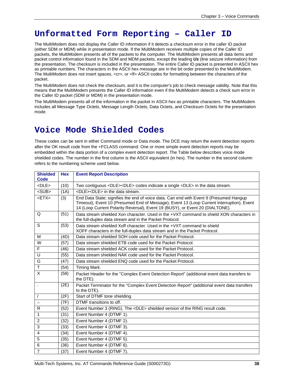# **Unformatted Form Reporting – Caller ID**

The MultiModem does not display the Caller ID information if it detects a checksum error in the caller ID packet (either SDM or MDM) while in presentation mode. If the MultiModem receives multiple copies of the Caller ID packets, the MultiModem presents all of the packets to the computer. The MultiModem presents all data items and packet control information found in the SDM and MDM packets, except the leading *Us* (line seizure information) from the presentation. The checksum is included in the presentation. The entire Caller ID packet is presented in ASCII hex as printable numbers. The characters in the ASCII hex message are in the bit order presented to the MultiModem. The MultiModem does not insert spaces, <cr>, or <lf> ASCII codes for formatting between the characters of the packet.

The MultiModem does not check the checksum, and it is the computer's job to check message validity. Note that this means that the MultiModem presents the Caller ID information even if the MultiModem detects a check sum error in the Caller ID packet (SDM or MDM) in the presentation mode.

The MultiModem presents all of the information in the packet in ASCII hex as printable characters. The MultiModem includes all Message Type Octets, Message Length Octets, Data Octets, and Checksum Octets for the presentation mode.

# **Voice Mode Shielded Codes**

These codes can be sent in either Command mode or Data mode. The DCE may return the event detection reports after the OK result code from the +FCLASS command. One or more simple event detection reports may be embedded within the data portion of a complex event detection report. The Table below describes voice mode shielded codes. The number in the first column is the ASCII equivalent (in hex). The number in the second column refers to the numbering scheme used below.

| <b>Shielded</b><br>Code | <b>Hex</b> | <b>Event Report Description</b>                                                                                                                                                                                                                                      |
|-------------------------|------------|----------------------------------------------------------------------------------------------------------------------------------------------------------------------------------------------------------------------------------------------------------------------|
| $<$ DLE $>$             | (10)       | Two contiguous <dle><dle> codes indicate a single <dle> in the data stream.</dle></dle></dle>                                                                                                                                                                        |
| $<$ SUB $>$             | (1A)       | <dle><dle> in the data stream.</dle></dle>                                                                                                                                                                                                                           |
| $<$ ETX $>$             | (3)        | End Data State; signifies the end of voice data. Can end with Event 9 (Presumed Hangup<br>Timeout), Event 10 (Presumed End of Message), Event 13 (Loop Current Interruption), Event<br>14 (Loop Current Polarity Reversal), Event 19 (BUSY), or Event 20 (DIALTONE). |
| $\Omega$                | (51)       | Data stream shielded Xon character. Used in the +VXT command to shield XON characters in<br>the full-duplex data stream and in the Packet Protocol.                                                                                                                  |
| S                       | (53)       | Data stream shielded Xoff character. Used in the +VXT command to shield<br>XOFF characters in the full-duplex data stream and in the Packet Protocol.                                                                                                                |
| M                       | (4D)       | Data stream shielded SOH code used for the Packet Protocol.                                                                                                                                                                                                          |
| W                       | (57)       | Data stream shielded ETB code used for the Packet Protocol.                                                                                                                                                                                                          |
| F                       | (46)       | Data stream shielded ACK code used for the Packet Protocol.                                                                                                                                                                                                          |
| U                       | (55)       | Data stream shielded NAK code used for the Packet Protocol.                                                                                                                                                                                                          |
| G                       | (47)       | Data stream shielded ENQ code used for the Packet Protocol.                                                                                                                                                                                                          |
| $\mathsf T$             | (54)       | Timing Mark.                                                                                                                                                                                                                                                         |
| X                       | (58)       | Packet Header for the "Complex Event Detection Report" (additional event data transfers to<br>the DTE).                                                                                                                                                              |
| $\ddot{\phantom{a}}$    | (2E)       | Packet Terminator for the "Complex Event Detection Report" (additional event data transfers<br>to the DTE).                                                                                                                                                          |
|                         | (2F)       | Start of DTMF tone shielding.                                                                                                                                                                                                                                        |
|                         | (7F)       | DTMF transitions to off.                                                                                                                                                                                                                                             |
| R                       | (52)       | Event Number 3 (RING). The <dle> shielded version of the RING result code.</dle>                                                                                                                                                                                     |
| $\mathbf{1}$            | (31)       | Event Number 4 (DTMF 1).                                                                                                                                                                                                                                             |
| $\overline{c}$          | (32)       | Event Number 4 (DTMF 2).                                                                                                                                                                                                                                             |
| 3                       | (33)       | Event Number 4 (DTMF 3).                                                                                                                                                                                                                                             |
| 4                       | (34)       | Event Number 4 (DTMF 4).                                                                                                                                                                                                                                             |
| 5                       | (35)       | Event Number 4 (DTMF 5).                                                                                                                                                                                                                                             |
| 6                       | (36)       | Event Number 4 (DTMF 6).                                                                                                                                                                                                                                             |
| $\overline{7}$          | (37)       | Event Number 4 (DTMF 7).                                                                                                                                                                                                                                             |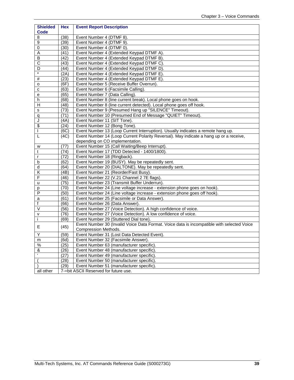| <b>Shielded</b><br><b>Code</b> | <b>Hex</b>        | <b>Event Report Description</b>                                                            |
|--------------------------------|-------------------|--------------------------------------------------------------------------------------------|
| 8                              | (38)              | Event Number 4 (DTMF 8).                                                                   |
| 9                              | (39)              | Event Number 4 (DTMF 9).                                                                   |
| 0                              | (30)              | Event Number 4 (DTMF 0).                                                                   |
| Α                              | (41)              | Event Number 4 (Extended Keypad DTMF A).                                                   |
| В                              | (42)              | Event Number 4 (Extended Keypad DTMF B).                                                   |
| С                              | (43)              | Event Number 4 (Extended Keypad DTMF C).                                                   |
| D                              | (44)              | Event Number 4 (Extended Keypad DTMF D).                                                   |
| $\star$                        | (2A)              | Event Number 4 (Extended Keypad DTMF E).                                                   |
| #                              | (23)              | Event Number 4 (Extended Keypad DTMF E).                                                   |
| o                              | (6F)              | Event Number 5 (Receive Buffer Overrun).                                                   |
| с                              | (63)              | Event Number 6 (Facsimile Calling).                                                        |
| е                              | (65)              | Event Number 7 (Data Calling).                                                             |
| h                              | (68)              | Event Number 8 (line current break). Local phone goes on hook.                             |
| Н                              | (48)              | Event Number 8 (line current detected). Local phone goes off hook.                         |
| s                              | (73)              | Event Number 9 (Presumed Hang up "SILENCE" Timeout).                                       |
| q                              | (71)              | Event Number 10 (Presumed End of Message "QUIET" Timeout).                                 |
| J                              | (AA)              | Event Number 11 (SIT Tone).                                                                |
| \$                             | (24)              | Event Number 12 (Bong Tone).                                                               |
| T                              | (6C)              | Event Number 13 (Loop Current Interruption). Usually indicates a remote hang up.           |
| L                              | (4C)              | Event Number 14 (Loop Current Polarity Reversal). May indicate a hang up or a receive,     |
|                                |                   | depending on CO implementation.                                                            |
| w                              | (77)              | Event Number 15 (Call Waiting/Beep Interrupt).                                             |
| t                              | (74)              | Event Number 17 (TDD Detected - 1400/1800).                                                |
| r                              | (72)              | Event Number 18 (Ringback).                                                                |
| b                              | (62)              | Event Number 19 (BUSY). May be repeatedly sent.                                            |
| d                              | $\overline{(64)}$ | Event Number 20 (DIALTONE). May be repeatedly sent.                                        |
| Κ                              | (4B)              | Event Number 21 (Reorder/Fast Busy).                                                       |
| F                              | (46)              | Event Number 22 (V.21 Channel 2 7E flags).                                                 |
| u                              | (75)              | Event Number 23 (Transmit Buffer Underrun).                                                |
| р                              | (70)              | Event Number 24 (Line voltage increase - extension phone goes on hook).                    |
| P                              | (50)              | Event Number 24 (Line voltage increase - extension phone goes off hook).                   |
| a                              | (61)              | Event Number 25 (Facsimile or Data Answer).                                                |
| f                              | (66)              | Event Number 26 (Data Answer).                                                             |
| V                              | (56)              | Event Number 27 (Voice Detection). A high confidence of voice.                             |
| v                              | (76)              | Event Number 27 (Voice Detection). A low confidence of voice.                              |
| j.                             | (69)              | Event Number 29 (Stuttered Dial tone).                                                     |
|                                |                   | Event Number 30 (Invalid Voice Data Format. Voice data is incompatible with selected Voice |
| Е                              | (45)              | Compression Methods.                                                                       |
| Υ                              | (59)              | Event Number 31 (Lost Data Detected Event).                                                |
| m                              | (6d)              | Event Number 32 (Facsimile Answer).                                                        |
| %                              | (25)              | Event Number 63 (manufacturer specific).                                                   |
| &                              | (26)              | Event Number 48 (manufacturer specific).                                                   |
|                                | (27)              | Event Number 49 (manufacturer specific).                                                   |
|                                | (28)              | Event Number 50 (manufacturer specific).                                                   |
|                                | (29)              | Event Number 51 (manufacturer specific).                                                   |
| all other                      |                   | 7-bit ASCII Reserved for future use.                                                       |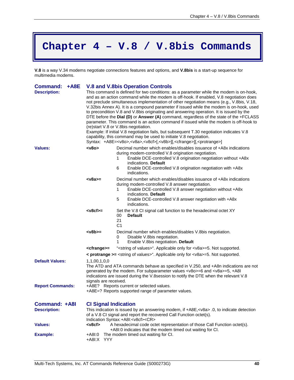# **Chapter 4 – V.8 / V.8bis Commands**

**V.8** is a way V.34 modems negotiate connections features and options, and **V.8bis** is a start-up sequence for multimedia modems.

| Command: +A8E                               |                                                                                                                                                                                                                                                                                                                                                                                                                                                                                                                                                                                                                                                                                                                                                                                                                                                                                                                                                                                    |                            | <b>V.8 and V.8bis Operation Controls</b>                                                                                                                                                                                                                                             |  |  |
|---------------------------------------------|------------------------------------------------------------------------------------------------------------------------------------------------------------------------------------------------------------------------------------------------------------------------------------------------------------------------------------------------------------------------------------------------------------------------------------------------------------------------------------------------------------------------------------------------------------------------------------------------------------------------------------------------------------------------------------------------------------------------------------------------------------------------------------------------------------------------------------------------------------------------------------------------------------------------------------------------------------------------------------|----------------------------|--------------------------------------------------------------------------------------------------------------------------------------------------------------------------------------------------------------------------------------------------------------------------------------|--|--|
| <b>Description:</b>                         | This command is defined for two conditions: as a parameter while the modem is on-hook,<br>and as an action command while the modem is off-hook. If enabled, V.8 negotiation does<br>not preclude simultaneous implementation of other negotiation means (e.g., V.8bis, V.18,<br>V.32bis Annex A). It is a compound parameter if issued while the modem is on-hook, used<br>to precondition V.8 and V.8bis originating and answering operation. It is issued by the<br>DTE before the Dial (D) or Answer (A) command, regardless of the state of the +FCLASS<br>parameter. This command is an action command if issued while the modem is off-hook to<br>(re)start V.8 or V.8bis negotiation.<br>Example: If initial V.8 negotiation fails, but subsequent T.30 negotiation indicates V.8<br>capability, this command may be used to initiate V.8 negotiation.<br>Syntax: +A8E= <v8o>,<v8a>,<v8cf>[,<v8b>][,<cfrange>][,<protrange>]</protrange></cfrange></v8b></v8cf></v8a></v8o> |                            |                                                                                                                                                                                                                                                                                      |  |  |
| Values:                                     | $<$ v8o>                                                                                                                                                                                                                                                                                                                                                                                                                                                                                                                                                                                                                                                                                                                                                                                                                                                                                                                                                                           | 1                          | Decimal number which enables/disables issuance of +A8x indications<br>during modem-controlled V.8 origination negotiation.<br>Enable DCE-controlled V.8 origination negotiation without +A8x                                                                                         |  |  |
|                                             |                                                                                                                                                                                                                                                                                                                                                                                                                                                                                                                                                                                                                                                                                                                                                                                                                                                                                                                                                                                    | 6                          | indications. Default<br>Enable DCE-controlled V.8 origination negotiation with +A8x<br>indications.                                                                                                                                                                                  |  |  |
|                                             | $<$ v8a>=                                                                                                                                                                                                                                                                                                                                                                                                                                                                                                                                                                                                                                                                                                                                                                                                                                                                                                                                                                          | 1<br>5                     | Decimal number which enables/disables issuance of +A8x indications<br>during modem-controlled V.8 answer negotiation.<br>Enable DCE-controlled V.8 answer negotiation without +A8x<br>indications. Default<br>Enable DCE-controlled V.8 answer negotiation with +A8x<br>indications. |  |  |
|                                             | <v8cf>=</v8cf>                                                                                                                                                                                                                                                                                                                                                                                                                                                                                                                                                                                                                                                                                                                                                                                                                                                                                                                                                                     | 00<br>21<br>C <sub>1</sub> | Set the V.8 CI signal call function to the hexadecimal octet XY<br><b>Default</b>                                                                                                                                                                                                    |  |  |
|                                             | $<$ v8b>=                                                                                                                                                                                                                                                                                                                                                                                                                                                                                                                                                                                                                                                                                                                                                                                                                                                                                                                                                                          | 0<br>1                     | Decimal number which enables/disables V.8bis negotiation.<br>Disable V.8bis negotiation.<br>Enable V.8bis negotiation. Default                                                                                                                                                       |  |  |
|                                             | <cfrange>=</cfrange>                                                                                                                                                                                                                                                                                                                                                                                                                                                                                                                                                                                                                                                                                                                                                                                                                                                                                                                                                               |                            | " <string of="" values="">". Applicable only for <v8a>=5. Not supported.</v8a></string>                                                                                                                                                                                              |  |  |
|                                             | < protrange >= <string of="" values="">". Applicable only for <v8a>=5. Not supported.</v8a></string>                                                                                                                                                                                                                                                                                                                                                                                                                                                                                                                                                                                                                                                                                                                                                                                                                                                                               |                            |                                                                                                                                                                                                                                                                                      |  |  |
| <b>Default Values:</b>                      | 1,1,00,1,0,0<br>The ATD and ATA commands behave as specified in V.250, and +A8n indications are not<br>generated by the modem. For subparameter values <v8o>=6 and <v8a>=5, +A8I<br/>indications are issued during the V.8session to notify the DTE when the relevant V.8<br/>signals are received.</v8a></v8o>                                                                                                                                                                                                                                                                                                                                                                                                                                                                                                                                                                                                                                                                    |                            |                                                                                                                                                                                                                                                                                      |  |  |
| <b>Report Commands:</b>                     | +A8E? Reports current or selected values.<br>+A8E=? Reports supported range of parameter values.                                                                                                                                                                                                                                                                                                                                                                                                                                                                                                                                                                                                                                                                                                                                                                                                                                                                                   |                            |                                                                                                                                                                                                                                                                                      |  |  |
| <b>Command: +A8I</b><br><b>Description:</b> | <b>CI Signal Indication</b><br>This indication is issued by an answering modem, if +A8E, <v8a> .0, to indicate detection<br/>of a V.8 CI signal and report the recovered Call Function octet(s).<br/>Indication Syntax: +A8I:<v8cf><cr></cr></v8cf></v8a>                                                                                                                                                                                                                                                                                                                                                                                                                                                                                                                                                                                                                                                                                                                          |                            |                                                                                                                                                                                                                                                                                      |  |  |
| <b>Values:</b>                              | $<$ v8cf $>$<br>A hexadecimal code octet representation of those Call Function octet(s).<br>+A8I:0 indicates that the modem timed out waiting for CI.                                                                                                                                                                                                                                                                                                                                                                                                                                                                                                                                                                                                                                                                                                                                                                                                                              |                            |                                                                                                                                                                                                                                                                                      |  |  |
| <b>Example:</b>                             | The modem timed out waiting for CI.<br>+A8I:0<br>YYY<br>$+A8I:X$                                                                                                                                                                                                                                                                                                                                                                                                                                                                                                                                                                                                                                                                                                                                                                                                                                                                                                                   |                            |                                                                                                                                                                                                                                                                                      |  |  |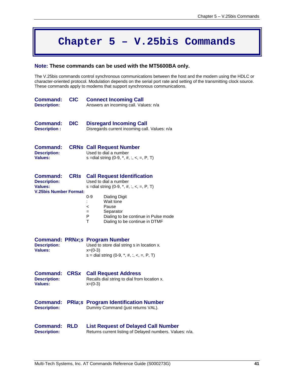# **Chapter 5 – V.25bis Commands**

#### **Note: These commands can be used with the MT5600BA only.**

The V.25bis commands control synchronous communications between the host and the modem using the HDLC or character-oriented protocol. Modulation depends on the serial port rate and setting of the transmitting clock source. These commands apply to modems that support synchronous communications.

| <b>Command:</b><br><b>Description:</b>                                             | <b>CIC</b>  | <b>Connect Incoming Call</b><br>Answers an incoming call. Values: n/a                                                                                                                                                                                                                 |
|------------------------------------------------------------------------------------|-------------|---------------------------------------------------------------------------------------------------------------------------------------------------------------------------------------------------------------------------------------------------------------------------------------|
| Command:<br><b>Description:</b>                                                    | <b>DIC</b>  | <b>Disregard Incoming Call</b><br>Disregards current incoming call. Values: n/a                                                                                                                                                                                                       |
| <b>Command:</b><br><b>Description:</b><br>Values:                                  |             | <b>CRNs Call Request Number</b><br>Used to dial a number<br>s = dial string $(0-9, *, #, :, <, =, P, T)$                                                                                                                                                                              |
| Command:<br><b>Description:</b><br><b>Values:</b><br><b>V.25bis Number Format:</b> | <b>CRIS</b> | <b>Call Request Identification</b><br>Used to dial a number<br>s = dial string $(0-9, *, #, :, <, =, P, T)$<br>$0 - 9$<br><b>Dialing Digit</b><br>Wait tone<br>Pause<br>$\,<$<br>Separator<br>$=$<br>P<br>Dialing to be continue in Pulse mode<br>т<br>Dialing to be continue in DTMF |
| <b>Description:</b><br>Values:                                                     |             | <b>Command: PRNx;s Program Number</b><br>Used to store dial string s in location x.<br>$x=(0-3)$<br>s = dial string $(0-9, *, #, :, <, =, P, T)$                                                                                                                                      |
| Command:<br><b>Description:</b><br><b>Values:</b>                                  | <b>CRSx</b> | <b>Call Request Address</b><br>Recalls dial string to dial from location x.<br>$x=(0-3)$                                                                                                                                                                                              |
| <b>Command:</b><br><b>Description:</b>                                             |             | <b>PRIa;s Program Identification Number</b><br>Dummy Command (just returns VAL).                                                                                                                                                                                                      |
| <b>Command:</b><br><b>Description:</b>                                             | <b>RLD</b>  | <b>List Request of Delayed Call Number</b><br>Returns current listing of Delayed numbers. Values: n/a.                                                                                                                                                                                |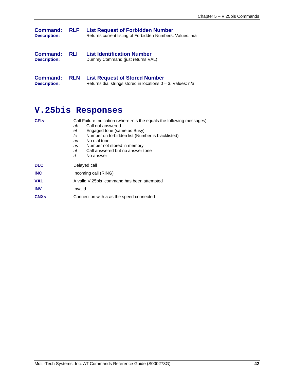| Command:<br><b>Description:</b> | <b>RLF</b> | <b>List Request of Forbidden Number</b><br>Returns current listing of Forbidden Numbers. Values: n/a |
|---------------------------------|------------|------------------------------------------------------------------------------------------------------|
| Command:<br><b>Description:</b> | <b>RLI</b> | <b>List Identification Number</b><br>Dummy Command (just returns VAL)                                |

**Command: RLN List Request of Stored Number Description:** Returns dial strings stored in locations 0 – 3. Values: n/a

# **V.25bis Responses**

| <b>CFIrr</b>           | Call Failure Indication (where r is the equals the following messages) |  |  |  |  |
|------------------------|------------------------------------------------------------------------|--|--|--|--|
|                        | Call not answered<br>ab                                                |  |  |  |  |
|                        | Engaged tone (same as Busy)<br>et                                      |  |  |  |  |
|                        | Number on forbidden list (Number is blacklisted)<br>fс                 |  |  |  |  |
|                        | No dial tone<br>nd                                                     |  |  |  |  |
|                        | Number not stored in memory<br>ns                                      |  |  |  |  |
|                        | Call answered but no answer tone<br>nt                                 |  |  |  |  |
|                        | rt<br>No answer                                                        |  |  |  |  |
| <b>DLC</b>             | Delayed call                                                           |  |  |  |  |
| <b>INC</b>             | Incoming call (RING)                                                   |  |  |  |  |
| <b>VAL</b>             | A valid V.25bis command has been attempted                             |  |  |  |  |
| <b>INV</b>             | Invalid                                                                |  |  |  |  |
| <b>CNX<sub>s</sub></b> | Connection with s as the speed connected                               |  |  |  |  |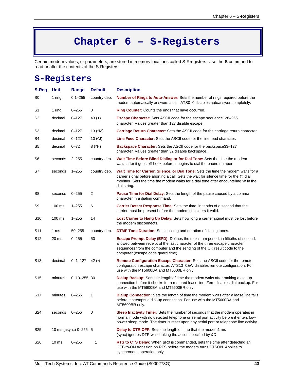# **Chapter 6 – S-Registers**

Certain modem values, or parameters, are stored in memory locations called S-Rregisters. Use the **S** command to read or alter the contents of the S-Registers.

# **S-Registers**

| <u>S-Reg</u>    | <u>Unit</u>      | <b>Range</b>          | <b>Default</b>                         | <b>Description</b>                                                                                                                                                                                                                                                                     |  |
|-----------------|------------------|-----------------------|----------------------------------------|----------------------------------------------------------------------------------------------------------------------------------------------------------------------------------------------------------------------------------------------------------------------------------------|--|
| S <sub>0</sub>  | 1 ring           | $0,1 - 255$           | country dep.                           | <b>Number of Rings to Auto-Answer:</b> Sets the number of rings required before the<br>modem automatically answers a call. ATS0=0 disables autoanswer completely.                                                                                                                      |  |
| S <sub>1</sub>  | 1 ring           | $0 - 255$             | 0                                      | <b>Ring Counter:</b> Counts the rings that have occurred.                                                                                                                                                                                                                              |  |
| S2              | decimal          | $0 - 127$             | 43 $(+)$                               | <b>Escape Character:</b> Sets ASCII code for the escape sequence 128-255<br>character. Values greater than 127 disable escape.                                                                                                                                                         |  |
| S3              | decimal          | $0 - 127$             | 13 (^M)                                | Carriage Return Character: Sets the ASCII code for the carriage return character.                                                                                                                                                                                                      |  |
| S4              | decimal          | $0 - 127$             | 10 $($ <sup><math>\sqrt{)</math></sup> | <b>Line Feed Character:</b> Sets the ASCII code for the line feed character.                                                                                                                                                                                                           |  |
| S <sub>5</sub>  | decimal          | $0 - 32$              | 8(4H)                                  | Backspace Character: Sets the ASCII code for the backspace33-127<br>character. Values greater than 32 disable backspace.                                                                                                                                                               |  |
| S6              | seconds          | $2 - 255$             | country dep.                           | Wait Time Before Blind Dialing or for Dial Tone: Sets the time the modem<br>waits after it goes off-hook before it begins to dial the phone number.                                                                                                                                    |  |
| S7              | seconds          | $1 - 255$             | country dep.                           | Wait Time for Carrier, Silence, or Dial Tone: Sets the time the modem waits for a<br>carrier signal before aborting a call. Sets the wait for silence time for the @ dial<br>modifier. Sets the time the modem waits for a dial tone after encountering W in the<br>dial string.       |  |
| S8              | seconds          | $0 - 255$             | 2                                      | <b>Pause Time for Dial Delay:</b> Sets the length of the pause caused by a comma<br>character in a dialing command.                                                                                                                                                                    |  |
| S9              | $100$ ms         | $1 - 255$             | 6                                      | <b>Carrier Detect Response Time:</b> Sets the time, in tenths of a second that the<br>carrier must be present before the modem considers it valid.                                                                                                                                     |  |
| S <sub>10</sub> | $100 \text{ ms}$ | $1 - 255$             | 14                                     | Lost Carrier to Hang Up Delay: Sets how long a carrier signal must be lost before<br>the modem disconnects.                                                                                                                                                                            |  |
| S11             | 1 ms             | $50 - 255$            | country dep.                           | <b>DTMF Tone Duration:</b> Sets spacing and duration of dialing tones.                                                                                                                                                                                                                 |  |
| S <sub>12</sub> | 20 ms            | $0 - 255$             | 50                                     | <b>Escape Prompt Delay (EPD):</b> Defines the maximum period, in fiftieths of second,<br>allowed between receipt of the last character of the three escape character<br>sequences from the computer and the sending of the OK result code to the<br>computer (escape code guard time). |  |
| S <sub>13</sub> | decimal          | 0, $1-127$ 42 (*)     |                                        | Remote Configuration Escape Character: Sets the ASCII code for the remote<br>configuration escape character. ATS13=0&W disables remote configuration. For<br>use with the MT5600BA and MT5600BR only.                                                                                  |  |
| S <sub>15</sub> | minutes          | $0, 10 - 255$ 30      |                                        | <b>Dialup Backup:</b> Sets the length of time the modem waits after making a dial-up<br>connection before it checks for a restored lease line. Zero disables dial backup. For<br>use with the MT5600BA and MT5600BR only.                                                              |  |
| S <sub>17</sub> | minutes          | $0 - 255$             | 1                                      | <b>Dialup Connection:</b> Sets the length of time the modem waits after a lease line fails<br>before it attempts a dial-up connection. For use with the MT5600BA and<br>MT5600BR only.                                                                                                 |  |
| S24             | seconds          | $0 - 255$             | 0                                      | Sleep Inactivity Timer: Sets the number of seconds that the modem operates in<br>normal mode with no detected telephone or serial port activity before it enters low-<br>power sleep mode. The timer is reset upon any serial port or telephone line activity.                         |  |
| S <sub>25</sub> |                  | 10 ms (async) 0-255 5 |                                        | <b>Delay to DTR OFF:</b> Sets the length of time that the modem1 ms<br>(sync) ignores DTR while taking the action specified by &D.                                                                                                                                                     |  |
| S26             | 10 <sub>ms</sub> | $0 - 255$             | 1                                      | RTS to CTS Delay: When & R0 is commanded, sets the time after detecting an<br>OFF-to-ON transition on RTS before the modem turns CTSON. Applies to<br>synchronous operation only.                                                                                                      |  |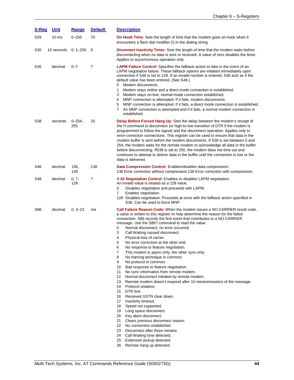| S-Reg | <b>Unit</b>      | Range            | <b>Default</b> | <b>Description</b>                                                                                                                                                                                                                                                                                                                                                                                                                                                                                                                                                                                                                                                                                                                                                                                                                                                                                                                                                                                                                                                                                                                                                                                                                                                                                                                                    |  |  |
|-------|------------------|------------------|----------------|-------------------------------------------------------------------------------------------------------------------------------------------------------------------------------------------------------------------------------------------------------------------------------------------------------------------------------------------------------------------------------------------------------------------------------------------------------------------------------------------------------------------------------------------------------------------------------------------------------------------------------------------------------------------------------------------------------------------------------------------------------------------------------------------------------------------------------------------------------------------------------------------------------------------------------------------------------------------------------------------------------------------------------------------------------------------------------------------------------------------------------------------------------------------------------------------------------------------------------------------------------------------------------------------------------------------------------------------------------|--|--|
| S29   | 10 <sub>ms</sub> | $0 - 255$        | 70             | <b>On Hook Time:</b> Sets the length of time that the modem goes on-hook when it<br>encounters a flash dial modifier (!) in the dialing string.                                                                                                                                                                                                                                                                                                                                                                                                                                                                                                                                                                                                                                                                                                                                                                                                                                                                                                                                                                                                                                                                                                                                                                                                       |  |  |
| S30   | 10 seconds       | $0, 1 - 255$     | 0              | <b>Disonnect Inactivity Timer:</b> Sets the length of time that the modem waits before<br>disconnecting when no data is sent or received. A value of zero disables the timer.<br>Applies to asynchronous operation only.                                                                                                                                                                                                                                                                                                                                                                                                                                                                                                                                                                                                                                                                                                                                                                                                                                                                                                                                                                                                                                                                                                                              |  |  |
| S36   | decimal          | $0 - 7$          | $\overline{7}$ | <b>LAPM Failure Control:</b> Specifies the fallback action to take in the event of an<br>LAPM negotiation failure. These fallback options are initiated immediately upon<br>connection if S48 is set to 128. If an invalid number is entered, S36 acts as if the<br>default value has been entered. (See S48.)<br>Modem disconnects.<br>0<br>Modem stays online and a direct mode connection is established.<br>1<br>3<br>Modem stays on-line; normal mode connection established.<br>4<br>MNP connection is attempted. If it fails, modem disconnects.<br>MNP connection is attempted. If it fails, a direct mode connection is established.<br>5<br>7<br>An MNP connection is attempted and if it fails, a normal modem connection is<br>established.                                                                                                                                                                                                                                                                                                                                                                                                                                                                                                                                                                                               |  |  |
| S38   | seconds          | $0 - 254$<br>255 | 20             | <b>Delay Before Forced Hang Up:</b> Sets the delay between the modem's receipt of<br>the H command to disconnect (or high-to-low transition of DTR if the modem is<br>programmed to follow the signal) and the disconnect operation. Applies only to<br>error-correction connections. This register can be used to ensure that data in the<br>modem buffer is sent before the modem disconnects. If S38 is set between 0 and<br>254, the modem waits for the remote modem to acknowledge all data in the buffer<br>before disconnecting. If S38 is set to 255, the modem does not time out and<br>continues to attempt to deliver data in the buffer until the connection is lost or the<br>data is delivered.                                                                                                                                                                                                                                                                                                                                                                                                                                                                                                                                                                                                                                        |  |  |
| S46   | decimal          | 136,<br>138      | 138            | Data Compression Control: Enables/disables data compression:<br>136 Error correction without compression.138 Error correction with compression.                                                                                                                                                                                                                                                                                                                                                                                                                                                                                                                                                                                                                                                                                                                                                                                                                                                                                                                                                                                                                                                                                                                                                                                                       |  |  |
| S48   | decimal          | 0, 7,<br>128     | 7              | V.42 Negotiation Control: Enables or disables LAPM negotiation.<br>An invalid value is treated as a 128 value.<br>0<br>Disables negotiation and proceeds with LAPM.<br>7<br>Enables negotiation.<br>128 Disables negotiation. Proceeds at once with the fallback action specified in<br>S36. Can be used to force MNP.                                                                                                                                                                                                                                                                                                                                                                                                                                                                                                                                                                                                                                                                                                                                                                                                                                                                                                                                                                                                                                |  |  |
| S86   | decimal          | $0, 3 - 23$      | n/a            | Call Failure Reason Code: When the modem issues a NO CARRIER result code,<br>a value is written to this register to help determine the reason for the failed<br>connection. S86 records the first event that contributes to a NO CARRIER<br>message. Use the S86? command to read the value.<br>0<br>Normal disconnect; no error occurred.<br>3<br>Call Waiting caused disconnect.<br>4<br>Physical loss of carrier.<br>5<br>No error correction at the other end.<br>6<br>No response to feature negotiation.<br>$\overline{7}$<br>This modem is async-only, the other sync-only.<br>8<br>No framing technique in common.<br>9<br>No protocol in common.<br>10<br>Bad response to feature negotiation.<br>11<br>No sync information from remote modem.<br>12<br>Normal disconnect initiated by remote modem.<br>13<br>Remote modem doesn't respond after 10 retransmissions of the message.<br>14<br>Protocol violation.<br>15<br>DTR lost.<br>16<br>Received GSTN clear down.<br>17 <sup>2</sup><br>Inactivity timeout.<br>18<br>Speed not supported.<br>19<br>Long space disconnect.<br>20 Key abort disconnect.<br>21<br>Clears previous disconnect reason.<br>22<br>No connection established.<br>23<br>Disconnect after three retrains.<br>24 Call Waiting tone detected.<br>25<br>Extension pickup detected.<br>26<br>Remote hang up detected. |  |  |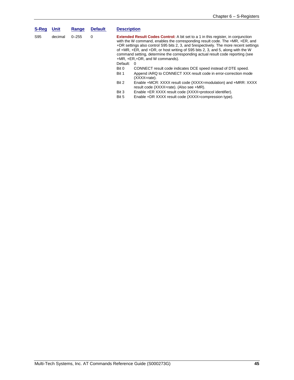| S-Req | <b>Unit</b> | Range     | <b>Default</b> | <b>Description</b>                                                                                                                                                                                                                                                                                                                                                                                                                                                                |                                                                                                            |
|-------|-------------|-----------|----------------|-----------------------------------------------------------------------------------------------------------------------------------------------------------------------------------------------------------------------------------------------------------------------------------------------------------------------------------------------------------------------------------------------------------------------------------------------------------------------------------|------------------------------------------------------------------------------------------------------------|
| S95   | decimal     | $0 - 255$ | $\Omega$       | <b>Extended Result Codes Control:</b> A bit set to a 1 in this register, in conjunction<br>with the W command, enables the corresponding result code. The +MR, +ER, and<br>+DR settings also control S95 bits 2, 3, and 5 respectively. The more recent settings<br>of +MR, +ER, and +DR, or host writing of S95 bits 2, 3, and 5, along with the W<br>command setting, determine the corresponding actual result code reporting (see<br>$+MR$ , $+ER$ , $+DR$ , and W commands). |                                                                                                            |
|       |             |           |                | Default:                                                                                                                                                                                                                                                                                                                                                                                                                                                                          | - 0                                                                                                        |
|       |             |           |                | Bit 0                                                                                                                                                                                                                                                                                                                                                                                                                                                                             | CONNECT result code indicates DCE speed instead of DTE speed.                                              |
|       |             |           |                | Bit 1                                                                                                                                                                                                                                                                                                                                                                                                                                                                             | Append /ARQ to CONNECT XXX result code in error-correction mode<br>(XXXX=rate).                            |
|       |             |           |                | Bit 2                                                                                                                                                                                                                                                                                                                                                                                                                                                                             | Enable +MCR: XXXX result code (XXXX=modulation) and +MRR: XXXX<br>result code (XXXX=rate). (Also see +MR). |
|       |             |           |                | Bit 3                                                                                                                                                                                                                                                                                                                                                                                                                                                                             | Enable +ER XXXX result code (XXXX=protocol identifier).                                                    |
|       |             |           |                | Bit 5                                                                                                                                                                                                                                                                                                                                                                                                                                                                             | Enable +DR XXXX result code (XXXX=compression type).                                                       |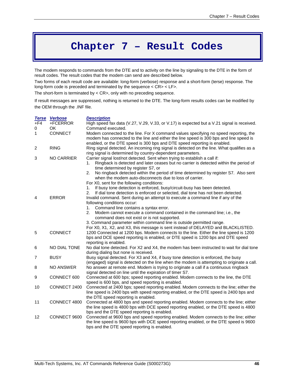# **Chapter 7 – Result Codes**

The modem responds to commands from the DTE and to activity on the line by signaling to the DTE in the form of result codes. The result codes that the modem can send are described below.

Two forms of each result code are available: long-form (verbose) response and a short-form (terse) response. The long-form code is preceded and terminated by the sequence < CR> < LF>.

The short-form is terminated by < CR>, only with no preceding sequence.

If result messages are suppressed, nothing is returned to the DTE. The long-form results codes can be modified by the OEM through the .INF file.

|                   | <b>Terse Verbose</b> | <b>Description</b>                                                                                                                                                                                                                                                                                                                                                                                                                                                                                                                                                                              |
|-------------------|----------------------|-------------------------------------------------------------------------------------------------------------------------------------------------------------------------------------------------------------------------------------------------------------------------------------------------------------------------------------------------------------------------------------------------------------------------------------------------------------------------------------------------------------------------------------------------------------------------------------------------|
| $+F4$             | +FCERROR             | High speed fax data (V.27, V.29, V.33, or V.17) is expected but a V.21 signal is received.                                                                                                                                                                                                                                                                                                                                                                                                                                                                                                      |
| 0<br>$\mathbf{1}$ | OK.<br>CONNECT       | Command executed.<br>Modem connected to the line. For X command values specifying no speed reporting, the<br>modem has connected to the line and either the line speed is 300 bps and line speed is<br>enabled, or the DTE speed is 300 bps and DTE speed reporting is enabled.                                                                                                                                                                                                                                                                                                                 |
| $\overline{c}$    | <b>RING</b>          | Ring signal detected. An incoming ring signal is detected on the line. What qualifies as a<br>ring signal is determined by country-dependent parameters.                                                                                                                                                                                                                                                                                                                                                                                                                                        |
| 3                 | <b>NO CARRIER</b>    | Carrier signal lost/not detected. Sent when trying to establish a call if:<br>Ringback is detected and later ceases but no carrier is detected within the period of<br>1.<br>time determined by register S7, or<br>2.<br>No ringback detected within the period of time determined by register S7. Also sent<br>when the modem auto-disconnects due to loss of carrier.                                                                                                                                                                                                                         |
| 4                 | <b>ERROR</b>         | For X0, sent for the following conditions:<br>If busy tone detection is enforced, busy/circuit-busy has been detected.<br>1.<br>2.<br>If dial tone detection is enforced or selected, dial tone has not been detected.<br>Invalid command. Sent during an attempt to execute a command line if any of the<br>following conditions occur:<br>Command line contains a syntax error.<br>1.<br>2.<br>Modem cannot execute a command contained in the command line; i.e., the<br>command does not exist or is not supported.<br>3. Command parameter within command line is outside permitted range. |
| 5                 | CONNECT              | For X0, X1, X2, and X3, this message is sent instead of DELAYED and BLACKLISTED.<br>1200 Connected at 1200 bps. Modem connects to the line. Either the line speed is 1200<br>bps and DCE speed reporting is enabled, or DTE speed is 1200 bps and DTE speed<br>reporting is enabled.                                                                                                                                                                                                                                                                                                            |
| 6                 | NO DIAL TONE         | No dial tone detected. For X2 and X4, the modem has been instructed to wait for dial tone<br>during dialing but none is received.                                                                                                                                                                                                                                                                                                                                                                                                                                                               |
| 7                 | <b>BUSY</b>          | Busy signal detected. For X3 and X4, if busy tone detection is enforced, the busy<br>(engaged) signal is detected on the line when the modem is attempting to originate a call.                                                                                                                                                                                                                                                                                                                                                                                                                 |
| 8                 | <b>NO ANSWER</b>     | No answer at remote end. Modem is trying to originate a call if a continuous ringback<br>signal detected on line until the expiration of timer S7.                                                                                                                                                                                                                                                                                                                                                                                                                                              |
| 9                 | CONNECT 600          | Connected at 600 bps; speed reporting enabled. Modem connects to the line, the DTE<br>speed is 600 bps, and speed reporting is enabled.                                                                                                                                                                                                                                                                                                                                                                                                                                                         |
| 10                | CONNECT 2400         | Connected at 2400 bps; speed reporting enabled. Modem connects to the line; either the<br>line speed is 2400 bps with speed reporting enabled, or the DTE speed is 2400 bps and<br>the DTE speed reporting is enabled.                                                                                                                                                                                                                                                                                                                                                                          |
| 11                | CONNECT 4800         | Connected at 4800 bps and speed reporting enabled. Modem connects to the line; either<br>the line speed is 4800 bps with DCE speed reporting enabled, or the DTE speed is 4800<br>bps and the DTE speed reporting is enabled.                                                                                                                                                                                                                                                                                                                                                                   |
| 12                | CONNECT 9600         | Connected at 9600 bps and speed reporting enabled. Modem connects to the line; either<br>the line speed is 9600 bps with DCE speed reporting enabled, or the DTE speed is 9600<br>bps and the DTE speed reporting is enabled.                                                                                                                                                                                                                                                                                                                                                                   |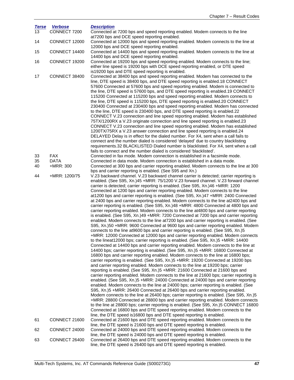| <b>Terse</b><br>13 | <b>Verbose</b><br>CONNECT 7200 | <b>Description</b><br>Connected at 7200 bps and speed reporting enabled. Modem connects to the line                                                                                                                                                                                                                                                                                                                                                                                                                                                                                                                                                                                                                                                                                                                                                                                                                                                                                                                                                                                                                                                                                                                                                                                                                                                                                                                                                                                                                                                                                                                                                                                                                                                                                                                                                                                                                                                                                                                                                                                                                                                                                                                                                                                                                                                                                                                                                                                                                                                                  |
|--------------------|--------------------------------|----------------------------------------------------------------------------------------------------------------------------------------------------------------------------------------------------------------------------------------------------------------------------------------------------------------------------------------------------------------------------------------------------------------------------------------------------------------------------------------------------------------------------------------------------------------------------------------------------------------------------------------------------------------------------------------------------------------------------------------------------------------------------------------------------------------------------------------------------------------------------------------------------------------------------------------------------------------------------------------------------------------------------------------------------------------------------------------------------------------------------------------------------------------------------------------------------------------------------------------------------------------------------------------------------------------------------------------------------------------------------------------------------------------------------------------------------------------------------------------------------------------------------------------------------------------------------------------------------------------------------------------------------------------------------------------------------------------------------------------------------------------------------------------------------------------------------------------------------------------------------------------------------------------------------------------------------------------------------------------------------------------------------------------------------------------------------------------------------------------------------------------------------------------------------------------------------------------------------------------------------------------------------------------------------------------------------------------------------------------------------------------------------------------------------------------------------------------------------------------------------------------------------------------------------------------------|
|                    |                                | at7200 bps and DCE speed reporting enabled.                                                                                                                                                                                                                                                                                                                                                                                                                                                                                                                                                                                                                                                                                                                                                                                                                                                                                                                                                                                                                                                                                                                                                                                                                                                                                                                                                                                                                                                                                                                                                                                                                                                                                                                                                                                                                                                                                                                                                                                                                                                                                                                                                                                                                                                                                                                                                                                                                                                                                                                          |
| 14                 | CONNECT 12000                  | Connected at 12000 bps and speed reporting enabled. Modem connects to the line at<br>12000 bps and DCE speed reporting enabled.                                                                                                                                                                                                                                                                                                                                                                                                                                                                                                                                                                                                                                                                                                                                                                                                                                                                                                                                                                                                                                                                                                                                                                                                                                                                                                                                                                                                                                                                                                                                                                                                                                                                                                                                                                                                                                                                                                                                                                                                                                                                                                                                                                                                                                                                                                                                                                                                                                      |
| 15                 | CONNECT 14400                  | Connected at 14400 bps and speed reporting enabled. Modem connects to the line at<br>14400 bps and DCE speed reporting enabled.                                                                                                                                                                                                                                                                                                                                                                                                                                                                                                                                                                                                                                                                                                                                                                                                                                                                                                                                                                                                                                                                                                                                                                                                                                                                                                                                                                                                                                                                                                                                                                                                                                                                                                                                                                                                                                                                                                                                                                                                                                                                                                                                                                                                                                                                                                                                                                                                                                      |
| 16                 | CONNECT 19200                  | Connected at 19200 bps and speed reporting enabled. Modem connects to the line;<br>either line speed is 19200 bps with DCE speed reporting enabled, or DTE speed<br>is19200 bps and DTE speed reporting is enabled.                                                                                                                                                                                                                                                                                                                                                                                                                                                                                                                                                                                                                                                                                                                                                                                                                                                                                                                                                                                                                                                                                                                                                                                                                                                                                                                                                                                                                                                                                                                                                                                                                                                                                                                                                                                                                                                                                                                                                                                                                                                                                                                                                                                                                                                                                                                                                  |
| 17                 | CONNECT 38400                  | Connected at 38400 bps and speed reporting enabled. Modem has connected to the<br>line, DTE speed is 38400 bps, and DTE speed reporting is enabled.18 CONNECT<br>57600 Connected at 57600 bps and speed reporting enabled. Modem is connected to<br>the line, DTE speed is 57600 bps, and DTE speed reporting is enabled.19 CONNECT<br>115200 Connected at 115200 bps and speed reporting enabled. Modem connects to<br>the line, DTE speed is 115200 bps, DTE speed reporting is enabled.20 CONNECT<br>230400 Connected at 230400 bps and speed reporting enabled. Modem has connected<br>to the line, DTE speed is 230400 bps, and DTE speed reporting is enabled.22<br>CONNECT V.23 connection and line speed reporting enabled. Modem has established<br>75TX/1200RX a V.23 originate connection and line speed reporting is enabled.23<br>CONNECT V.23 connection and line speed reporting enabled. Modem has established<br>1200TX/75RX a V.23 answer connection and line speed reporting is enabled.24<br>DELAYED Delay is in effect for the dialed number. For X4, sent when a call fails to<br>connect and the number dialed is considered 'delayed' due to country blacklisting<br>requirements.32 BLACKLISTED Dialed number is blacklisted. For X4, sent when a call<br>fails to connect and the number dialed is considered 'blacklisted'.                                                                                                                                                                                                                                                                                                                                                                                                                                                                                                                                                                                                                                                                                                                                                                                                                                                                                                                                                                                                                                                                                                                                                                                                               |
| 33                 | <b>FAX</b>                     | Connected in fax mode. Modem connection is established in a facsimile mode.                                                                                                                                                                                                                                                                                                                                                                                                                                                                                                                                                                                                                                                                                                                                                                                                                                                                                                                                                                                                                                                                                                                                                                                                                                                                                                                                                                                                                                                                                                                                                                                                                                                                                                                                                                                                                                                                                                                                                                                                                                                                                                                                                                                                                                                                                                                                                                                                                                                                                          |
| 35<br>40           | <b>DATA</b><br>+MRR: 300       | Connected in data mode. Modem connection is established in a data mode.<br>Connected at 300 bps and carrier reporting enabled. Modem connects to the line at 300<br>bps and carrier reporting is enabled. (See S95 and Xn.)                                                                                                                                                                                                                                                                                                                                                                                                                                                                                                                                                                                                                                                                                                                                                                                                                                                                                                                                                                                                                                                                                                                                                                                                                                                                                                                                                                                                                                                                                                                                                                                                                                                                                                                                                                                                                                                                                                                                                                                                                                                                                                                                                                                                                                                                                                                                          |
| 44                 | +MRR: 1200/75                  | V.23 backward channel. V.23 backward channel carrier is detected; carrier reporting is<br>enabled. (See S95, Xn.)45 +MRR: 75/1200 V.23 forward channel. V.23 forward channel<br>carrier is detected; carrier reporting is enabled. (See S95, Xn.)46 +MRR: 1200<br>Connected at 1200 bps and carrier reporting enabled. Modem connects to the line<br>at1200 bps and carrier reporting is enabled. (See S95, Xn.)47 +MRR: 2400 Connected<br>at 2400 bps and carrier reporting enabled. Modem connects to the line at 2400 bps and<br>carrier reporting is enabled. (See S95, Xn.)48 +MRR: 4800 Connected at 4800 bps and<br>carrier reporting enabled. Modem connects to the line at4800 bps and carrier reporting<br>is enabled. (See S95, Xn.)49 +MRR: 7200 Connected at 7200 bps and carrier reporting<br>enabled. Modem connects to the line at7200 bps and carrier reporting is enabled. (See<br>S95, Xn.)50 +MRR: 9600 Connected at 9600 bps and carrier reporting enabled. Modem<br>connects to the line at9600 bps and carrier reporting is enabled. (See S95, Xn.)5<br>+MRR: 12000 Connected at 12000 bps and carrier reporting enabled. Modem connects<br>to the lineat12000 bps; carrier reporting is enabled. (See S95, Xn.)5 +MRR: 14400<br>Connected at 14400 bps and carrier reporting enabled. Modem connects to the line at<br>14400 bps; carrier reporting is enabled. (See S95, Xn.)5 +MRR: 16800 Connected at<br>16800 bps and carrier reporting enabled. Modem connects to the line at 16800 bps;<br>carrier reporting is enabled. (See S95, Xn.)5 +MRR: 19200 Connected at 19200 bps<br>and carrier reporting enabled. Modem connects to the line at 19200 bps; carrier<br>reporting is enabled. (See S95, Xn.)5 +MRR: 21600 Connected at 21600 bps and<br>carrier reporting enabled. Modem connects to the line at 21600 bps; carrier reporting is<br>enabled. (See S95, Xn.)5 +MRR: 24000 Connected at 24000 bps and carrier reporting<br>enabled. Modem connects to the line at 24000 bps; carrier reporting is enabled. (See<br>S95, Xn.)5 +MRR: 26400 Connected at 26400 bps and carrier reporting enabled.<br>Modem connects to the line at 26400 bps; carrier reporting is enabled. (See S95, Xn.)5<br>+MRR: 28800 Connected at 28800 bps and carrier reporting enabled. Modem connects<br>to the line at 28800 bps; carrier reporting is enabled. (See S95, Xn.)5 CONNECT 16800<br>Connected at 16800 bps and DTE speed reporting enabled. Modem connects to the<br>line, the DTE speed is16800 bps and DTE speed reporting is enabled. |
| 61                 | CONNECT 21600                  | Connected at 21600 bps and DTE speed reporting enabled. Modem connects to the<br>line, the DTE speed is 21600 bps and DTE speed reporting is enabled.                                                                                                                                                                                                                                                                                                                                                                                                                                                                                                                                                                                                                                                                                                                                                                                                                                                                                                                                                                                                                                                                                                                                                                                                                                                                                                                                                                                                                                                                                                                                                                                                                                                                                                                                                                                                                                                                                                                                                                                                                                                                                                                                                                                                                                                                                                                                                                                                                |
| 62                 | CONNECT 24000                  | Connected at 24000 bps and DTE speed reporting enabled. Modem connects to the<br>line, the DTE speed is 24000 bps and DTE speed reporting is enabled.                                                                                                                                                                                                                                                                                                                                                                                                                                                                                                                                                                                                                                                                                                                                                                                                                                                                                                                                                                                                                                                                                                                                                                                                                                                                                                                                                                                                                                                                                                                                                                                                                                                                                                                                                                                                                                                                                                                                                                                                                                                                                                                                                                                                                                                                                                                                                                                                                |
| 63                 | CONNECT 26400                  | Connected at 26400 bps and DTE speed reporting enabled. Modem connects to the<br>line, the DTE speed is 26400 bps and DTE speed reporting is enabled.                                                                                                                                                                                                                                                                                                                                                                                                                                                                                                                                                                                                                                                                                                                                                                                                                                                                                                                                                                                                                                                                                                                                                                                                                                                                                                                                                                                                                                                                                                                                                                                                                                                                                                                                                                                                                                                                                                                                                                                                                                                                                                                                                                                                                                                                                                                                                                                                                |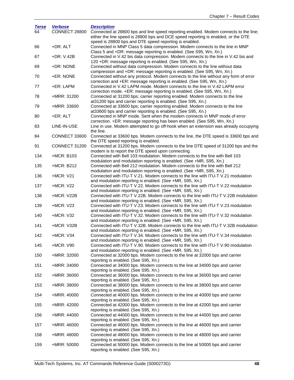| <b>Terse</b> | <b>Verbose</b> | <b>Description</b>                                                                                                                                                                                                                  |
|--------------|----------------|-------------------------------------------------------------------------------------------------------------------------------------------------------------------------------------------------------------------------------------|
| 64           | CONNECT 28800  | Connected at 28800 bps and line speed reporting enabled. Modem connects to the line;<br>either the line speed is 28800 bps and DCE speed reporting is enabled, or the DTE<br>speed is 28800 bps and DTE speed reporting is enabled. |
| 66           | +DR: ALT       | Connected in MNP Class 5 data compression. Modem connects to the line in MNP                                                                                                                                                        |
| 67           | +DR: V.42B     | Class 5 and +DR: message reporting is enabled. (See S95, Wn, Xn.)<br>Connected in V.42 bis data compression. Modem connects to the line in V.42 bis and                                                                             |
| 69           | +DR: NONE      | 120 +DR: message reporting is enabled. (See S95, Wn, Xn.)<br>Connected without data compression. Modem connects to the line without data                                                                                            |
| 70           | +ER: NONE      | compression and +DR: message reporting is enabled. (See S95, Wn, Xn.)<br>Connected without any protocol. Modem connects to the line without any form of error                                                                       |
| 77           | +ER: LAPM      | correction and +ER: message reporting is enabled. (See S95, Wn, Xn.)<br>Connected in V.42 LAPM mode. Modem connects to the line in V.42 LAPM error<br>correction mode. +ER: message reporting is enabled. (See S95, Wn, Xn.)        |
| 78           | +MRR: 31200    | Connected at 31200 bps; carrier reporting enabled. Modem connects to the line                                                                                                                                                       |
| 79           | +MRR: 33600    | at 31200 bps and carrier reporting is enabled. (See S95, Xn.)<br>Connected at 33600 bps; carrier reporting enabled. Modem connects to the line<br>at 33600 bps and carrier reporting is enabled. (See S95, Xn.)                     |
| 80           | +ER: ALT       | Connected in MNP mode. Sent when the modem connects in MNP mode of error                                                                                                                                                            |
| 83           | LINE-IN-USE    | correction. +ER: message reporting has been enabled. (See S95, Wn, Xn.)<br>Line in use. Modem attempted to go off-hook when an extension was already occupying<br>the line.                                                         |
| 84           | CONNECT 33600  | Connected at 33600 bps. Modem connects to the line, the DTE speed is 33600 bps and                                                                                                                                                  |
| 91           | CONNECT 31200  | the DTE speed reporting is enabled.<br>Connected at 31200 bps. Modem connects to the line DTE speed of 31200 bps and the<br>modem is to report the DTE speed upon connecting.                                                       |
| 134          | +MCR: B103     | Connected with Bell 103 modulation. Modem connects to the line with Bell 103                                                                                                                                                        |
| 135          | +MCR: B212     | modulation and modulation reporting is enabled. (See +MR, S95, Xn.)<br>Connected with Bell 212 modulation. Modem connects to the line with Bell 212                                                                                 |
|              |                | modulation and modulation reporting is enabled. (See +MR, S95, Xn.)                                                                                                                                                                 |
| 136          | $+MCR: V21$    | Connected with ITU-T V.21. Modem connects to the line with ITU-T V.21 modulation<br>and modulation reporting is enabled. (See +MR, S95, Xn.)                                                                                        |
| 137          | +MCR: V22      | Connected with ITU-T V.22. Modem connects to the line with ITU-T V.22 modulation<br>and modulation reporting is enabled. (See +MR, S95, Xn.)                                                                                        |
| 138          | +MCR: V22B     | Connected with ITU-T V.22B. Modem connects to the line with ITU-T V.22B modulation<br>and modulation reporting is enabled. (See +MR, S95, Xn.)                                                                                      |
| 139          | +MCR: V23      | Connected with ITU-T V.23. Modem connects to the line with ITU-T V.23 modulation<br>and modulation reporting is enabled. (See +MR, S95, Xn.)                                                                                        |
| 140          | +MCR: V32      | Connected with ITU-T V.32. Modem connects to the line with ITU-T V.32 modulation<br>and modulation reporting is enabled. (See +MR, S95, Xn.)                                                                                        |
| 141          | +MCR: V32B     | Connected with ITU-T V.32B. Modem connects to the line with ITU-T V.32B modulation                                                                                                                                                  |
| 142          | +MCR: V34      | and modulation reporting is enabled. (See +MR, S95, Xn.)<br>Connected with ITU-T V.34. Modem connects to the line with ITU-T V.34 modulation<br>and modulation reporting is enabled. (See +MR, S95, Xn.)                            |
| 145          | +MCR: V90      | Connected with ITU-T V.90. Modem connects to the line with ITU-T V.90 modulation                                                                                                                                                    |
| 150          | +MRR: 32000    | and modulation reporting is enabled. (See +MR, S95, Xn.)<br>Connected at 32000 bps. Modem connects to the line at 32000 bps and carrier<br>reporting is enabled. (See S95, Xn.)                                                     |
| 151          | +MRR: 34000    | Connected at 34000 bps. Modem connects to the line at 34000 bps and carrier                                                                                                                                                         |
| 152          | +MRR: 36000    | reporting is enabled. (See S95, Xn.)<br>Connected at 36000 bps. Modem connects to the line at 36000 bps and carrier<br>reporting is enabled. (See S95, Xn.)                                                                         |
| 153          | +MRR: 38000    | Connected at 38000 bps. Modem connects to the line at 38000 bps and carrier                                                                                                                                                         |
| 154          | +MRR: 40000    | reporting is enabled. (See S95, Xn.)<br>Connected at 40000 bps. Modem connects to the line at 40000 bps and carrier                                                                                                                 |
| 155          | +MRR: 42000    | reporting is enabled. (See S95, Xn.)<br>Connected at 42000 bps. Modem connects to the line at 42000 bps and carrier                                                                                                                 |
| 156          | +MRR: 44000    | reporting is enabled. (See S95, Xn.)<br>Connected at 44000 bps. Modem connects to the line at 44000 bps and carrier                                                                                                                 |
| 157          | +MRR: 46000    | reporting is enabled. (See S95, Xn.)<br>Connected at 46000 bps. Modem connects to the line at 46000 bps and carrier                                                                                                                 |
| 158          | +MRR: 48000    | reporting is enabled. (See S95, Xn.)<br>Connected at 48000 bps. Modem connects to the line at 48000 bps and carrier                                                                                                                 |
| 159          | +MRR: 50000    | reporting is enabled. (See S95, Xn.)<br>Connected at 50000 bps. Modem connects to the line at 50000 bps and carrier<br>reporting is enabled. (See S95, Xn.)                                                                         |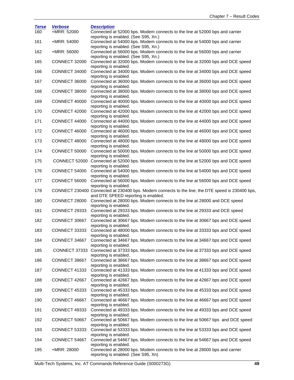| <b>Terse</b> | <b>Verbose</b> | <b>Description</b>                                                                                     |
|--------------|----------------|--------------------------------------------------------------------------------------------------------|
| 160          | +MRR: 52000    | Connected at 52000 bps. Modem connects to the line at 52000 bps and carrier                            |
|              |                | reporting is enabled. (See S95, Xn.)                                                                   |
| 161          | +MRR: 54000    | Connected at 54000 bps. Modem connects to the line at 54000 bps and carrier                            |
|              |                | reporting is enabled. (See S95, Xn.)                                                                   |
| 162          | +MRR: 56000    | Connected at 56000 bps. Modem connects to the line at 56000 bps and carrier                            |
|              |                | reporting is enabled. (See S95, Xn.)                                                                   |
| 165          | CONNECT 32000  | Connected at 32000 bps. Modem connects to the line at 32000 bps and DCE speed                          |
|              |                | reporting is enabled.                                                                                  |
| 166          | CONNECT 34000  | Connected at 34000 bps. Modem connects to the line at 34000 bps and DCE speed<br>reporting is enabled. |
| 167          | CONNECT 36000  | Connected at 36000 bps. Modem connects to the line at 36000 bps and DCE speed                          |
|              |                | reporting is enabled.                                                                                  |
| 168          | CONNECT 38000  | Connected at 38000 bps. Modem connects to the line at 38000 bps and DCE speed                          |
|              |                | reporting is enabled.                                                                                  |
| 169          | CONNECT 40000  | Connected at 40000 bps. Modem connects to the line at 40000 bps and DCE speed                          |
|              |                | reporting is enabled.                                                                                  |
| 170          | CONNECT 42000  | Connected at 42000 bps. Modem connects to the line at 42000 bps and DCE speed                          |
|              |                | reporting is enabled.                                                                                  |
| 171          | CONNECT 44000  | Connected at 44000 bps. Modem connects to the line at 44000 bps and DCE speed                          |
|              |                | reporting is enabled.                                                                                  |
| 172          | CONNECT 46000  | Connected at 46000 bps. Modem connects to the line at 46000 bps and DCE speed                          |
|              |                | reporting is enabled.                                                                                  |
| 173          | CONNECT 48000  | Connected at 48000 bps. Modem connects to the line at 48000 bps and DCE speed                          |
|              |                | reporting is enabled.                                                                                  |
| 174          | CONNECT 50000  | Connected at 50000 bps. Modem connects to the line at 50000 bps and DCE speed                          |
|              |                | reporting is enabled.                                                                                  |
| 175          |                | CONNECT 52000 Connected at 52000 bps. Modem connects to the line at 52000 bps and DCE speed            |
|              |                | reporting is enabled.                                                                                  |
| 176          | CONNECT 54000  | Connected at 54000 bps. Modem connects to the line at 54000 bps and DCE speed                          |
| 177          | CONNECT 56000  | reporting is enabled.<br>Connected at 56000 bps. Modem connects to the line at 56000 bps and DCE speed |
|              |                | reporting is enabled.                                                                                  |
| 178          |                | CONNECT 230400 Connected at 230400 bps. Modem connects to the line; the DTE speed is 230400 bps,       |
|              |                | and DTE SPEED reporting is enabled.                                                                    |
| 180          | CONNECT 28000  | Connected at 28000 bps. Modem connects to the line at 28000 and DCE speed                              |
|              |                | reporting is enabled.                                                                                  |
| 181          | CONNECT 29333  | Connected at 29333 bps. Modem connects to the line at 29333 and DCE speed                              |
|              |                | reporting is enabled.                                                                                  |
| 182          | CONNECT 30667  | Connected at 30667 bps. Modem connects to the line at 30667 bps and DCE speed                          |
|              |                | reporting is enabled.                                                                                  |
| 183          | CONNECT 33333  | Connected at 48000 bps. Modem connects to the line at 33333 bps and DCE speed                          |
|              |                | reporting is enabled.                                                                                  |
| 184          |                | CONNECT 34667 Connected at 34667 bps. Modem connects to the line at 34667 bps and DCE speed            |
|              |                | reporting is enabled.                                                                                  |
| 185          |                | CONNECT 37333 Connected at 37333 bps. Modem connects to the line at 37333 bps and DCE speed            |
|              |                | reporting is enabled.                                                                                  |
| 186          | CONNECT 38667  | Connected at 38667 bps. Modem connects to the line at 38667 bps and DCE speed                          |
|              |                | reporting is enabled.                                                                                  |
| 187          | CONNECT 41333  | Connected at 41333 bps. Modem connects to the line at 41333 bps and DCE speed                          |
|              |                | reporting is enabled.                                                                                  |
| 188          | CONNECT 42667  | Connected at 42667 bps. Modem connects to the line at 42667 bps and DCE speed<br>reporting is enabled. |
| 189          | CONNECT 45333  | Connected at 45333 bps. Modem connects to the line at 45333 bps and DCE speed                          |
|              |                | reporting is enabled.                                                                                  |
| 190          | CONNECT 46667  | Connected at 46667 bps. Modem connects to the line at 46667 bps and DCE speed                          |
|              |                | reporting is enabled.                                                                                  |
| 191          | CONNECT 49333  | Connected at 49333 bps. Modem connects to the line at 49333 bps and DCE speed                          |
|              |                | reporting is enabled.                                                                                  |
| 192          | CONNECT 50667  | Connected at 50667 bps. Modem connects to the line at 50667 bps and DCE speed                          |
|              |                | reporting is enabled.                                                                                  |
| 193          | CONNECT 53333  | Connected at 53333 bps. Modem connects to the line at 53333 bps and DCE speed                          |
|              |                | reporting is enabled.                                                                                  |
| 194          | CONNECT 54667  | Connected at 54667 bps. Modem connects to the line at 54667 bps and DCE speed                          |
|              |                | reporting is enabled.                                                                                  |
| 195          | +MRR: 28000    | Connected at 28000 bps. Modem connects to the line at 28000 bps and carrier                            |
|              |                | reporting is enabled. (See S95, Xn)                                                                    |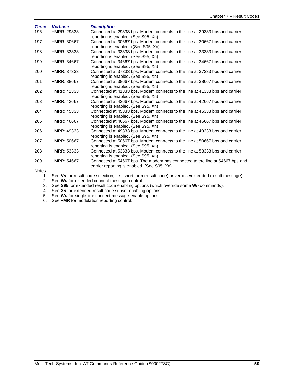| <b>Terse</b> | <b>Verbose</b> | <b>Description</b>                                                                                                          |
|--------------|----------------|-----------------------------------------------------------------------------------------------------------------------------|
| 196          | +MRR: 29333    | Connected at 29333 bps. Modem connects to the line at 29333 bps and carrier<br>reporting is enabled. (See S95, Xn)          |
| 197          | +MRR: 30667    | Connected at 30667 bps. Modem connects to the line at 30667 bps and carrier<br>reporting is enabled. ((See S95, Xn)         |
| 198          | +MRR: 33333    | Connected at 33333 bps. Modem connects to the line at 33333 bps and carrier<br>reporting is enabled. (See S95, Xn)          |
| 199          | +MRR: 34667    | Connected at 34667 bps. Modem connects to the line at 34667 bps and carrier<br>reporting is enabled. (See S95, Xn)          |
| 200          | +MRR: 37333    | Connected at 37333 bps. Modem connects to the line at 37333 bps and carrier<br>reporting is enabled. (See S95, Xn)          |
| 201          | +MRR: 38667    | Connected at 38667 bps. Modem connects to the line at 38667 bps and carrier<br>reporting is enabled. (See S95, Xn)          |
| 202          | +MRR: 41333    | Connected at 41333 bps. Modem connects to the line at 41333 bps and carrier<br>reporting is enabled. (See S95, Xn)          |
| 203          | +MRR: 42667    | Connected at 42667 bps. Modem connects to the line at 42667 bps and carrier<br>reporting is enabled. (See S95, Xn)          |
| 204          | +MRR: 45333    | Connected at 45333 bps. Modem connects to the line at 45333 bps and carrier<br>reporting is enabled. (See S95, Xn)          |
| 205          | +MRR: 46667    | Connected at 46667 bps. Modem connects to the line at 46667 bps and carrier<br>reporting is enabled. (See S95, Xn)          |
| 206          | +MRR: 49333    | Connected at 49333 bps. Modem connects to the line at 49333 bps and carrier<br>reporting is enabled. (See S95, Xn)          |
| 207          | +MRR: 50667    | Connected at 50667 bps. Modem connects to the line at 50667 bps and carrier<br>reporting is enabled. (See S95, Xn)          |
| 208          | +MRR: 53333    | Connected at 53333 bps. Modem connects to the line at 53333 bps and carrier<br>reporting is enabled. (See S95, Xn)          |
| 209          | +MRR: 54667    | Connected at 54667 bps. The modem has connected to the line at 54667 bps and<br>carrier reporting is enabled. (See S95, Xn) |

Notes:

1. See **V***n* for result code selection; i.e., short form (result code) or verbose/extended (result message).

- 2. See **W***n* for extended connect message control.
- 3. See **S95** for extended result code enabling options (which override some **W***n* commands).
- 4. See **X***n* for extended result code subset enabling options.
- 5. See **\V***n* for single line connect message enable options.
- 6. See **+MR** for modulation reporting control.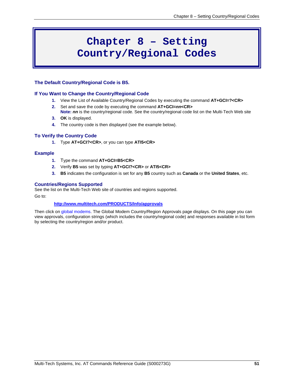# **Chapter 8 – Setting Country/Regional Codes**

#### **The Default Country/Regional Code is B5.**

#### **If You Want to Change the Country/Regional Code**

- **1.** View the List of Available Country/Regional Codes by executing the command **AT+GCI=?<CR>**
- **2.** Set and save the code by executing the command **AT+GCI=***nn***<CR>**
- **Note:** *nn* is the country/regional code. See the country/regional code list on the Multi-Tech Web site **3. OK** is displayed.
- **4.** The country code is then displayed (see the example below).

#### **To Verify the Country Code**

**1.** Type **AT+GCI?<CR>**, or you can type **ATI5<CR>**

#### **Example**

- **1.** Type the command **AT+GCI=B5<CR>**
- **2.** Verify **B5** was set by typing **AT+GCI?<CR>** or **ATI5<CR>**
- **3. B5** indicates the configuration is set for any **B5** country such as **Canada** or the **United States**, etc.

#### **Countries/Regions Supported**

See the list on the Multi-Tech Web site of countries and regions supported.

Go to:

#### **<http://www.multitech.com/PRODUCTS/Info/approvals>**

Then click on global modems. The Global Modem Country/Region Approvals page displays. On this page you can view approvals, configuration strings (which includes the country/regional code) and responses available in list form by selecting the country/region and/or product.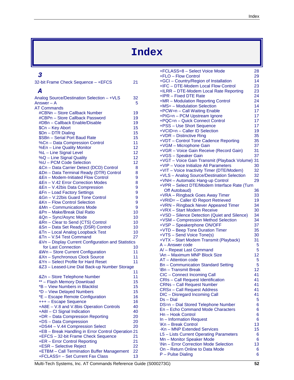# **Index**

### *3*

| 32-bit Frame Check Sequence - +EFCS                         | 21       |
|-------------------------------------------------------------|----------|
| A                                                           |          |
| Analog Source/Destination Selection - +VLS<br>Answer $-$ A  | 32<br>5  |
| <b>AT Commands</b>                                          |          |
| #CBNn - Store Callback Number                               | 19       |
| #CBPn - Store Callback Password                             | 19       |
| #DBn - Callback Enable/Disable                              | 19       |
| \$Cn - Key Abort                                            | 15       |
| \$Dn - DTR Dialing                                          | 15       |
| \$SBn - Serial Port Baud Rate                               | 15       |
| %Cn - Data Compression Control                              | 11       |
| %En - Line Quality Monitor                                  | 12       |
| %L - Line Signal Level                                      | 12       |
| %Q - Line Signal Quality                                    | 12       |
| %U - PCM Code Selection                                     | 12       |
| &Cn - Data Carrier Detect (DCD) Control                     | 8        |
| &Dn - Data Terminal Ready (DTR) Control                     | 8        |
| &En - Modem-Initiated Flow Control                          | 9        |
| &En - V.42 Error Correction Modes                           | 8        |
| &En - V.42bis Data Compression                              | 9        |
| &Fn - Load Factory Settings                                 | 9        |
| &Gn - V.22bis Guard Tone Control                            | 9        |
| &Kn - Flow Control Selection                                | 9        |
| &Mn - Communications Mode                                   | 9        |
| &Pn - Make/Break Dial Ratio                                 | 10       |
| &Qn - Sync/Async Mode                                       | 10       |
| &Rn - Clear to Send (CTS) Control                           | 10       |
| &Sn - Data Set Ready (DSR) Control                          | 10       |
| &Tn - Local Analog Loopback Test<br>&Tn - V.54 Test Command | 10<br>27 |
| &Vn - Display Current Configuration and Statistics          |          |
| for Last Connection                                         | 10       |
| &Wn - Store Current Configuration                           | 11       |
| &Xn - Synchronous Clock Source                              | 11       |
| &Yn - Select Profile for Hard Reset                         | 11       |
| &Z3 - Leased-Line Dial Back-up Number Storage               |          |
|                                                             | 11       |
| &Zn - Store Telephone Number                                | 11       |
| ** - Flash Memory Download                                  | 15       |
| *B - View Numbers in Blacklist                              | 15       |
| *D - View Delayed Numbers                                   | 15       |
| *E - Escape Remote Configuration                            | 16       |
| +++ - Escape Sequence                                       | 16       |
| +A8E - V.8 and V.8bis Operation Controls                    | 40       |
| +A8I - CI Signal Indication                                 | 40       |
| +DR - Data Compression Reporting                            | 20       |
| +DS - Data Compression                                      | 20       |
| +DS44 - V.44 Compression Select                             | 20       |
| +EB - Break Handling in Error Control Operation 21          |          |
| +EFCS - 32-bit Frame Check Sequence                         | 21       |
| +ER - Error Control Reporting                               | 21       |
| +ESR - Selective Reject                                     | 22       |
| +ETBM - Call Termination Buffer Management                  | 22       |
| +FCLASS= - Set Current Fax Class                            | 13       |

| +FCLASS=8 - Select Voice Mode                | 28 |
|----------------------------------------------|----|
| +FLO - Flow Control                          | 29 |
|                                              |    |
| +GCI - Country/Region of Installation        | 14 |
| +IFC - DTE-Modem Local Flow Control          | 23 |
| +ILRR - DTE-Modem Local Rate Reporting       | 23 |
| +IPR - Fixed DTE Rate                        | 24 |
| +MR - Modulation Reporting Control           | 24 |
|                                              |    |
| +MS= - Modulation Selection                  | 14 |
| +PCW=n - Call Waiting Enable                 | 17 |
| +PIG=n - PCM Upstream Ignore                 | 17 |
| +PQC=n - Quick Connect Control               | 17 |
|                                              |    |
| +PSS - Use Short Sequence                    | 17 |
| +VCID=n - Caller ID Selection                | 19 |
| +VDR - Distinctive Ring                      | 35 |
| +VDT - Control Tone Cadence Reporting        | 35 |
|                                              |    |
| +VGM - Microphone Gain                       | 37 |
| +VGR - Voice Gain Receive (Record Gain)      | 31 |
| +VGS - Speaker Gain                          | 37 |
| +VGT - Voice Gain Transmit (Playback Volume) | 31 |
| +VIP - Voice Initialize All Parameters       | 30 |
|                                              |    |
| +VIT - Voice Inactivity Timer (DTE/Modem)    | 32 |
| +VLS - Analog Source/Destination Selection   | 32 |
| +VNH - Automatic Hang-up Control             | 29 |
| +VPR - Select DTE/Modem Interface Rate (Turn |    |
|                                              |    |
| Off Autobaud)                                | 36 |
| +VRA - Ringback Goes Away Timer              | 33 |
| +VRID= - Caller ID Report Retrieved          | 19 |
| +VRN - Ringback Never Appeared Timer         | 34 |
|                                              |    |
| +VRX - Start Modem Receive                   | 30 |
| +VSD - Silence Detection (Quiet and Silence) | 34 |
| +VSM - Compression Method Selection          | 34 |
| +VSP - Speakerphone ON/OFF                   | 37 |
|                                              |    |
| +VTD - Beep Tone Duration Timer              | 35 |
| +VTS - Send Voice Tone(s)                    | 30 |
| +VTX - Start Modem Transmit (Playback)       | 31 |
| A - Answer code                              | 5  |
| A/-Repeat Last Command                       | 5  |
|                                              |    |
| <b>\An - Maximum MNP Block Size</b>          | 12 |
| AT - Attention code                          | 5  |
| <b>Bn-Communication Standard Setting</b>     | 5  |
| \Bn - Transmit Break                         | 12 |
|                                              |    |
| CIC - Connect Incoming Call                  | 41 |
| <b>CRIs - Call Request Identification</b>    | 41 |
| <b>CRNs - Call Request Number</b>            | 41 |
| <b>CRSx-Call Request Address</b>             | 41 |
|                                              |    |
| DIC - Disregard Incoming Call                | 41 |
| $Ds - Dial$                                  | 5  |
| DS=n - Dial Stored Telephone Number          | 6  |
| En - Echo Command Mode Characters            | 6  |
| Hn - Hook Control                            | 6  |
|                                              |    |
| In - Information Request                     | 6  |
| <b>\Kn-Break Control</b>                     | 13 |
| -Kn - MNP Extended Services                  | 15 |
| L5 - Lists Current Operating Parameters      | 6  |
|                                              |    |
| Mn - Monitor Speaker Mode                    | 6  |
| <b>\Nn - Error Correction Mode Selection</b> | 13 |
| On - Return Online to Data Mode              | 6  |
| P - Pulse Dialing                            | 6  |
|                                              |    |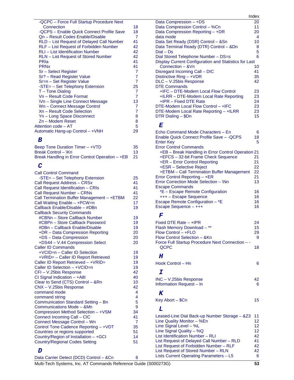| -QCPC - Force Full Startup Procedure Next  |                |
|--------------------------------------------|----------------|
| Connection                                 | 18             |
| -QCPS - Enable Quick Connect Profile Save  | 18             |
| On - Result Codes Enable/Disable           | $\overline{7}$ |
| RLD - List Request of Delayed Call Number  | 41             |
| RLF - List Request of Forbidden Number     | 42             |
| <b>RLI-List Identification Number</b>      | 42             |
| <b>RLN</b> – List Request of Stored Number | 42             |
| PRIa                                       | 41             |
| <b>PRN<sub>x</sub></b>                     | 41             |
| Sr - Select Register                       | $\overline{7}$ |
| Sr? - Read Register Value                  | $\overline{7}$ |
| Sr=n - Set Register Value                  | $\overline{7}$ |
| -STE= - Set Telephony Extension            | 25             |
| $T -$ Tone Dialing                         | $\overline{7}$ |
| Vn - Result Code Format                    | $\overline{7}$ |
| <b>Wn-Single Line Connect Message</b>      | 13             |
| Wn - Connect Message Control               | $\overline{7}$ |
| Xn - Result Code Selection                 | $\overline{7}$ |
| Yn - Long Space Disconnect                 | 8              |
| Zn - Modem Reset                           | 8              |
| Attention code - AT                        | 5              |
| Automatic Hang-up Control - +VNH           | 29             |
|                                            |                |

### *B*

| Beep Tone Duration Timer - +VTD                 | 35  |
|-------------------------------------------------|-----|
| Break Control - \Kn                             | 13  |
| Break Handling in Error Control Operation - +EB | -21 |

### *C*

| <b>Call Control Command</b>                |                |
|--------------------------------------------|----------------|
| -STE= - Set Telephony Extension            | 25             |
| Call Request Address - CRSx                | 41             |
| Call Request Identification - CRIs         | 41             |
| <b>Call Request Number - CRNs</b>          | 41             |
| Call Termination Buffer Management - +ETBM | 22             |
| Call Waiting Enable - +PCW=n               | 17             |
| Callback Enable/Disable - #DBn             | 19             |
| <b>Callback Security Commands</b>          |                |
| #CBNn - Store Callback Number              | 19             |
| #CBPn - Store Callback Password            | 19             |
| #DBn - Callback Enable/Disable             | 19             |
| +DR - Data Compression Reporting           | 20             |
| +DS - Data Compression                     | 20             |
| +DS44 - V.44 Compression Select            | 20             |
| <b>Caller ID Commands</b>                  |                |
| +VCID=n - Caller ID Selection              | 19             |
| +VRID= - Caller ID Report Retrieved        | 19             |
| Caller ID Report Retrieved - +VRID=        | 19             |
| Caller ID Selection - +VCID=n              | 19             |
| CFI-V.25bis Response                       | 42             |
| CI Signal Indication $- +$ A8I             | 40             |
| Clear to Send (CTS) Control - &Rn          | 10             |
| CNX - V.25bis Response                     | 42             |
| command mode                               | 4              |
| command string                             | 4              |
| Communication Standard Setting - Bn        | 5              |
| Communications Mode - & Mn                 | 9              |
| Compression Method Selection - +VSM        | 34             |
| Connect Incoming Call - CIC                | 41             |
| Connect Message Control - Wn               | $\overline{7}$ |
| Control Tone Cadence Reporting - +VDT      | 35             |
| Countries or regions supported             | 51             |
| Country/Region of Installation - +GCI      | 14             |
| <b>Country/Regional Codes Setting</b>      | 51             |
| D                                          |                |
|                                            |                |
|                                            |                |

|                                                       | Index |
|-------------------------------------------------------|-------|
| Data Compression - +DS                                | 20    |
| Data Compression Control - %Cn                        | 11    |
| Data Compression Reporting - +DR                      | 20    |
| data mode                                             | 4     |
| Data Set Ready (DSR) Control - &Sn                    | 10    |
| Data Terminal Ready (DTR) Control - &Dn               | 8     |
| $Dial - Ds$                                           | 5     |
| Dial Stored Telephone Number - DS=s                   | 6     |
| Display Current Configuration and Statistics for Last |       |
| Connection - & Vn                                     | 10    |
| Disregard Incoming Call – DIC                         | 41    |
| Distinctive $Ring - + VDR$                            | 35    |
| DLC - V.25bis Response                                | 42    |
| <b>DTE Commands</b>                                   |       |
| +IFC - DTE-Modem Local Flow Control                   | 23    |
| +ILRR - DTE-Modem Local Rate Reporting                | 23    |
| +IPR - Fixed DTE Rate                                 | 24    |
| DTE-Modem Local Flow Control - +IFC                   | 23    |
| DTE-Modem Local Rate Reporting - +ILRR                | 23    |
| DTR Dialing - \$Dn                                    | 15    |

### *E*

| Echo Command Mode Characters - En                  | 6  |
|----------------------------------------------------|----|
| Enable Quick Connect Profile Save - - QCPS         | 18 |
| <b>Enter Key</b>                                   | 5  |
| <b>Error Control Commands</b>                      |    |
| +EB – Break Handling in Error Control Operation 21 |    |
| +EFCS - 32-bit Frame Check Sequence                | 21 |
| +ER - Error Control Reporting                      | 21 |
| +ESR - Selective Reject                            | 22 |
| +ETBM - Call Termination Buffer Management         | 22 |
| Error Control Reporting - +ER                      | 21 |
| Error Correction Mode Selection - \Nn              | 13 |
| <b>Escape Commands</b>                             |    |
| *E – Escape Remote Configuration                   | 16 |
| +++ - Escape Sequence                              | 16 |
| Escape Remote Configuration - *E                   | 16 |
| Escape Sequence - +++                              | 16 |

### *F*

| Fixed DTE Rate $-$ +IPR                         | 24 |
|-------------------------------------------------|----|
| Flash Memory Download - **                      | 15 |
| $Flow Control - + FLO$                          | 29 |
| Flow Control Selection - & Kn                   | 9  |
| Force Full Startup Procedure Next Connection -- |    |
| OCPC                                            | 18 |

### *H*

| Hook Control - Hn |  |
|-------------------|--|
|                   |  |

### *I*

| $INC - V.25$ bis Response | 42 |
|---------------------------|----|
| Information Request – In  | 6  |

### *K*

Key Abort – \$Cn 15

### *L*

| COMPLESSION MEMOR DELECTION - + VOIN    | 34 |                                                   |    |
|-----------------------------------------|----|---------------------------------------------------|----|
| Connect Incoming Call - CIC             | 41 | Leased-Line Dial Back-up Number Storage - & Z3 11 |    |
| Connect Message Control - Wn            |    | Line Quality Monitor - %En                        | 12 |
| Control Tone Cadence Reporting - +VDT   | 35 | Line Signal Level $-$ %L                          | 12 |
| Countries or regions supported          | 51 | Line Signal Quality $-$ %Q                        | 12 |
| Country/Region of Installation - +GCI   | 14 | List Identification Number - RLI                  | 42 |
| Country/Regional Codes Setting          | 51 | List Request of Delayed Call Number - RLD         | 41 |
|                                         |    | List Request of Forbidden Number - RLF            | 42 |
|                                         |    | List Request of Stored Number - RLN               | 42 |
| Data Carrier Detect (DCD) Control - &Cn | я  | Lists Current Operating Parameters - L5           | 6  |
|                                         |    |                                                   |    |

Multi-Tech Systems, Inc. AT Commands Reference Guide (S000273G) **53**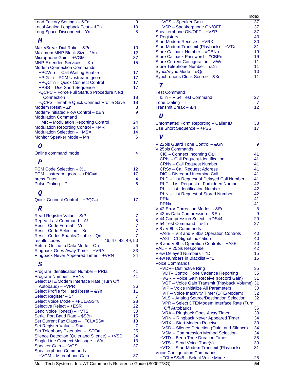| Load Factory Settings - & Fn              | 9  |
|-------------------------------------------|----|
| Local Analog Loopback Test - &Tn          | 10 |
| Long Space Disconnect - Yn                | 8  |
| M                                         |    |
| Make/Break Dial Ratio - &Pn               | 10 |
| Maximum MNP Block Size - VAn              | 12 |
| Microphone Gain - + VGM                   | 37 |
| MNP Extended Services - - Kn              | 15 |
| <b>Modem Connection Commands</b>          |    |
| +PCW=n - Call Waiting Enable              | 17 |
| +PIG=n - PCM Upstream Ignore              | 17 |
| +PQC=n - Quick Connect Control            | 17 |
| +PSS - Use Short Sequence                 | 17 |
| -QCPC - Force Full Startup Procedure Next |    |
| Connection                                | 18 |
| -QCPS - Enable Quick Connect Profile Save | 18 |
| Modem Reset - Zn                          | 8  |
| Modem-Initiated Flow Control - & En       | 9  |
| <b>Modulation Command</b>                 |    |
| +MR – Modulation Reporting Control        | 24 |
| Modulation Reporting Control - +MR        | 24 |
| Modulation Selection - +MS=               | 14 |
| Monitor Speaker Mode - Mn                 | 6  |

### *O*

| Online command mode |  |
|---------------------|--|
|                     |  |

# *P*

| PCM Code Selection – %U      | 12 |
|------------------------------|----|
| PCM Upstream Ignore - +PIG=n | 17 |
| press Enter                  |    |
| Pulse Dialing - P            | հ  |

# *Q*

| Quick Connect Control - +PQC=n |  |
|--------------------------------|--|
|--------------------------------|--|

### *R*

| Read Register Value - Sr?            |    |
|--------------------------------------|----|
| Repeat Last Command - A/             | 5  |
| Result Code Format - Vn              |    |
| Result Code Selection - Xn           |    |
| Result Codes Enable/Disable - Qn     |    |
| 46, 47, 48, 49, 50<br>results codes  |    |
| Return Online to Data Mode - On      | 6  |
| Ringback Goes Away Timer - +VRA      | 33 |
| Ringback Never Appeared Timer - +VRN | 34 |

### *S*

|                                              |    | +VDR- Distinctive Rir          |
|----------------------------------------------|----|--------------------------------|
| Program Identification Number - PRIa         | 41 | +VDT- Control Tone             |
| Program Number - PRNx                        | 41 | +VGR - Voice Gain R            |
| Select DTE/Modem Interface Rate (Turn Off    |    | +VGT - Voice Gain Ti           |
| Autobaud) – +VPR                             | 36 | +VIP - Voice Initialize        |
| Select Profile for Hard Reset - & Yn         | 11 | +VIT - Voice Inactivity        |
| Select Register – Sr                         | 7  | +VLS - Analog Sourc            |
| Select Voice Mode - +FCLASS=8                | 28 | +VPR - Select DTE/N            |
| Selective Reject - +ESR                      | 22 | Off Autobaud)                  |
| Send Voice Tone(s) - +VTS                    | 30 | +VRA - Ringback Go             |
| Serial Port Baud Rate - \$SBn                | 15 | +VRN - Ringback Net            |
| Set Current Fax Class - +FCLASS=             | 13 | +VRX - Start Modem             |
| Set Register Value - Sr=n                    | 7  | +VSD - Silence Deteo           |
| Set Telephony Extension - - STE=             | 25 | +VSM - Compression             |
| Silence Detection (Quiet and Silence) - +VSD | 34 | $+VTD - Beep$ Tone D           |
| Single Line Connect Message - \Vn            | 13 | +VTS - Send Voice T            |
| Speaker Gain - +VGS                          | 37 | +VTX - Start Modem             |
| Speakerphone Commands                        |    | <b>Voice Configuration Cor</b> |
| +VGM - Microphone Gain                       | 37 | +FCLASS=8 - Select             |

|                                                                                            | Index    |
|--------------------------------------------------------------------------------------------|----------|
| +VGS - Speaker Gain                                                                        | 37       |
| +VSP - Speakerphone ON/OFF<br>Speakerphone ON/OFF - +VSP                                   | 37<br>37 |
| <b>S-Registers</b>                                                                         | 43       |
| Start Modem Receive - + VRX                                                                | 30       |
| Start Modem Transmit (Playback) - +VTX                                                     | 31       |
| Store Callback Number - #CBNn<br>Store Callback Password - #CBPn                           | 19<br>19 |
| Store Current Configuration - & Wn                                                         | 11       |
| Store Telephone Number - &Zn                                                               | 11       |
| Sync/Async Mode - &Qn                                                                      | 10       |
| Synchronous Clock Source - &Xn                                                             | 11       |
| Т                                                                                          |          |
| <b>Test Command</b>                                                                        |          |
| &Tn - V.54 Test Command                                                                    | 27       |
| Tone Dialing $-$ T<br>Transmit Break - \Bn                                                 | 7<br>12  |
|                                                                                            |          |
| $\boldsymbol{U}$                                                                           |          |
| Unformatted Form Reporting - Caller ID<br>Use Short Sequence - +PSS                        | 38<br>17 |
|                                                                                            |          |
| $\mathtt{v}$                                                                               |          |
| V.22bis Guard Tone Control - & Gn                                                          | 9        |
| V.25bis Commands<br>CIC - Connect Incoming Call                                            | 41       |
| <b>CRIs - Call Request Identification</b>                                                  | 41       |
| <b>CRNs - Call Request Number</b>                                                          | 41       |
| <b>CRSx-Call Request Address</b>                                                           | 41       |
| DIC - Disregard Incoming Call<br>RLD - List Request of Delayed Call Number                 | 41<br>41 |
| RLF - List Request of Forbidden Number                                                     | 42       |
| RLI - List Identification Number                                                           | 42       |
| RLN - List Request of Stored Number                                                        | 42       |
| PRIa<br><b>PRN<sub>x</sub></b>                                                             | 41<br>41 |
| V.42 Error Correction Modes - & En                                                         | 8        |
| V.42bis Data Compression - &En                                                             | 9        |
| V.44 Compression Select - +DS44                                                            | 20       |
| V.54 Test Command - &Tn                                                                    | 27       |
| V.8 / V.8bis Commands<br>+A8E - V.8 and V.8bis Operation Controls                          | 40       |
| +A8I - CI Signal Indication                                                                | 40       |
| V.8 and V.8bis Operation Controls - +A8E                                                   | 40       |
| VAL - V.25bis Response                                                                     | 42       |
| View Delayed Numbers - *D<br>View Numbers in Blacklist - *B                                | 15<br>15 |
| <b>Voice Commands</b>                                                                      |          |
| +VDR- Distinctive Ring                                                                     | 35       |
| +VDT- Control Tone Cadence Reporting                                                       | 35       |
| +VGR - Voice Gain Receive (Record Gain)<br>+VGT - Voice Gain Transmit (Playback Volume)    | 31<br>31 |
| +VIP - Voice Initialize All Parameters                                                     | 30       |
| +VIT - Voice Inactivity Timer (DTE/Modem)                                                  | 32       |
| +VLS - Analog Source/Destination Selection<br>+VPR - Select DTE/Modem Interface Rate (Turn | 32       |
| Off Autobaud)                                                                              | 36       |
| +VRA - Ringback Goes Away Timer                                                            | 33       |
| +VRN - Ringback Never Appeared Timer                                                       | 34       |
| +VRX - Start Modem Receive<br>+VSD - Silence Detection (Quiet and Silence)                 | 30<br>34 |
| +VSM - Compression Method Selection                                                        | 34       |
| +VTD - Beep Tone Duration Timer                                                            | 35       |
| +VTS - Send Voice Tone(s)                                                                  | 30       |
| +VTX - Start Modem Transmit (Playback)<br><b>Voice Configuration Commands</b>              | 31       |
| +FCLASS=8 - Select Voice Mode                                                              | 28       |